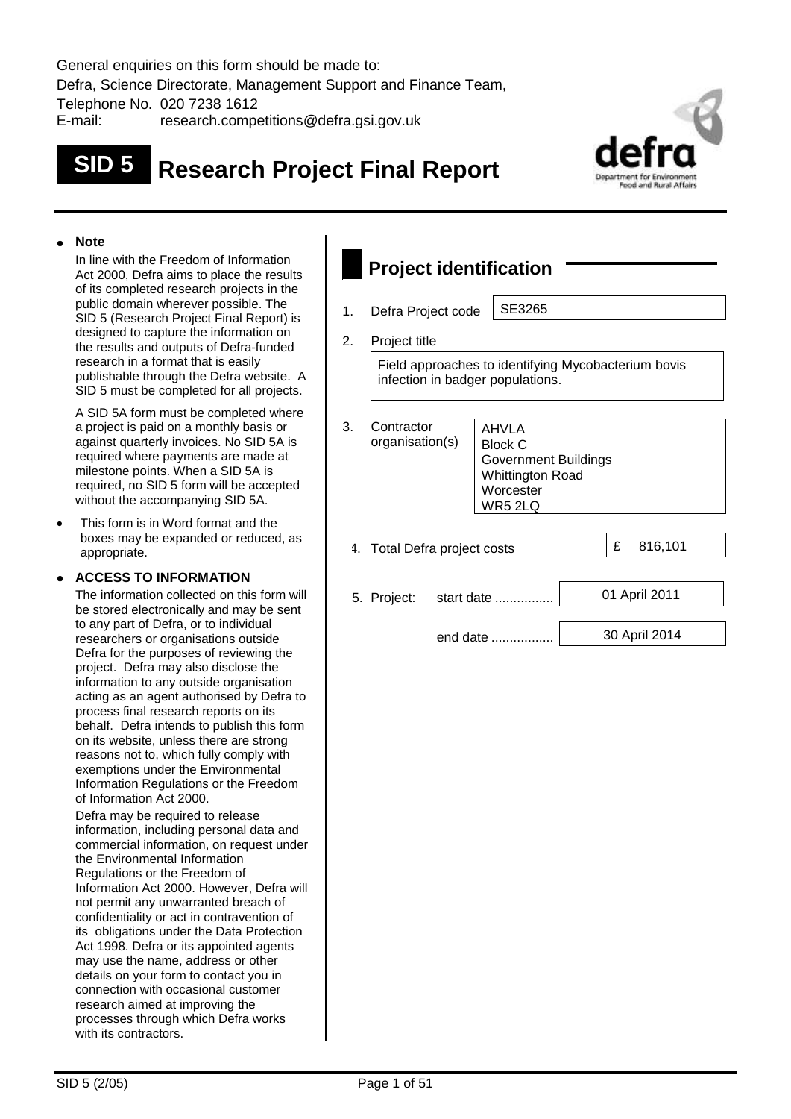General enquiries on this form should be made to: Defra, Science Directorate, Management Support and Finance Team, Telephone No. 020 7238 1612 E-mail: research.competitions@defra.gsi.gov.uk

# **SID 5 Research Project Final Report**



#### **Note**

In line with the Freedom of Information Act 2000, Defra aims to place the results of its completed research projects in the public domain wherever possible. The SID 5 (Research Project Final Report) is designed to capture the information on the results and outputs of Defra-funded research in a format that is easily publishable through the Defra website. A SID 5 must be completed for all projects.

A SID 5A form must be completed where a project is paid on a monthly basis or against quarterly invoices. No SID 5A is required where payments are made at milestone points. When a SID 5A is required, no SID 5 form will be accepted without the accompanying SID 5A.

 This form is in Word format and the boxes may be expanded or reduced, as appropriate.

#### **ACCESS TO INFORMATION**

The information collected on this form will be stored electronically and may be sent to any part of Defra, or to individual researchers or organisations outside Defra for the purposes of reviewing the project. Defra may also disclose the information to any outside organisation acting as an agent authorised by Defra to process final research reports on its behalf. Defra intends to publish this form on its website, unless there are strong reasons not to, which fully comply with exemptions under the Environmental Information Regulations or the Freedom of Information Act 2000.

Defra may be required to release information, including personal data and commercial information, on request under the Environmental Information Regulations or the Freedom of Information Act 2000. However, Defra will not permit any unwarranted breach of confidentiality or act in contravention of its obligations under the Data Protection Act 1998. Defra or its appointed agents may use the name, address or other details on your form to contact you in connection with occasional customer research aimed at improving the processes through which Defra works with its contractors.

## **Project identification**

1. Defra Project code | SE3265

2. Project title

Field approaches to identifying Mycobacterium bovis infection in badger populations.

| 3. | Contractor<br>organisation(s) |  | <b>AHVLA</b><br><b>Block C</b><br><b>Government Buildings</b><br><b>Whittington Road</b><br>Worcester<br>WR5 2LQ |  |   |               |
|----|-------------------------------|--|------------------------------------------------------------------------------------------------------------------|--|---|---------------|
|    | 4. Total Defra project costs  |  |                                                                                                                  |  | £ | 816,101       |
|    |                               |  |                                                                                                                  |  |   |               |
|    | 5. Project:                   |  | start date                                                                                                       |  |   | 01 April 2011 |
|    |                               |  | end date                                                                                                         |  |   | 30 April 2014 |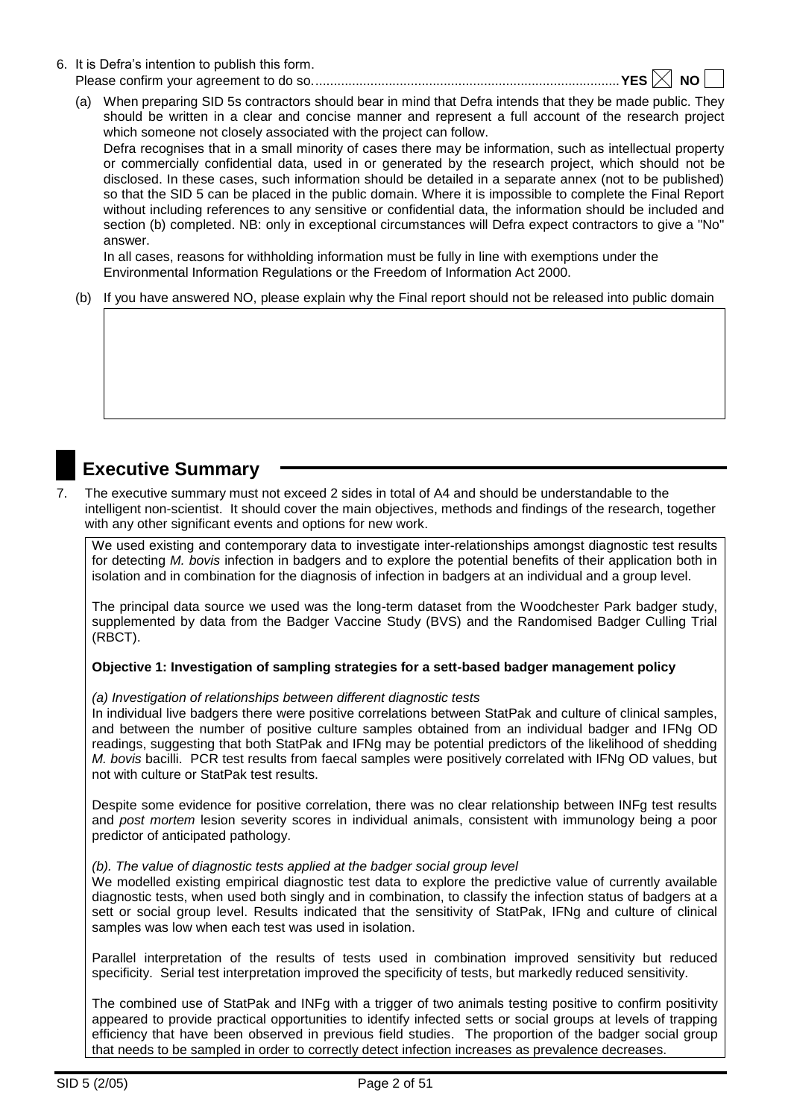6. It is Defra's intention to publish this form.

Please confirm your agreement to do so....................................................................................**YES NO** 

(a) When preparing SID 5s contractors should bear in mind that Defra intends that they be made public. They should be written in a clear and concise manner and represent a full account of the research project which someone not closely associated with the project can follow.

Defra recognises that in a small minority of cases there may be information, such as intellectual property or commercially confidential data, used in or generated by the research project, which should not be disclosed. In these cases, such information should be detailed in a separate annex (not to be published) so that the SID 5 can be placed in the public domain. Where it is impossible to complete the Final Report without including references to any sensitive or confidential data, the information should be included and section (b) completed. NB: only in exceptional circumstances will Defra expect contractors to give a "No" answer.

In all cases, reasons for withholding information must be fully in line with exemptions under the Environmental Information Regulations or the Freedom of Information Act 2000.

(b) If you have answered NO, please explain why the Final report should not be released into public domain

## **Executive Summary**

7. The executive summary must not exceed 2 sides in total of A4 and should be understandable to the intelligent non-scientist. It should cover the main objectives, methods and findings of the research, together with any other significant events and options for new work.

We used existing and contemporary data to investigate inter-relationships amongst diagnostic test results for detecting *M. bovis* infection in badgers and to explore the potential benefits of their application both in isolation and in combination for the diagnosis of infection in badgers at an individual and a group level.

The principal data source we used was the long-term dataset from the Woodchester Park badger study, supplemented by data from the Badger Vaccine Study (BVS) and the Randomised Badger Culling Trial (RBCT).

#### **Objective 1: Investigation of sampling strategies for a sett-based badger management policy**

*(a) Investigation of relationships between different diagnostic tests*

In individual live badgers there were positive correlations between StatPak and culture of clinical samples, and between the number of positive culture samples obtained from an individual badger and IFNg OD readings, suggesting that both StatPak and IFNg may be potential predictors of the likelihood of shedding *M. bovis* bacilli. PCR test results from faecal samples were positively correlated with IFNg OD values, but not with culture or StatPak test results.

Despite some evidence for positive correlation, there was no clear relationship between INFg test results and *post mortem* lesion severity scores in individual animals, consistent with immunology being a poor predictor of anticipated pathology.

#### *(b). The value of diagnostic tests applied at the badger social group level*

We modelled existing empirical diagnostic test data to explore the predictive value of currently available diagnostic tests, when used both singly and in combination, to classify the infection status of badgers at a sett or social group level. Results indicated that the sensitivity of StatPak, IFNg and culture of clinical samples was low when each test was used in isolation.

Parallel interpretation of the results of tests used in combination improved sensitivity but reduced specificity. Serial test interpretation improved the specificity of tests, but markedly reduced sensitivity.

The combined use of StatPak and INFg with a trigger of two animals testing positive to confirm positivity appeared to provide practical opportunities to identify infected setts or social groups at levels of trapping efficiency that have been observed in previous field studies. The proportion of the badger social group that needs to be sampled in order to correctly detect infection increases as prevalence decreases.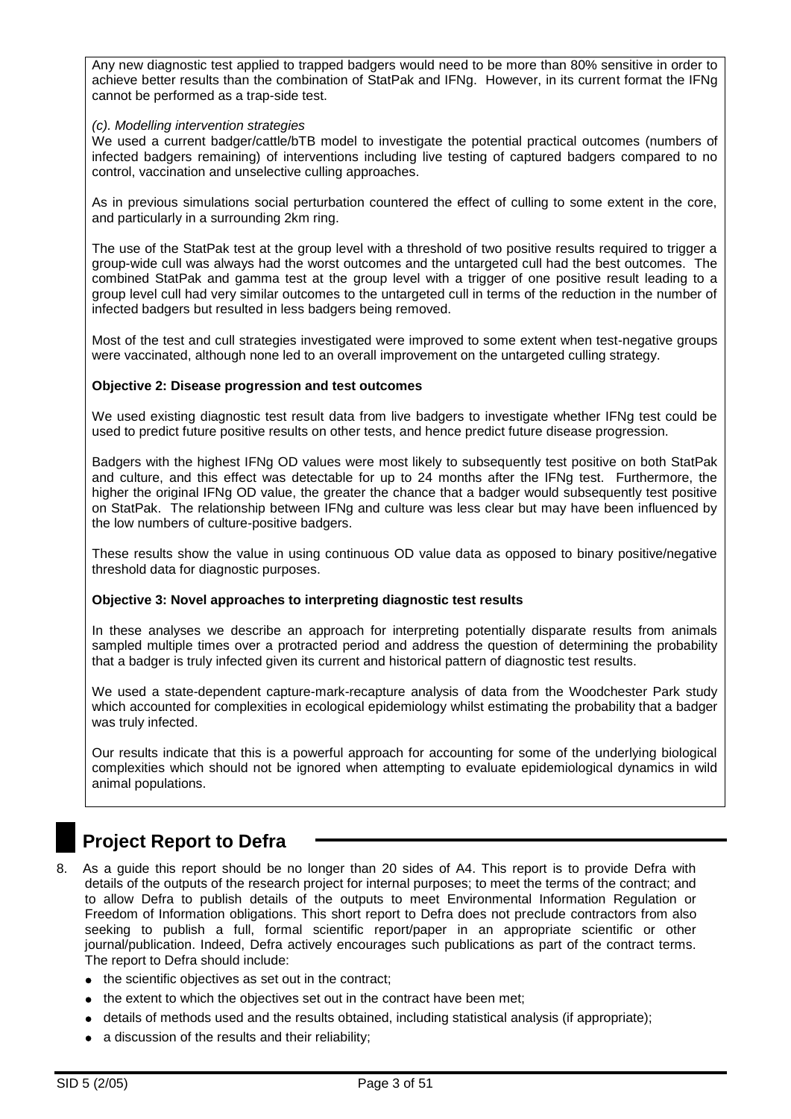Any new diagnostic test applied to trapped badgers would need to be more than 80% sensitive in order to achieve better results than the combination of StatPak and IFNg. However, in its current format the IFNg cannot be performed as a trap-side test.

#### *(c). Modelling intervention strategies*

We used a current badger/cattle/bTB model to investigate the potential practical outcomes (numbers of infected badgers remaining) of interventions including live testing of captured badgers compared to no control, vaccination and unselective culling approaches.

As in previous simulations social perturbation countered the effect of culling to some extent in the core, and particularly in a surrounding 2km ring.

The use of the StatPak test at the group level with a threshold of two positive results required to trigger a group-wide cull was always had the worst outcomes and the untargeted cull had the best outcomes. The combined StatPak and gamma test at the group level with a trigger of one positive result leading to a group level cull had very similar outcomes to the untargeted cull in terms of the reduction in the number of infected badgers but resulted in less badgers being removed.

Most of the test and cull strategies investigated were improved to some extent when test-negative groups were vaccinated, although none led to an overall improvement on the untargeted culling strategy.

#### **Objective 2: Disease progression and test outcomes**

We used existing diagnostic test result data from live badgers to investigate whether IFNg test could be used to predict future positive results on other tests, and hence predict future disease progression.

Badgers with the highest IFNg OD values were most likely to subsequently test positive on both StatPak and culture, and this effect was detectable for up to 24 months after the IFNg test. Furthermore, the higher the original IFNg OD value, the greater the chance that a badger would subsequently test positive on StatPak. The relationship between IFNg and culture was less clear but may have been influenced by the low numbers of culture-positive badgers.

These results show the value in using continuous OD value data as opposed to binary positive/negative threshold data for diagnostic purposes.

#### **Objective 3: Novel approaches to interpreting diagnostic test results**

In these analyses we describe an approach for interpreting potentially disparate results from animals sampled multiple times over a protracted period and address the question of determining the probability that a badger is truly infected given its current and historical pattern of diagnostic test results.

We used a state-dependent capture-mark-recapture analysis of data from the Woodchester Park study which accounted for complexities in ecological epidemiology whilst estimating the probability that a badger was truly infected.

Our results indicate that this is a powerful approach for accounting for some of the underlying biological complexities which should not be ignored when attempting to evaluate epidemiological dynamics in wild animal populations.

## **Project Report to Defra**

- 8. As a guide this report should be no longer than 20 sides of A4. This report is to provide Defra with details of the outputs of the research project for internal purposes; to meet the terms of the contract; and to allow Defra to publish details of the outputs to meet Environmental Information Regulation or Freedom of Information obligations. This short report to Defra does not preclude contractors from also seeking to publish a full, formal scientific report/paper in an appropriate scientific or other journal/publication. Indeed, Defra actively encourages such publications as part of the contract terms. The report to Defra should include:
	- the scientific objectives as set out in the contract;
	- the extent to which the objectives set out in the contract have been met;
	- $\bullet$  details of methods used and the results obtained, including statistical analysis (if appropriate);
	- a discussion of the results and their reliability;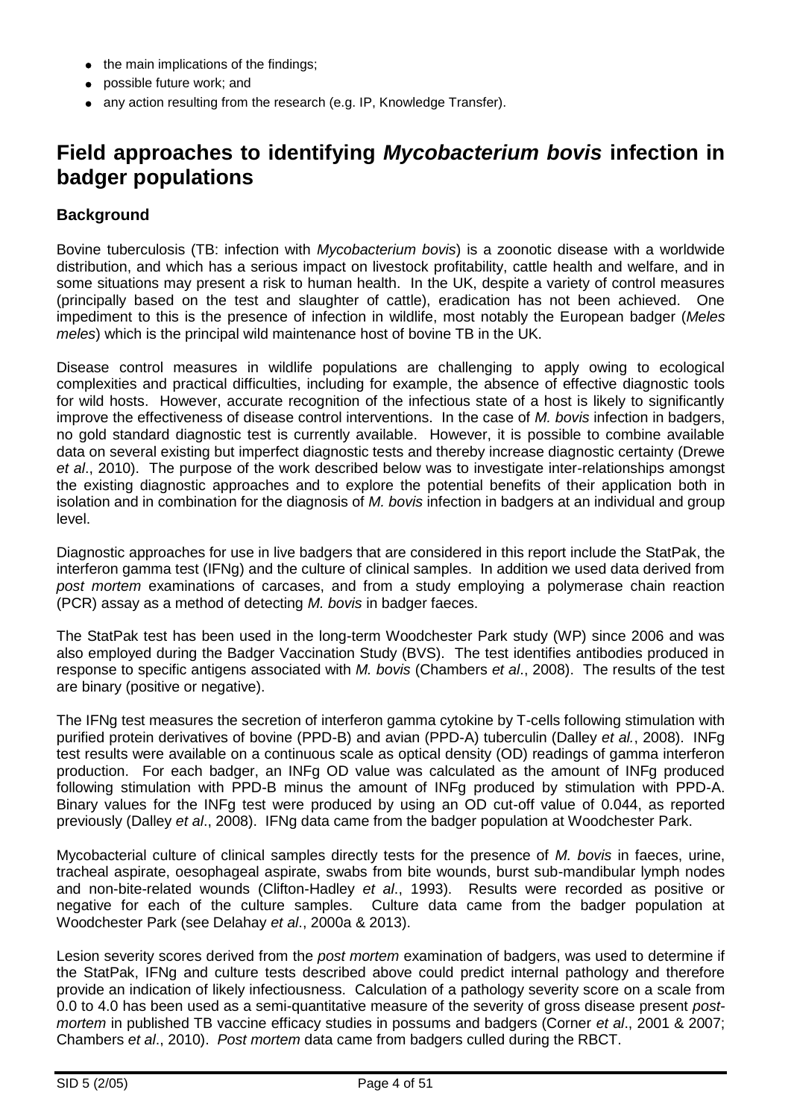- the main implications of the findings;
- possible future work; and
- any action resulting from the research (e.g. IP, Knowledge Transfer).

## **Field approaches to identifying** *Mycobacterium bovis* **infection in badger populations**

## **Background**

Bovine tuberculosis (TB: infection with *Mycobacterium bovis*) is a zoonotic disease with a worldwide distribution, and which has a serious impact on livestock profitability, cattle health and welfare, and in some situations may present a risk to human health. In the UK, despite a variety of control measures (principally based on the test and slaughter of cattle), eradication has not been achieved. One impediment to this is the presence of infection in wildlife, most notably the European badger (*Meles meles*) which is the principal wild maintenance host of bovine TB in the UK.

Disease control measures in wildlife populations are challenging to apply owing to ecological complexities and practical difficulties, including for example, the absence of effective diagnostic tools for wild hosts. However, accurate recognition of the infectious state of a host is likely to significantly improve the effectiveness of disease control interventions. In the case of *M. bovis* infection in badgers, no gold standard diagnostic test is currently available. However, it is possible to combine available data on several existing but imperfect diagnostic tests and thereby increase diagnostic certainty (Drewe *et al*., 2010). The purpose of the work described below was to investigate inter-relationships amongst the existing diagnostic approaches and to explore the potential benefits of their application both in isolation and in combination for the diagnosis of *M. bovis* infection in badgers at an individual and group level.

Diagnostic approaches for use in live badgers that are considered in this report include the StatPak, the interferon gamma test (IFNg) and the culture of clinical samples. In addition we used data derived from *post mortem* examinations of carcases, and from a study employing a polymerase chain reaction (PCR) assay as a method of detecting *M. bovis* in badger faeces.

The StatPak test has been used in the long-term Woodchester Park study (WP) since 2006 and was also employed during the Badger Vaccination Study (BVS). The test identifies antibodies produced in response to specific antigens associated with *M. bovis* (Chambers *et al*., 2008). The results of the test are binary (positive or negative).

The IFNg test measures the secretion of interferon gamma cytokine by T-cells following stimulation with purified protein derivatives of bovine (PPD-B) and avian (PPD-A) tuberculin (Dalley *et al.*, 2008). INFg test results were available on a continuous scale as optical density (OD) readings of gamma interferon production. For each badger, an INFg OD value was calculated as the amount of INFg produced following stimulation with PPD-B minus the amount of INFg produced by stimulation with PPD-A. Binary values for the INFg test were produced by using an OD cut-off value of 0.044, as reported previously (Dalley *et al*., 2008). IFNg data came from the badger population at Woodchester Park.

Mycobacterial culture of clinical samples directly tests for the presence of *M. bovis* in faeces, urine, tracheal aspirate, oesophageal aspirate, swabs from bite wounds, burst sub-mandibular lymph nodes and non-bite-related wounds (Clifton-Hadley *et al*., 1993). Results were recorded as positive or negative for each of the culture samples. Culture data came from the badger population at Woodchester Park (see Delahay *et al*., 2000a & 2013).

Lesion severity scores derived from the *post mortem* examination of badgers, was used to determine if the StatPak, IFNg and culture tests described above could predict internal pathology and therefore provide an indication of likely infectiousness. Calculation of a pathology severity score on a scale from 0.0 to 4.0 has been used as a semi-quantitative measure of the severity of gross disease present *postmortem* in published TB vaccine efficacy studies in possums and badgers (Corner *et al*., 2001 & 2007; Chambers *et al*., 2010). *Post mortem* data came from badgers culled during the RBCT.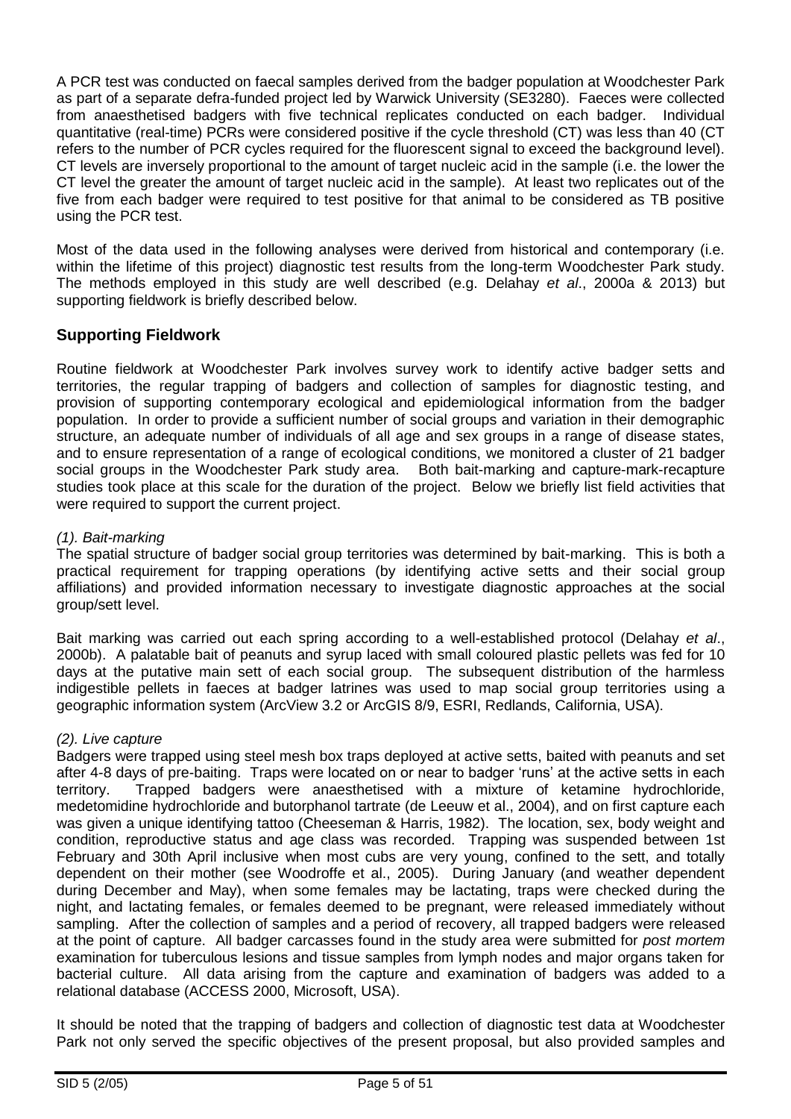A PCR test was conducted on faecal samples derived from the badger population at Woodchester Park as part of a separate defra-funded project led by Warwick University (SE3280). Faeces were collected from anaesthetised badgers with five technical replicates conducted on each badger. Individual quantitative (real-time) PCRs were considered positive if the cycle threshold (CT) was less than 40 (CT refers to the number of PCR cycles required for the fluorescent signal to exceed the background level). CT levels are inversely proportional to the amount of target nucleic acid in the sample (i.e. the lower the CT level the greater the amount of target nucleic acid in the sample). At least two replicates out of the five from each badger were required to test positive for that animal to be considered as TB positive using the PCR test.

Most of the data used in the following analyses were derived from historical and contemporary (i.e. within the lifetime of this project) diagnostic test results from the long-term Woodchester Park study. The methods employed in this study are well described (e.g. Delahay *et al*., 2000a & 2013) but supporting fieldwork is briefly described below.

## **Supporting Fieldwork**

Routine fieldwork at Woodchester Park involves survey work to identify active badger setts and territories, the regular trapping of badgers and collection of samples for diagnostic testing, and provision of supporting contemporary ecological and epidemiological information from the badger population. In order to provide a sufficient number of social groups and variation in their demographic structure, an adequate number of individuals of all age and sex groups in a range of disease states, and to ensure representation of a range of ecological conditions, we monitored a cluster of 21 badger social groups in the Woodchester Park study area. Both bait-marking and capture-mark-recapture studies took place at this scale for the duration of the project. Below we briefly list field activities that were required to support the current project.

### *(1). Bait-marking*

The spatial structure of badger social group territories was determined by bait-marking. This is both a practical requirement for trapping operations (by identifying active setts and their social group affiliations) and provided information necessary to investigate diagnostic approaches at the social group/sett level.

Bait marking was carried out each spring according to a well-established protocol (Delahay *et al*., 2000b). A palatable bait of peanuts and syrup laced with small coloured plastic pellets was fed for 10 days at the putative main sett of each social group. The subsequent distribution of the harmless indigestible pellets in faeces at badger latrines was used to map social group territories using a geographic information system (ArcView 3.2 or ArcGIS 8/9, ESRI, Redlands, California, USA).

#### *(2). Live capture*

Badgers were trapped using steel mesh box traps deployed at active setts, baited with peanuts and set after 4-8 days of pre-baiting. Traps were located on or near to badger 'runs' at the active setts in each territory. Trapped badgers were anaesthetised with a mixture of ketamine hydrochloride, medetomidine hydrochloride and butorphanol tartrate (de Leeuw et al., 2004), and on first capture each was given a unique identifying tattoo (Cheeseman & Harris, 1982). The location, sex, body weight and condition, reproductive status and age class was recorded. Trapping was suspended between 1st February and 30th April inclusive when most cubs are very young, confined to the sett, and totally dependent on their mother (see Woodroffe et al., 2005). During January (and weather dependent during December and May), when some females may be lactating, traps were checked during the night, and lactating females, or females deemed to be pregnant, were released immediately without sampling. After the collection of samples and a period of recovery, all trapped badgers were released at the point of capture. All badger carcasses found in the study area were submitted for *post mortem* examination for tuberculous lesions and tissue samples from lymph nodes and major organs taken for bacterial culture. All data arising from the capture and examination of badgers was added to a relational database (ACCESS 2000, Microsoft, USA).

It should be noted that the trapping of badgers and collection of diagnostic test data at Woodchester Park not only served the specific objectives of the present proposal, but also provided samples and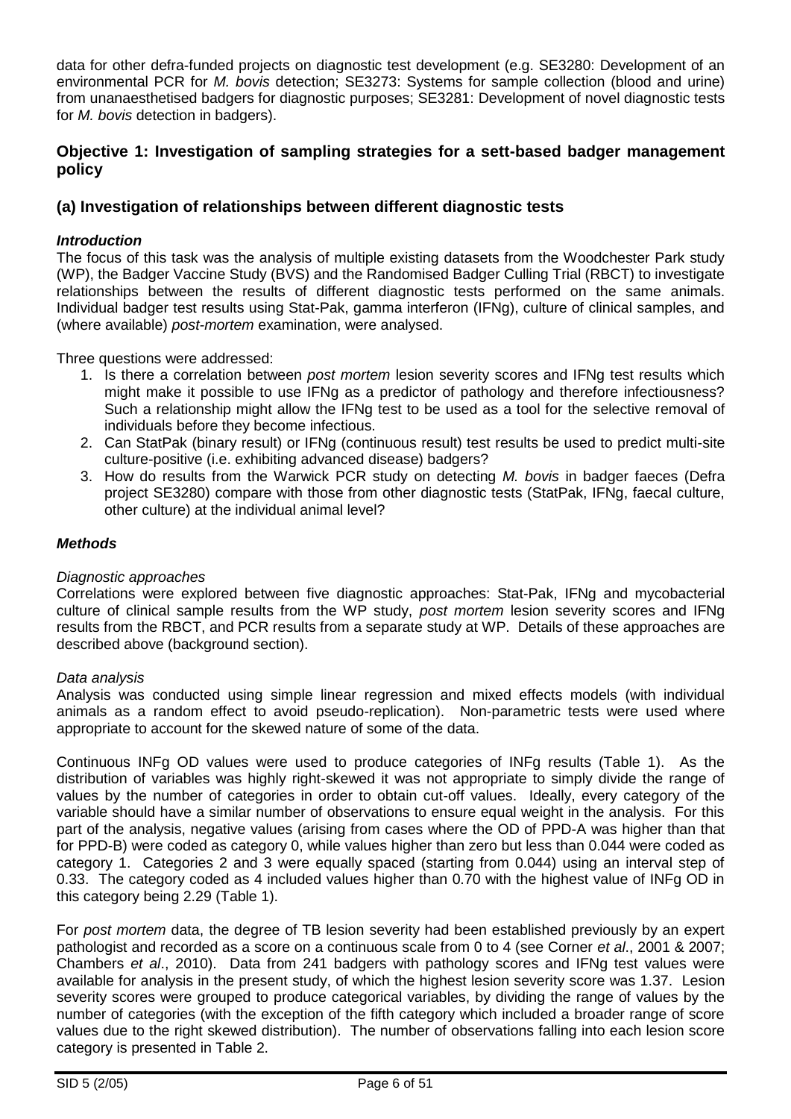data for other defra-funded projects on diagnostic test development (e.g. SE3280: Development of an environmental PCR for *M. bovis* detection; SE3273: Systems for sample collection (blood and urine) from unanaesthetised badgers for diagnostic purposes; SE3281: Development of novel diagnostic tests for *M. bovis* detection in badgers).

### **Objective 1: Investigation of sampling strategies for a sett-based badger management policy**

### **(a) Investigation of relationships between different diagnostic tests**

#### *Introduction*

The focus of this task was the analysis of multiple existing datasets from the Woodchester Park study (WP), the Badger Vaccine Study (BVS) and the Randomised Badger Culling Trial (RBCT) to investigate relationships between the results of different diagnostic tests performed on the same animals. Individual badger test results using Stat-Pak, gamma interferon (IFNg), culture of clinical samples, and (where available) *post-mortem* examination, were analysed.

Three questions were addressed:

- 1. Is there a correlation between *post mortem* lesion severity scores and IFNg test results which might make it possible to use IFNg as a predictor of pathology and therefore infectiousness? Such a relationship might allow the IFNg test to be used as a tool for the selective removal of individuals before they become infectious.
- 2. Can StatPak (binary result) or IFNg (continuous result) test results be used to predict multi-site culture-positive (i.e. exhibiting advanced disease) badgers?
- 3. How do results from the Warwick PCR study on detecting *M. bovis* in badger faeces (Defra project SE3280) compare with those from other diagnostic tests (StatPak, IFNg, faecal culture, other culture) at the individual animal level?

#### *Methods*

#### *Diagnostic approaches*

Correlations were explored between five diagnostic approaches: Stat-Pak, IFNg and mycobacterial culture of clinical sample results from the WP study, *post mortem* lesion severity scores and IFNg results from the RBCT, and PCR results from a separate study at WP. Details of these approaches are described above (background section).

#### *Data analysis*

Analysis was conducted using simple linear regression and mixed effects models (with individual animals as a random effect to avoid pseudo-replication). Non-parametric tests were used where appropriate to account for the skewed nature of some of the data.

Continuous INFg OD values were used to produce categories of INFg results (Table 1). As the distribution of variables was highly right-skewed it was not appropriate to simply divide the range of values by the number of categories in order to obtain cut-off values. Ideally, every category of the variable should have a similar number of observations to ensure equal weight in the analysis. For this part of the analysis, negative values (arising from cases where the OD of PPD-A was higher than that for PPD-B) were coded as category 0, while values higher than zero but less than 0.044 were coded as category 1. Categories 2 and 3 were equally spaced (starting from 0.044) using an interval step of 0.33. The category coded as 4 included values higher than 0.70 with the highest value of INFg OD in this category being 2.29 (Table 1).

For *post mortem* data, the degree of TB lesion severity had been established previously by an expert pathologist and recorded as a score on a continuous scale from 0 to 4 (see Corner *et al*., 2001 & 2007; Chambers *et al*., 2010). Data from 241 badgers with pathology scores and IFNg test values were available for analysis in the present study, of which the highest lesion severity score was 1.37. Lesion severity scores were grouped to produce categorical variables, by dividing the range of values by the number of categories (with the exception of the fifth category which included a broader range of score values due to the right skewed distribution). The number of observations falling into each lesion score category is presented in Table 2.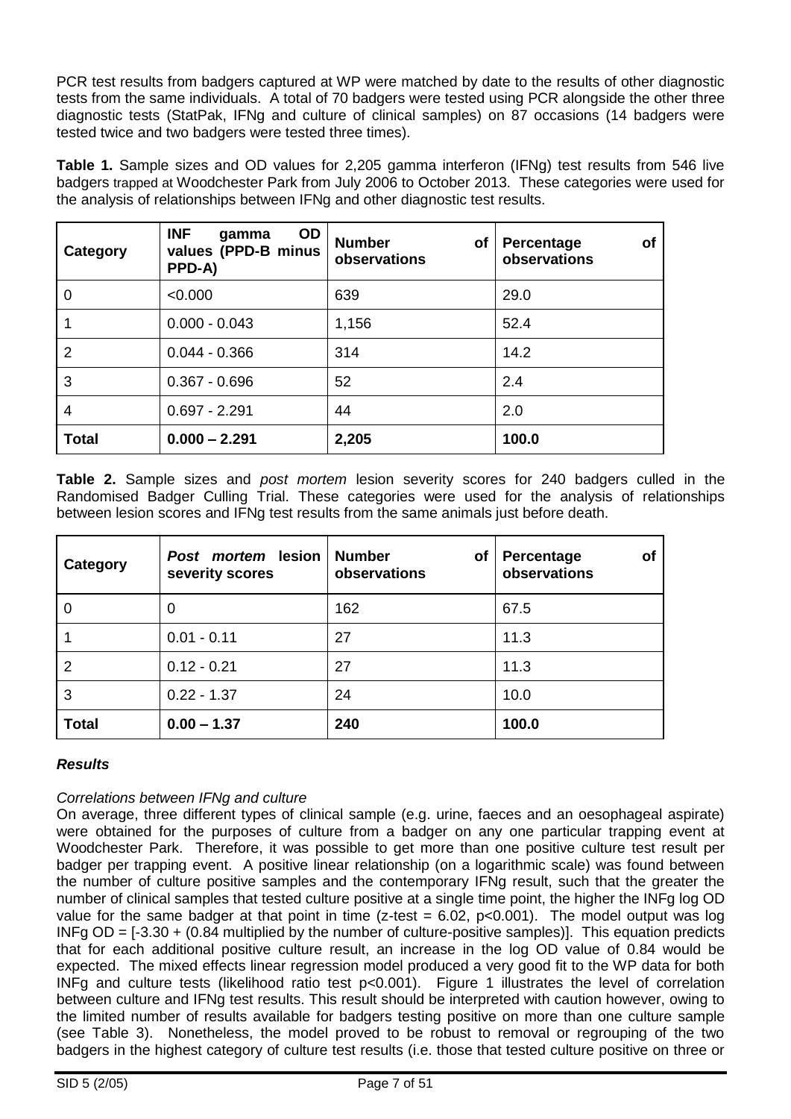PCR test results from badgers captured at WP were matched by date to the results of other diagnostic tests from the same individuals. A total of 70 badgers were tested using PCR alongside the other three diagnostic tests (StatPak, IFNg and culture of clinical samples) on 87 occasions (14 badgers were tested twice and two badgers were tested three times).

**Table 1.** Sample sizes and OD values for 2,205 gamma interferon (IFNg) test results from 546 live badgers trapped at Woodchester Park from July 2006 to October 2013. These categories were used for the analysis of relationships between IFNg and other diagnostic test results.

| Category       | <b>INF</b><br>OD<br>gamma<br>values (PPD-B minus<br>PPD-A) | <b>Number</b><br><b>of</b><br>observations | <b>of</b><br>Percentage<br>observations |
|----------------|------------------------------------------------------------|--------------------------------------------|-----------------------------------------|
| 0              | < 0.000                                                    | 639                                        | 29.0                                    |
|                | $0.000 - 0.043$                                            | 1,156                                      | 52.4                                    |
| $\overline{2}$ | $0.044 - 0.366$                                            | 314                                        | 14.2                                    |
| 3              | $0.367 - 0.696$                                            | 52                                         | 2.4                                     |
| 4              | $0.697 - 2.291$                                            | 44                                         | 2.0                                     |
| <b>Total</b>   | $0.000 - 2.291$                                            | 2,205                                      | 100.0                                   |

**Table 2.** Sample sizes and *post mortem* lesion severity scores for 240 badgers culled in the Randomised Badger Culling Trial. These categories were used for the analysis of relationships between lesion scores and IFNg test results from the same animals just before death.

| Category       | Post mortem lesion<br>severity scores | <b>Number</b><br><b>of</b><br>observations | Percentage<br>οf<br>observations |
|----------------|---------------------------------------|--------------------------------------------|----------------------------------|
| 0              | 0                                     | 162                                        | 67.5                             |
|                | $0.01 - 0.11$                         | 27                                         | 11.3                             |
| $\overline{2}$ | $0.12 - 0.21$                         | 27                                         | 11.3                             |
| 3              | $0.22 - 1.37$                         | 24                                         | 10.0                             |
| <b>Total</b>   | $0.00 - 1.37$                         | 240                                        | 100.0                            |

### *Results*

### *Correlations between IFNg and culture*

On average, three different types of clinical sample (e.g. urine, faeces and an oesophageal aspirate) were obtained for the purposes of culture from a badger on any one particular trapping event at Woodchester Park. Therefore, it was possible to get more than one positive culture test result per badger per trapping event. A positive linear relationship (on a logarithmic scale) was found between the number of culture positive samples and the contemporary IFNg result, such that the greater the number of clinical samples that tested culture positive at a single time point, the higher the INFg log OD value for the same badger at that point in time ( $z$ -test = 6.02,  $p$  <0.001). The model output was log  $INFg OD = [-3.30 + (0.84$  multiplied by the number of culture-positive samples)]. This equation predicts that for each additional positive culture result, an increase in the log OD value of 0.84 would be expected. The mixed effects linear regression model produced a very good fit to the WP data for both INFg and culture tests (likelihood ratio test p<0.001). Figure 1 illustrates the level of correlation between culture and IFNg test results. This result should be interpreted with caution however, owing to the limited number of results available for badgers testing positive on more than one culture sample (see Table 3). Nonetheless, the model proved to be robust to removal or regrouping of the two badgers in the highest category of culture test results (i.e. those that tested culture positive on three or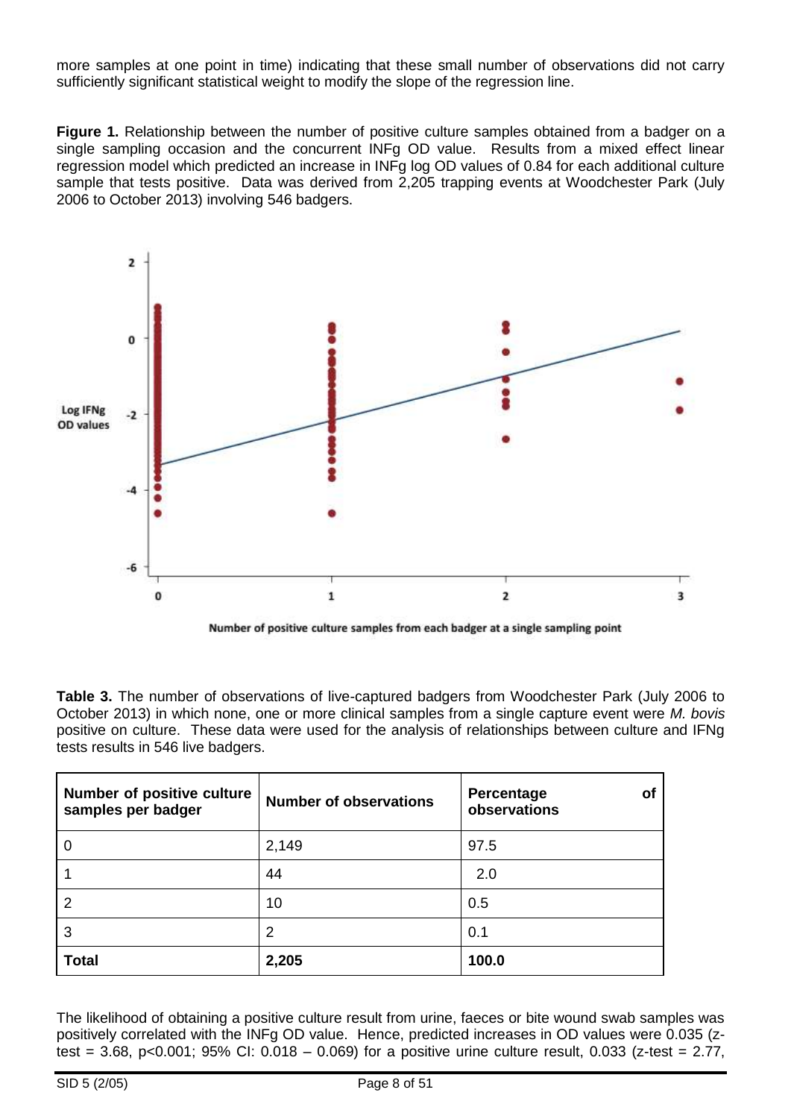more samples at one point in time) indicating that these small number of observations did not carry sufficiently significant statistical weight to modify the slope of the regression line.

**Figure 1.** Relationship between the number of positive culture samples obtained from a badger on a single sampling occasion and the concurrent INFg OD value. Results from a mixed effect linear regression model which predicted an increase in INFg log OD values of 0.84 for each additional culture sample that tests positive. Data was derived from 2,205 trapping events at Woodchester Park (July 2006 to October 2013) involving 546 badgers.



Number of positive culture samples from each badger at a single sampling point

**Table 3.** The number of observations of live-captured badgers from Woodchester Park (July 2006 to October 2013) in which none, one or more clinical samples from a single capture event were *M. bovis* positive on culture. These data were used for the analysis of relationships between culture and IFNg tests results in 546 live badgers.

| <b>Number of positive culture</b><br>samples per badger | <b>Number of observations</b> | <b>Percentage</b><br>оf<br>observations |
|---------------------------------------------------------|-------------------------------|-----------------------------------------|
| 0                                                       | 2,149                         | 97.5                                    |
|                                                         | 44                            | 2.0                                     |
| 2                                                       | 10                            | 0.5                                     |
| 3                                                       | 2                             | 0.1                                     |
| <b>Total</b>                                            | 2,205                         | 100.0                                   |

The likelihood of obtaining a positive culture result from urine, faeces or bite wound swab samples was positively correlated with the INFg OD value. Hence, predicted increases in OD values were 0.035 (ztest = 3.68, p<0.001; 95% CI: 0.018 – 0.069) for a positive urine culture result, 0.033 (z-test = 2.77,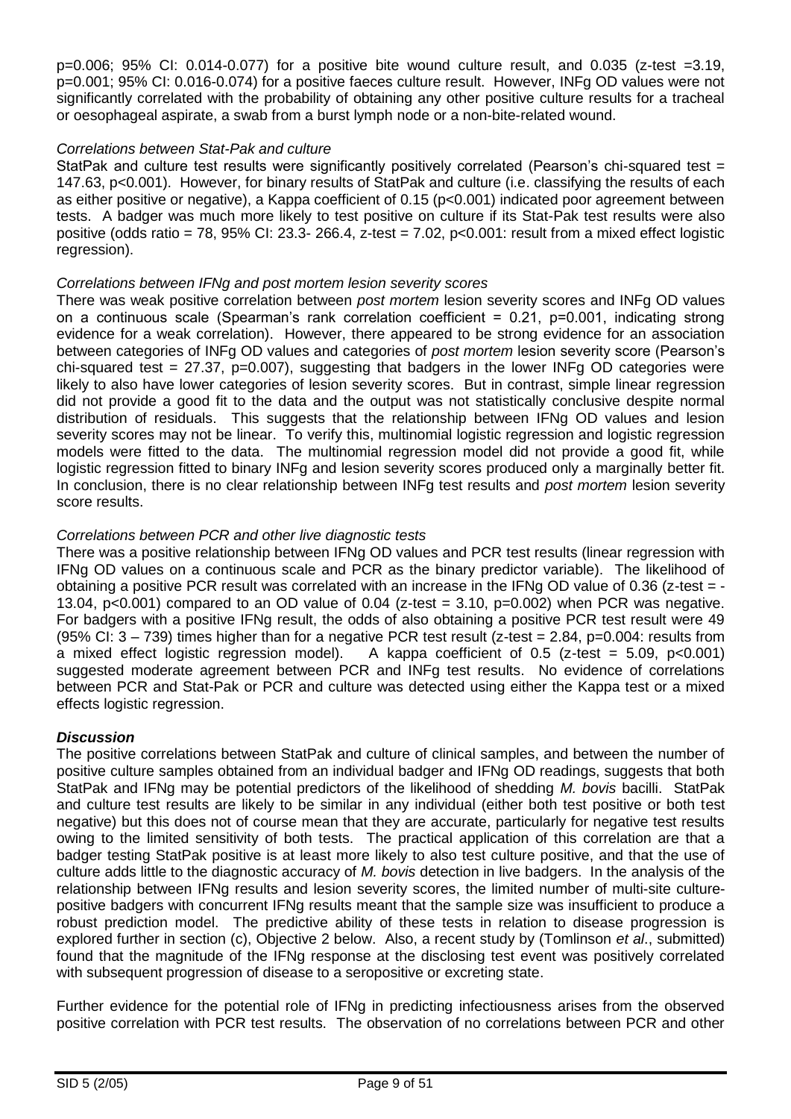p=0.006; 95% CI: 0.014-0.077) for a positive bite wound culture result, and 0.035 (z-test =3.19, p=0.001; 95% CI: 0.016-0.074) for a positive faeces culture result. However, INFg OD values were not significantly correlated with the probability of obtaining any other positive culture results for a tracheal or oesophageal aspirate, a swab from a burst lymph node or a non-bite-related wound.

#### *Correlations between Stat-Pak and culture*

StatPak and culture test results were significantly positively correlated (Pearson's chi-squared test = 147.63, p<0.001). However, for binary results of StatPak and culture (i.e. classifying the results of each as either positive or negative), a Kappa coefficient of 0.15 (p<0.001) indicated poor agreement between tests. A badger was much more likely to test positive on culture if its Stat-Pak test results were also positive (odds ratio = 78, 95% CI: 23.3- 266.4, z-test = 7.02, p<0.001: result from a mixed effect logistic regression).

#### *Correlations between IFNg and post mortem lesion severity scores*

There was weak positive correlation between *post mortem* lesion severity scores and INFg OD values on a continuous scale (Spearman's rank correlation coefficient =  $0.21$ , p=0.001, indicating strong evidence for a weak correlation). However, there appeared to be strong evidence for an association between categories of INFg OD values and categories of *post mortem* lesion severity score (Pearson's chi-squared test =  $27.37$ , p=0.007), suggesting that badgers in the lower INFg OD categories were likely to also have lower categories of lesion severity scores. But in contrast, simple linear regression did not provide a good fit to the data and the output was not statistically conclusive despite normal distribution of residuals. This suggests that the relationship between IFNg OD values and lesion severity scores may not be linear. To verify this, multinomial logistic regression and logistic regression models were fitted to the data. The multinomial regression model did not provide a good fit, while logistic regression fitted to binary INFg and lesion severity scores produced only a marginally better fit. In conclusion, there is no clear relationship between INFg test results and *post mortem* lesion severity score results.

#### *Correlations between PCR and other live diagnostic tests*

There was a positive relationship between IFNg OD values and PCR test results (linear regression with IFNg OD values on a continuous scale and PCR as the binary predictor variable). The likelihood of obtaining a positive PCR result was correlated with an increase in the IFNg OD value of 0.36 (z-test = - 13.04,  $p<0.001$ ) compared to an OD value of 0.04 (z-test = 3.10,  $p=0.002$ ) when PCR was negative. For badgers with a positive IFNg result, the odds of also obtaining a positive PCR test result were 49 (95% CI:  $3 - 739$ ) times higher than for a negative PCR test result (z-test = 2.84, p=0.004: results from a mixed effect logistic regression model). A kappa coefficient of 0.5 (z-test  $= 5.09$ , p $<0.001$ ) suggested moderate agreement between PCR and INFg test results. No evidence of correlations between PCR and Stat-Pak or PCR and culture was detected using either the Kappa test or a mixed effects logistic regression.

#### *Discussion*

The positive correlations between StatPak and culture of clinical samples, and between the number of positive culture samples obtained from an individual badger and IFNg OD readings, suggests that both StatPak and IFNg may be potential predictors of the likelihood of shedding *M. bovis* bacilli. StatPak and culture test results are likely to be similar in any individual (either both test positive or both test negative) but this does not of course mean that they are accurate, particularly for negative test results owing to the limited sensitivity of both tests. The practical application of this correlation are that a badger testing StatPak positive is at least more likely to also test culture positive, and that the use of culture adds little to the diagnostic accuracy of *M. bovis* detection in live badgers. In the analysis of the relationship between IFNg results and lesion severity scores, the limited number of multi-site culturepositive badgers with concurrent IFNg results meant that the sample size was insufficient to produce a robust prediction model. The predictive ability of these tests in relation to disease progression is explored further in section (c), Objective 2 below. Also, a recent study by (Tomlinson *et al*., submitted) found that the magnitude of the IFNg response at the disclosing test event was positively correlated with subsequent progression of disease to a seropositive or excreting state.

Further evidence for the potential role of IFNg in predicting infectiousness arises from the observed positive correlation with PCR test results. The observation of no correlations between PCR and other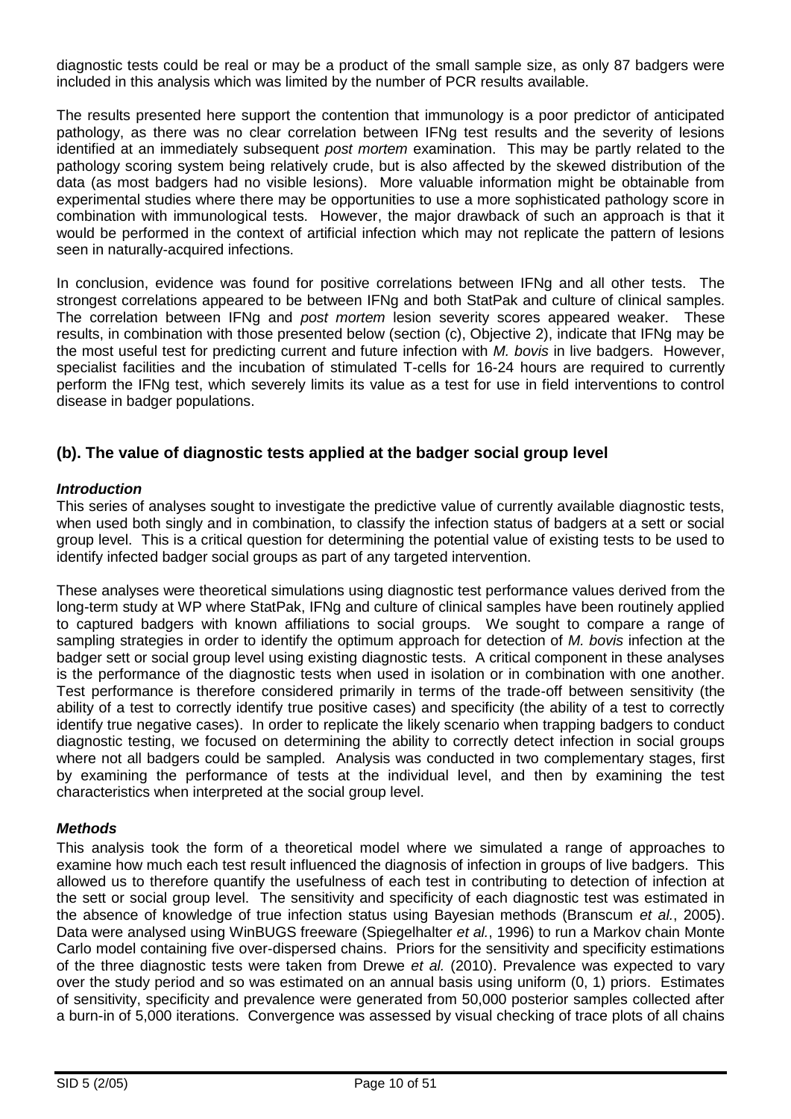diagnostic tests could be real or may be a product of the small sample size, as only 87 badgers were included in this analysis which was limited by the number of PCR results available.

The results presented here support the contention that immunology is a poor predictor of anticipated pathology, as there was no clear correlation between IFNg test results and the severity of lesions identified at an immediately subsequent *post mortem* examination. This may be partly related to the pathology scoring system being relatively crude, but is also affected by the skewed distribution of the data (as most badgers had no visible lesions). More valuable information might be obtainable from experimental studies where there may be opportunities to use a more sophisticated pathology score in combination with immunological tests. However, the major drawback of such an approach is that it would be performed in the context of artificial infection which may not replicate the pattern of lesions seen in naturally-acquired infections.

In conclusion, evidence was found for positive correlations between IFNg and all other tests. The strongest correlations appeared to be between IFNg and both StatPak and culture of clinical samples. The correlation between IFNg and *post mortem* lesion severity scores appeared weaker. These results, in combination with those presented below (section (c), Objective 2), indicate that IFNg may be the most useful test for predicting current and future infection with *M. bovis* in live badgers. However, specialist facilities and the incubation of stimulated T-cells for 16-24 hours are required to currently perform the IFNg test, which severely limits its value as a test for use in field interventions to control disease in badger populations.

### **(b). The value of diagnostic tests applied at the badger social group level**

#### *Introduction*

This series of analyses sought to investigate the predictive value of currently available diagnostic tests, when used both singly and in combination, to classify the infection status of badgers at a sett or social group level. This is a critical question for determining the potential value of existing tests to be used to identify infected badger social groups as part of any targeted intervention.

These analyses were theoretical simulations using diagnostic test performance values derived from the long-term study at WP where StatPak, IFNg and culture of clinical samples have been routinely applied to captured badgers with known affiliations to social groups. We sought to compare a range of sampling strategies in order to identify the optimum approach for detection of *M. bovis* infection at the badger sett or social group level using existing diagnostic tests. A critical component in these analyses is the performance of the diagnostic tests when used in isolation or in combination with one another. Test performance is therefore considered primarily in terms of the trade-off between sensitivity (the ability of a test to correctly identify true positive cases) and specificity (the ability of a test to correctly identify true negative cases). In order to replicate the likely scenario when trapping badgers to conduct diagnostic testing, we focused on determining the ability to correctly detect infection in social groups where not all badgers could be sampled. Analysis was conducted in two complementary stages, first by examining the performance of tests at the individual level, and then by examining the test characteristics when interpreted at the social group level.

#### *Methods*

This analysis took the form of a theoretical model where we simulated a range of approaches to examine how much each test result influenced the diagnosis of infection in groups of live badgers. This allowed us to therefore quantify the usefulness of each test in contributing to detection of infection at the sett or social group level. The sensitivity and specificity of each diagnostic test was estimated in the absence of knowledge of true infection status using Bayesian methods (Branscum *et al.*, 2005). Data were analysed using WinBUGS freeware (Spiegelhalter *et al.*, 1996) to run a Markov chain Monte Carlo model containing five over-dispersed chains. Priors for the sensitivity and specificity estimations of the three diagnostic tests were taken from Drewe *et al.* (2010). Prevalence was expected to vary over the study period and so was estimated on an annual basis using uniform (0, 1) priors. Estimates of sensitivity, specificity and prevalence were generated from 50,000 posterior samples collected after a burn-in of 5,000 iterations. Convergence was assessed by visual checking of trace plots of all chains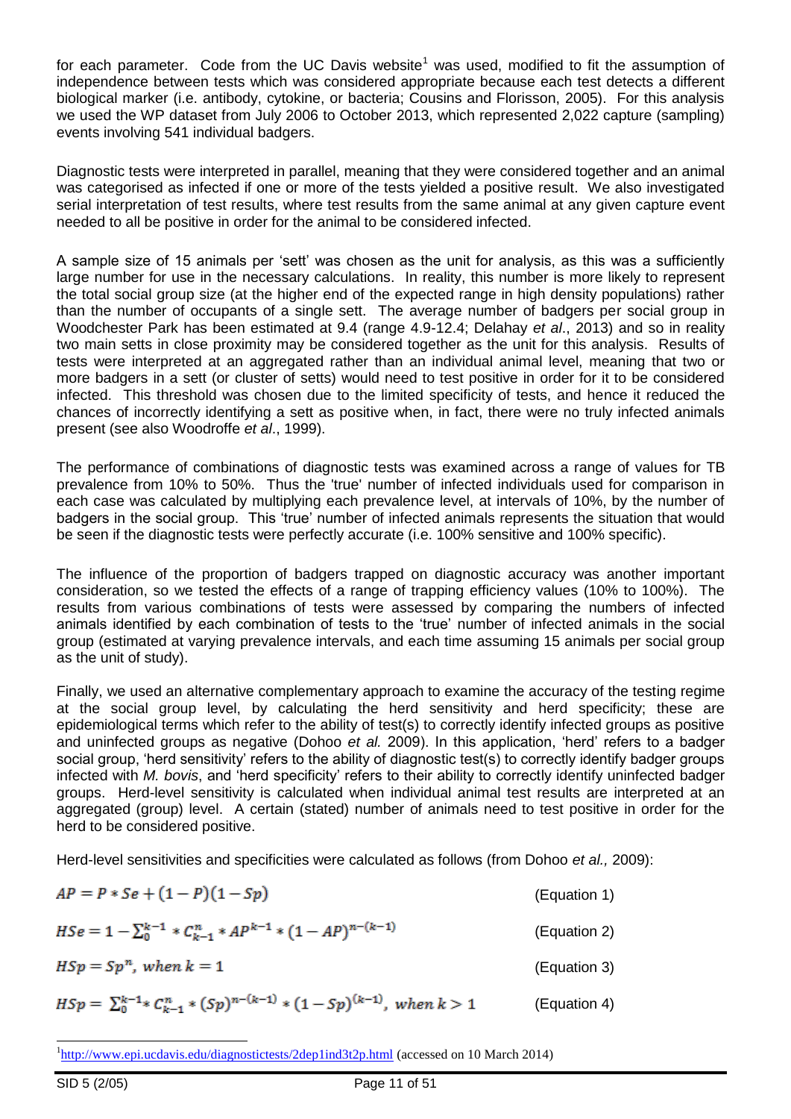for each parameter. Code from the UC Davis website<sup>1</sup> was used, modified to fit the assumption of independence between tests which was considered appropriate because each test detects a different biological marker (i.e. antibody, cytokine, or bacteria; Cousins and Florisson, 2005). For this analysis we used the WP dataset from July 2006 to October 2013, which represented 2,022 capture (sampling) events involving 541 individual badgers.

Diagnostic tests were interpreted in parallel, meaning that they were considered together and an animal was categorised as infected if one or more of the tests yielded a positive result. We also investigated serial interpretation of test results, where test results from the same animal at any given capture event needed to all be positive in order for the animal to be considered infected.

A sample size of 15 animals per 'sett' was chosen as the unit for analysis, as this was a sufficiently large number for use in the necessary calculations. In reality, this number is more likely to represent the total social group size (at the higher end of the expected range in high density populations) rather than the number of occupants of a single sett. The average number of badgers per social group in Woodchester Park has been estimated at 9.4 (range 4.9-12.4; Delahay *et al*., 2013) and so in reality two main setts in close proximity may be considered together as the unit for this analysis. Results of tests were interpreted at an aggregated rather than an individual animal level, meaning that two or more badgers in a sett (or cluster of setts) would need to test positive in order for it to be considered infected. This threshold was chosen due to the limited specificity of tests, and hence it reduced the chances of incorrectly identifying a sett as positive when, in fact, there were no truly infected animals present (see also Woodroffe *et al*., 1999).

The performance of combinations of diagnostic tests was examined across a range of values for TB prevalence from 10% to 50%. Thus the 'true' number of infected individuals used for comparison in each case was calculated by multiplying each prevalence level, at intervals of 10%, by the number of badgers in the social group. This 'true' number of infected animals represents the situation that would be seen if the diagnostic tests were perfectly accurate (i.e. 100% sensitive and 100% specific).

The influence of the proportion of badgers trapped on diagnostic accuracy was another important consideration, so we tested the effects of a range of trapping efficiency values (10% to 100%). The results from various combinations of tests were assessed by comparing the numbers of infected animals identified by each combination of tests to the 'true' number of infected animals in the social group (estimated at varying prevalence intervals, and each time assuming 15 animals per social group as the unit of study).

Finally, we used an alternative complementary approach to examine the accuracy of the testing regime at the social group level, by calculating the herd sensitivity and herd specificity; these are epidemiological terms which refer to the ability of test(s) to correctly identify infected groups as positive and uninfected groups as negative (Dohoo *et al.* 2009). In this application, 'herd' refers to a badger social group, 'herd sensitivity' refers to the ability of diagnostic test(s) to correctly identify badger groups infected with *M. bovis*, and 'herd specificity' refers to their ability to correctly identify uninfected badger groups. Herd-level sensitivity is calculated when individual animal test results are interpreted at an aggregated (group) level. A certain (stated) number of animals need to test positive in order for the herd to be considered positive.

Herd-level sensitivities and specificities were calculated as follows (from Dohoo *et al.,* 2009):

| $AP = P * Se + (1 - P)(1 - Sp)$                                                                         | (Equation 1) |
|---------------------------------------------------------------------------------------------------------|--------------|
| $HSe = 1 - \sum_{0}^{k-1} * C_{k-1}^{n} * AP^{k-1} * (1 - AP)^{n-(k-1)}$                                | (Equation 2) |
| $HSp = Spn$ , when $k = 1$                                                                              | (Equation 3) |
| $HSp = \sum_{0}^{k-1} {\mathcal{K}}_{k-1}^{n} * (Sp)^{n-(k-1)} * (1 - Sp)^{(k-1)}, \text{ when } k > 1$ | (Equation 4) |

<sup>&</sup>lt;sup>1</sup><http://www.epi.ucdavis.edu/diagnostictests/2dep1ind3t2p.html> (accessed on 10 March 2014)

l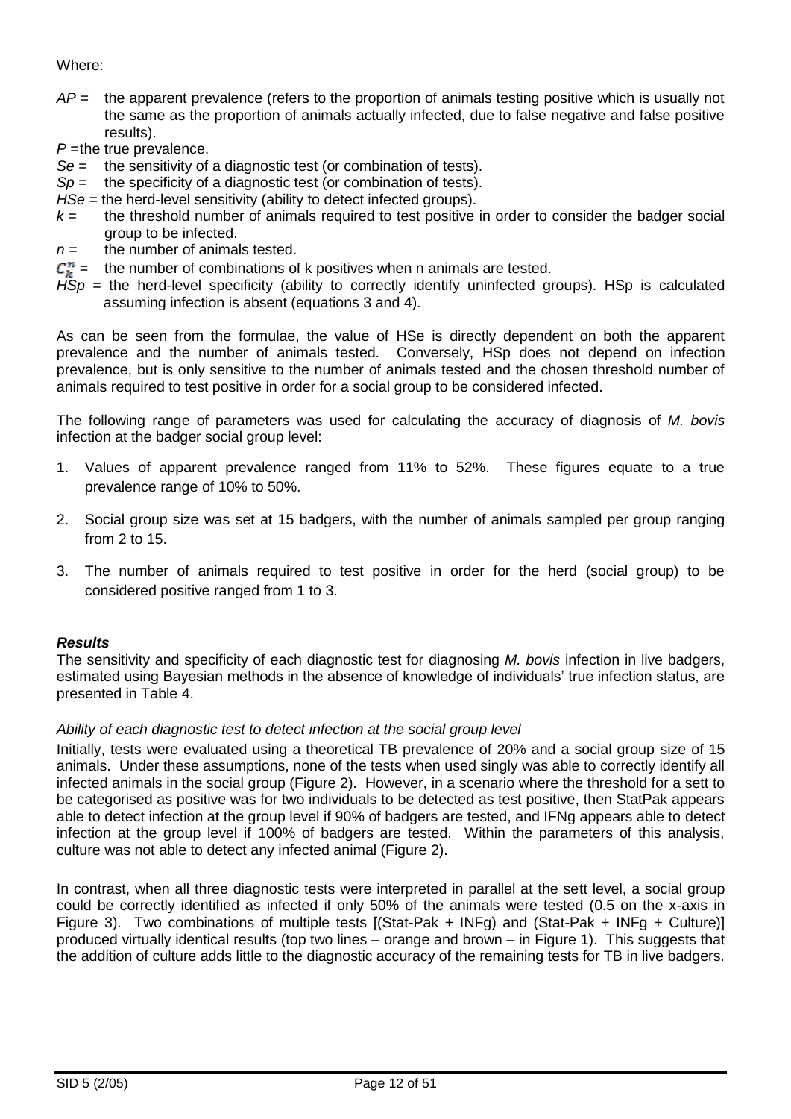### Where:

*AP* = the apparent prevalence (refers to the proportion of animals testing positive which is usually not the same as the proportion of animals actually infected, due to false negative and false positive results).

*P* = the true prevalence.

- *Se* = the sensitivity of a diagnostic test (or combination of tests).
- *Sp* = the specificity of a diagnostic test (or combination of tests).
- *HSe =* the herd-level sensitivity (ability to detect infected groups).
- $k =$  the threshold number of animals required to test positive in order to consider the badger social group to be infected.
- $n =$  the number of animals tested.
- $C_{k}^{n}$  = the number of combinations of k positives when n animals are tested.
- $HSp$  = the herd-level specificity (ability to correctly identify uninfected groups). HSp is calculated assuming infection is absent (equations 3 and 4).

As can be seen from the formulae, the value of HSe is directly dependent on both the apparent prevalence and the number of animals tested. Conversely, HSp does not depend on infection prevalence, but is only sensitive to the number of animals tested and the chosen threshold number of animals required to test positive in order for a social group to be considered infected.

The following range of parameters was used for calculating the accuracy of diagnosis of *M. bovis* infection at the badger social group level:

- 1. Values of apparent prevalence ranged from 11% to 52%. These figures equate to a true prevalence range of 10% to 50%.
- 2. Social group size was set at 15 badgers, with the number of animals sampled per group ranging from 2 to 15.
- 3. The number of animals required to test positive in order for the herd (social group) to be considered positive ranged from 1 to 3.

### *Results*

The sensitivity and specificity of each diagnostic test for diagnosing *M. bovis* infection in live badgers, estimated using Bayesian methods in the absence of knowledge of individuals' true infection status, are presented in Table 4.

### *Ability of each diagnostic test to detect infection at the social group level*

Initially, tests were evaluated using a theoretical TB prevalence of 20% and a social group size of 15 animals. Under these assumptions, none of the tests when used singly was able to correctly identify all infected animals in the social group (Figure 2). However, in a scenario where the threshold for a sett to be categorised as positive was for two individuals to be detected as test positive, then StatPak appears able to detect infection at the group level if 90% of badgers are tested, and IFNg appears able to detect infection at the group level if 100% of badgers are tested. Within the parameters of this analysis, culture was not able to detect any infected animal (Figure 2).

In contrast, when all three diagnostic tests were interpreted in parallel at the sett level, a social group could be correctly identified as infected if only 50% of the animals were tested (0.5 on the x-axis in Figure 3). Two combinations of multiple tests [(Stat-Pak + INFg) and (Stat-Pak + INFg + Culture)] produced virtually identical results (top two lines – orange and brown – in Figure 1). This suggests that the addition of culture adds little to the diagnostic accuracy of the remaining tests for TB in live badgers.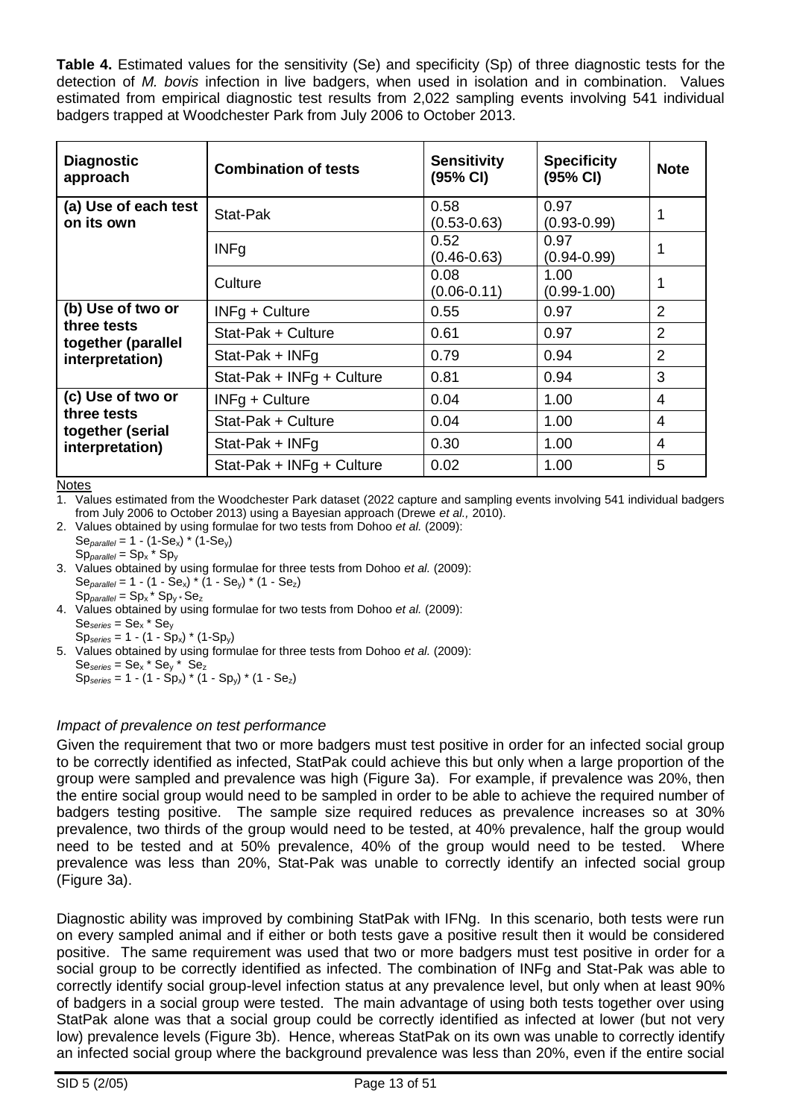**Table 4.** Estimated values for the sensitivity (Se) and specificity (Sp) of three diagnostic tests for the detection of *M. bovis* infection in live badgers, when used in isolation and in combination. Values estimated from empirical diagnostic test results from 2,022 sampling events involving 541 individual badgers trapped at Woodchester Park from July 2006 to October 2013.

| <b>Diagnostic</b><br>approach      | <b>Combination of tests</b> | <b>Sensitivity</b><br>(95% CI) | <b>Specificity</b><br>(95% CI) | <b>Note</b>    |
|------------------------------------|-----------------------------|--------------------------------|--------------------------------|----------------|
| (a) Use of each test<br>on its own | Stat-Pak                    | 0.58<br>$(0.53 - 0.63)$        | 0.97<br>$(0.93 - 0.99)$        | 1              |
|                                    | <b>INFg</b>                 | 0.52<br>$(0.46 - 0.63)$        | 0.97<br>$(0.94 - 0.99)$        |                |
|                                    | Culture                     | 0.08<br>$(0.06 - 0.11)$        | 1.00<br>$(0.99 - 1.00)$        | 1              |
| (b) Use of two or                  | INFg + Culture              | 0.55                           | 0.97                           | $\overline{2}$ |
| three tests<br>together (parallel  | Stat-Pak + Culture          | 0.61                           | 0.97                           | $\overline{2}$ |
| interpretation)                    | Stat-Pak + INFg             | 0.79                           | 0.94                           | $\overline{2}$ |
|                                    | Stat-Pak + INFg + Culture   | 0.81                           | 0.94                           | 3              |
| (c) Use of two or                  | INFg + Culture              | 0.04                           | 1.00                           | 4              |
| three tests<br>together (serial    | Stat-Pak + Culture          | 0.04                           | 1.00                           | 4              |
| interpretation)                    | Stat-Pak + INFg             | 0.30                           | 1.00                           | 4              |
|                                    | Stat-Pak + INFg + Culture   | 0.02                           | 1.00                           | 5              |

Notes

1. Values estimated from the Woodchester Park dataset (2022 capture and sampling events involving 541 individual badgers from July 2006 to October 2013) using a Bayesian approach (Drewe *et al.,* 2010).

- 2. Values obtained by using formulae for two tests from Dohoo *et al.* (2009):  $Se<sub>parallel</sub> = 1 - (1-Se<sub>x</sub>) * (1-Se<sub>y</sub>)$
- Sp*parallel* = Sp<sup>x</sup> \* Sp<sup>y</sup> 3. Values obtained by using formulae for three tests from Dohoo *et al.* (2009):  $Se_{parallel} = 1 - (1 - Se_x) * (1 - Se_y) * (1 - Se_z)$  $Sp<sub>parallel</sub> = Sp<sub>x</sub> * Sp<sub>y</sub> * Se<sub>z</sub>$
- 4. Values obtained by using formulae for two tests from Dohoo *et al.* (2009):  $Se<sub>series</sub> = Se<sub>x</sub> * Se<sub>y</sub>$  $Sp<sub>series</sub> = 1 - (1 - Sp<sub>x</sub>) * (1-Sp<sub>v</sub>)$

5. Values obtained by using formulae for three tests from Dohoo *et al.* (2009):  $Se<sub>series</sub> = Se<sub>x</sub> * Se<sub>y</sub> * Se<sub>z</sub>$ 

## $Sp<sub>series</sub> = 1 - (1 - Sp<sub>x</sub>) * (1 - Sp<sub>v</sub>) * (1 - Se<sub>z</sub>)$

## *Impact of prevalence on test performance*

Given the requirement that two or more badgers must test positive in order for an infected social group to be correctly identified as infected, StatPak could achieve this but only when a large proportion of the group were sampled and prevalence was high (Figure 3a). For example, if prevalence was 20%, then the entire social group would need to be sampled in order to be able to achieve the required number of badgers testing positive. The sample size required reduces as prevalence increases so at 30% prevalence, two thirds of the group would need to be tested, at 40% prevalence, half the group would need to be tested and at 50% prevalence, 40% of the group would need to be tested. Where prevalence was less than 20%, Stat-Pak was unable to correctly identify an infected social group (Figure 3a).

Diagnostic ability was improved by combining StatPak with IFNg. In this scenario, both tests were run on every sampled animal and if either or both tests gave a positive result then it would be considered positive. The same requirement was used that two or more badgers must test positive in order for a social group to be correctly identified as infected. The combination of INFg and Stat-Pak was able to correctly identify social group-level infection status at any prevalence level, but only when at least 90% of badgers in a social group were tested. The main advantage of using both tests together over using StatPak alone was that a social group could be correctly identified as infected at lower (but not very low) prevalence levels (Figure 3b). Hence, whereas StatPak on its own was unable to correctly identify an infected social group where the background prevalence was less than 20%, even if the entire social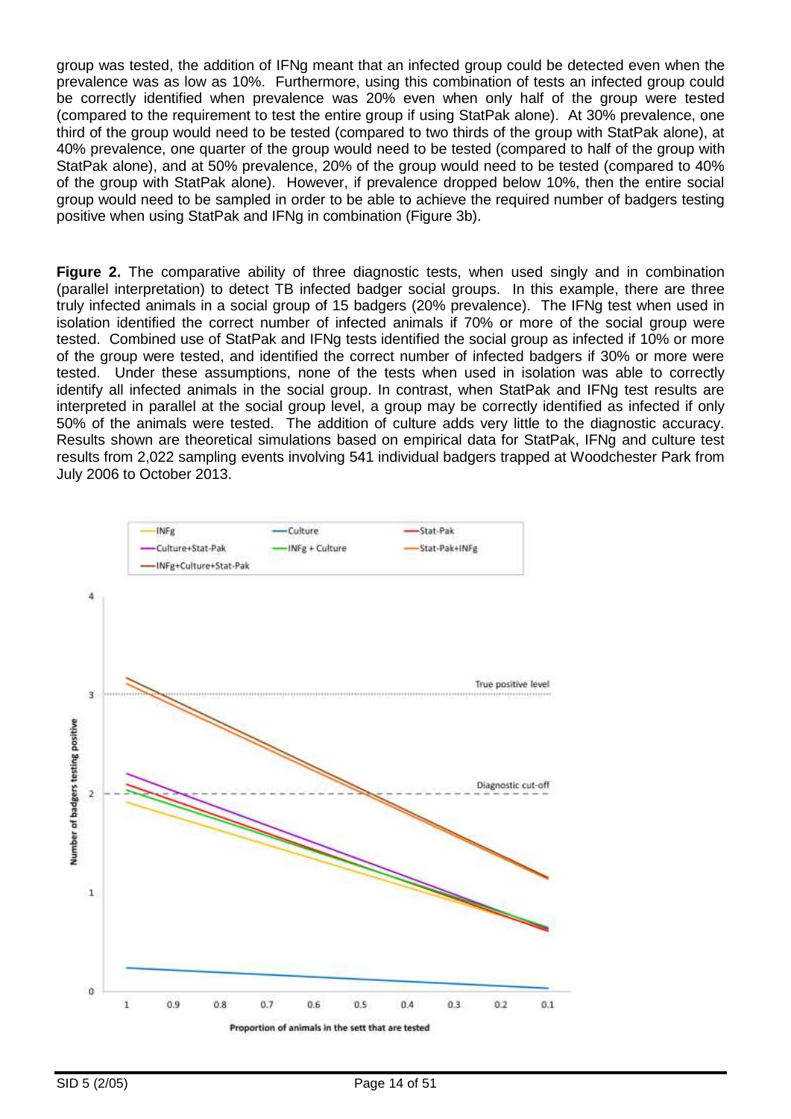group was tested, the addition of IFNg meant that an infected group could be detected even when the prevalence was as low as 10%. Furthermore, using this combination of tests an infected group could be correctly identified when prevalence was 20% even when only half of the group were tested (compared to the requirement to test the entire group if using StatPak alone). At 30% prevalence, one third of the group would need to be tested (compared to two thirds of the group with StatPak alone), at 40% prevalence, one quarter of the group would need to be tested (compared to half of the group with StatPak alone), and at 50% prevalence, 20% of the group would need to be tested (compared to 40% of the group with StatPak alone). However, if prevalence dropped below 10%, then the entire social group would need to be sampled in order to be able to achieve the required number of badgers testing positive when using StatPak and IFNg in combination (Figure 3b).

**Figure 2.** The comparative ability of three diagnostic tests, when used singly and in combination (parallel interpretation) to detect TB infected badger social groups. In this example, there are three truly infected animals in a social group of 15 badgers (20% prevalence). The IFNg test when used in isolation identified the correct number of infected animals if 70% or more of the social group were tested. Combined use of StatPak and IFNg tests identified the social group as infected if 10% or more of the group were tested, and identified the correct number of infected badgers if 30% or more were tested. Under these assumptions, none of the tests when used in isolation was able to correctly identify all infected animals in the social group. In contrast, when StatPak and IFNg test results are interpreted in parallel at the social group level, a group may be correctly identified as infected if only 50% of the animals were tested. The addition of culture adds very little to the diagnostic accuracy. Results shown are theoretical simulations based on empirical data for StatPak, IFNg and culture test results from 2,022 sampling events involving 541 individual badgers trapped at Woodchester Park from July 2006 to October 2013.

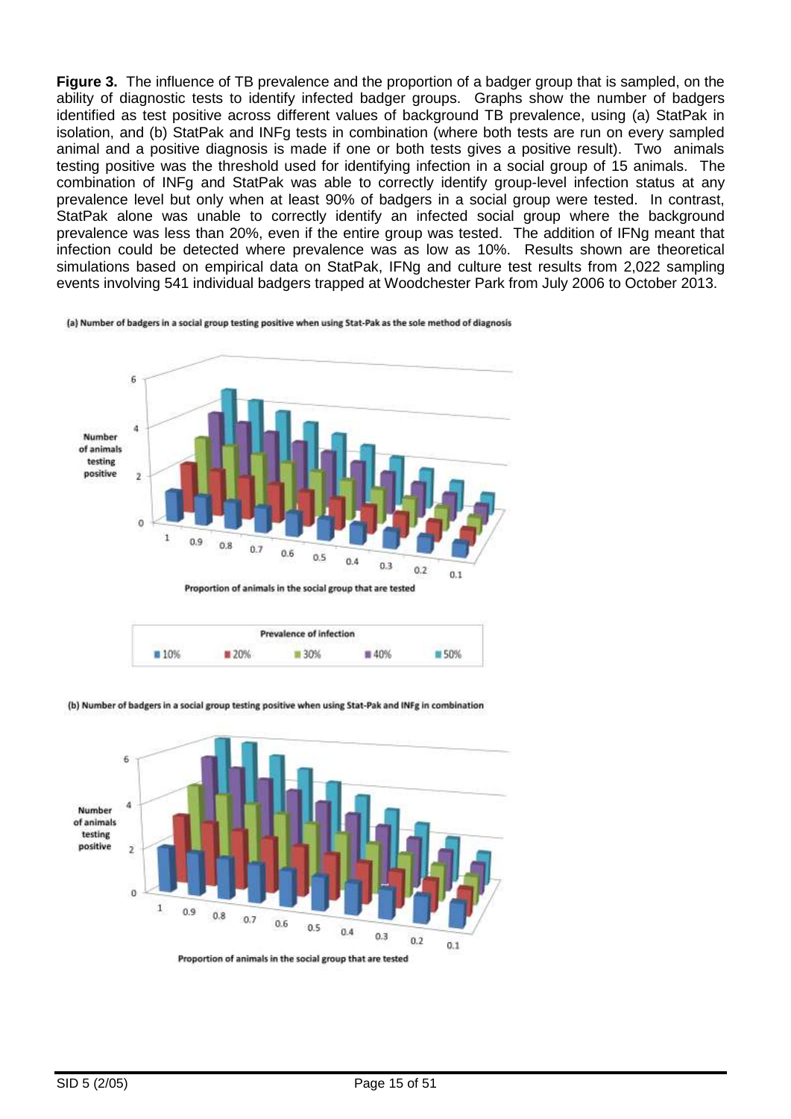**Figure 3.** The influence of TB prevalence and the proportion of a badger group that is sampled, on the ability of diagnostic tests to identify infected badger groups. Graphs show the number of badgers identified as test positive across different values of background TB prevalence, using (a) StatPak in isolation, and (b) StatPak and INFg tests in combination (where both tests are run on every sampled animal and a positive diagnosis is made if one or both tests gives a positive result). Two animals testing positive was the threshold used for identifying infection in a social group of 15 animals. The combination of INFg and StatPak was able to correctly identify group-level infection status at any prevalence level but only when at least 90% of badgers in a social group were tested. In contrast, StatPak alone was unable to correctly identify an infected social group where the background prevalence was less than 20%, even if the entire group was tested. The addition of IFNg meant that infection could be detected where prevalence was as low as 10%. Results shown are theoretical simulations based on empirical data on StatPak, IFNg and culture test results from 2,022 sampling events involving 541 individual badgers trapped at Woodchester Park from July 2006 to October 2013.

(a) Number of badgers in a social group testing positive when using Stat-Pak as the sole method of diagnosis





(b) Number of badgers in a social group testing positive when using Stat-Pak and INFg in combination

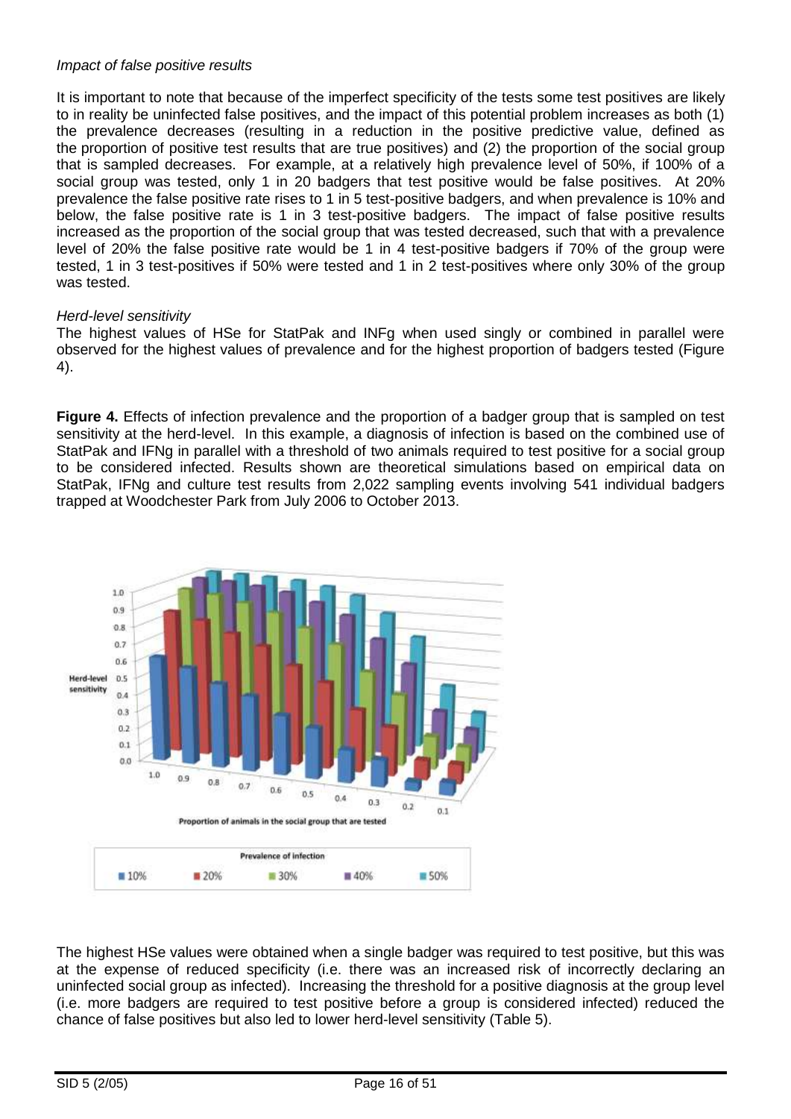#### *Impact of false positive results*

It is important to note that because of the imperfect specificity of the tests some test positives are likely to in reality be uninfected false positives, and the impact of this potential problem increases as both (1) the prevalence decreases (resulting in a reduction in the positive predictive value, defined as the proportion of positive test results that are true positives) and (2) the proportion of the social group that is sampled decreases. For example, at a relatively high prevalence level of 50%, if 100% of a social group was tested, only 1 in 20 badgers that test positive would be false positives. At 20% prevalence the false positive rate rises to 1 in 5 test-positive badgers, and when prevalence is 10% and below, the false positive rate is 1 in 3 test-positive badgers. The impact of false positive results increased as the proportion of the social group that was tested decreased, such that with a prevalence level of 20% the false positive rate would be 1 in 4 test-positive badgers if 70% of the group were tested, 1 in 3 test-positives if 50% were tested and 1 in 2 test-positives where only 30% of the group was tested.

#### *Herd-level sensitivity*

The highest values of HSe for StatPak and INFg when used singly or combined in parallel were observed for the highest values of prevalence and for the highest proportion of badgers tested (Figure 4).

**Figure 4.** Effects of infection prevalence and the proportion of a badger group that is sampled on test sensitivity at the herd-level. In this example, a diagnosis of infection is based on the combined use of StatPak and IFNg in parallel with a threshold of two animals required to test positive for a social group to be considered infected. Results shown are theoretical simulations based on empirical data on StatPak, IFNg and culture test results from 2,022 sampling events involving 541 individual badgers trapped at Woodchester Park from July 2006 to October 2013.



The highest HSe values were obtained when a single badger was required to test positive, but this was at the expense of reduced specificity (i.e. there was an increased risk of incorrectly declaring an uninfected social group as infected). Increasing the threshold for a positive diagnosis at the group level (i.e. more badgers are required to test positive before a group is considered infected) reduced the chance of false positives but also led to lower herd-level sensitivity (Table 5).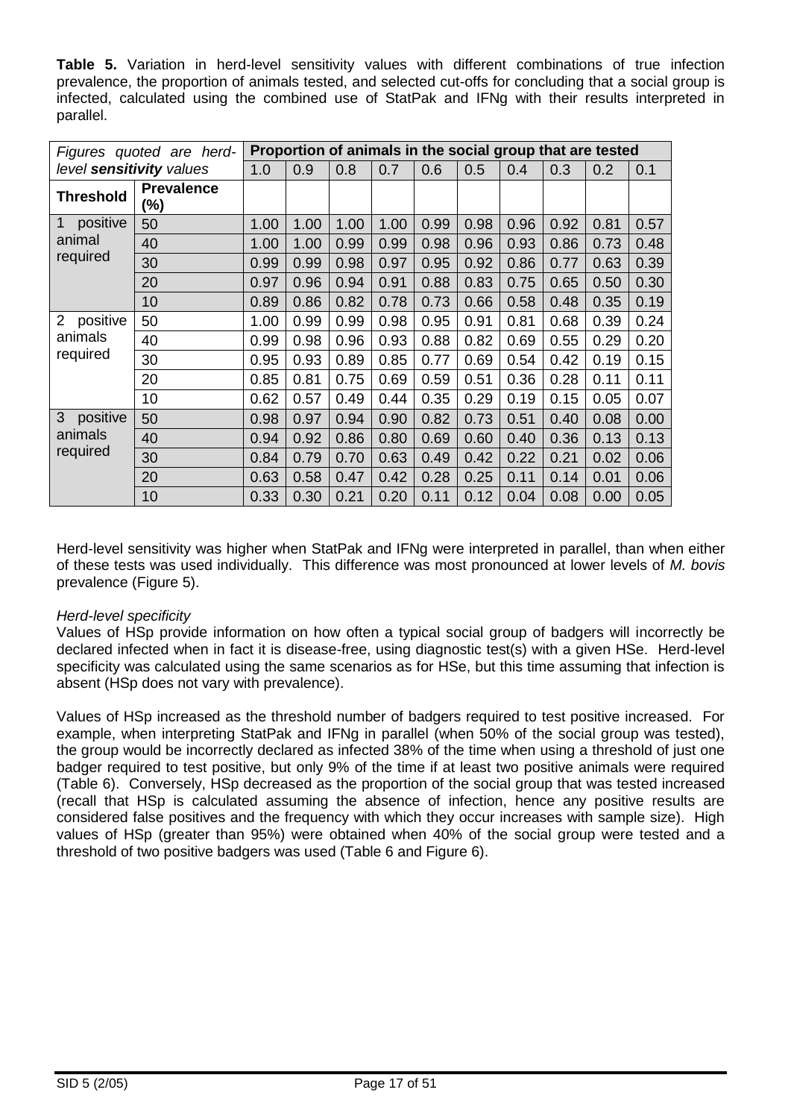**Table 5.** Variation in herd-level sensitivity values with different combinations of true infection prevalence, the proportion of animals tested, and selected cut-offs for concluding that a social group is infected, calculated using the combined use of StatPak and IFNg with their results interpreted in parallel.

| Figures quoted are herd-   |                              | Proportion of animals in the social group that are tested |      |      |      |      |      |      |      |      |      |
|----------------------------|------------------------------|-----------------------------------------------------------|------|------|------|------|------|------|------|------|------|
| level sensitivity values   |                              | 1.0                                                       | 0.9  | 0.8  | 0.7  | 0.6  | 0.5  | 0.4  | 0.3  | 0.2  | 0.1  |
| <b>Threshold</b>           | <b>Prevalence</b><br>$(\% )$ |                                                           |      |      |      |      |      |      |      |      |      |
| positive                   | 50                           | 1.00                                                      | 1.00 | 1.00 | 1.00 | 0.99 | 0.98 | 0.96 | 0.92 | 0.81 | 0.57 |
| animal                     | 40                           | 1.00                                                      | 1.00 | 0.99 | 0.99 | 0.98 | 0.96 | 0.93 | 0.86 | 0.73 | 0.48 |
| required                   | 30                           | 0.99                                                      | 0.99 | 0.98 | 0.97 | 0.95 | 0.92 | 0.86 | 0.77 | 0.63 | 0.39 |
|                            | 20                           | 0.97                                                      | 0.96 | 0.94 | 0.91 | 0.88 | 0.83 | 0.75 | 0.65 | 0.50 | 0.30 |
|                            | 10                           | 0.89                                                      | 0.86 | 0.82 | 0.78 | 0.73 | 0.66 | 0.58 | 0.48 | 0.35 | 0.19 |
| positive<br>$\overline{2}$ | 50                           | 1.00                                                      | 0.99 | 0.99 | 0.98 | 0.95 | 0.91 | 0.81 | 0.68 | 0.39 | 0.24 |
| animals                    | 40                           | 0.99                                                      | 0.98 | 0.96 | 0.93 | 0.88 | 0.82 | 0.69 | 0.55 | 0.29 | 0.20 |
| required                   | 30                           | 0.95                                                      | 0.93 | 0.89 | 0.85 | 0.77 | 0.69 | 0.54 | 0.42 | 0.19 | 0.15 |
|                            | 20                           | 0.85                                                      | 0.81 | 0.75 | 0.69 | 0.59 | 0.51 | 0.36 | 0.28 | 0.11 | 0.11 |
|                            | 10                           | 0.62                                                      | 0.57 | 0.49 | 0.44 | 0.35 | 0.29 | 0.19 | 0.15 | 0.05 | 0.07 |
| 3<br>positive              | 50                           | 0.98                                                      | 0.97 | 0.94 | 0.90 | 0.82 | 0.73 | 0.51 | 0.40 | 0.08 | 0.00 |
| animals<br>required        | 40                           | 0.94                                                      | 0.92 | 0.86 | 0.80 | 0.69 | 0.60 | 0.40 | 0.36 | 0.13 | 0.13 |
|                            | 30                           | 0.84                                                      | 0.79 | 0.70 | 0.63 | 0.49 | 0.42 | 0.22 | 0.21 | 0.02 | 0.06 |
|                            | 20                           | 0.63                                                      | 0.58 | 0.47 | 0.42 | 0.28 | 0.25 | 0.11 | 0.14 | 0.01 | 0.06 |
|                            | 10                           | 0.33                                                      | 0.30 | 0.21 | 0.20 | 0.11 | 0.12 | 0.04 | 0.08 | 0.00 | 0.05 |

Herd-level sensitivity was higher when StatPak and IFNg were interpreted in parallel, than when either of these tests was used individually. This difference was most pronounced at lower levels of *M. bovis* prevalence (Figure 5).

### *Herd-level specificity*

Values of HSp provide information on how often a typical social group of badgers will incorrectly be declared infected when in fact it is disease-free, using diagnostic test(s) with a given HSe. Herd-level specificity was calculated using the same scenarios as for HSe, but this time assuming that infection is absent (HSp does not vary with prevalence).

Values of HSp increased as the threshold number of badgers required to test positive increased. For example, when interpreting StatPak and IFNg in parallel (when 50% of the social group was tested), the group would be incorrectly declared as infected 38% of the time when using a threshold of just one badger required to test positive, but only 9% of the time if at least two positive animals were required (Table 6). Conversely, HSp decreased as the proportion of the social group that was tested increased (recall that HSp is calculated assuming the absence of infection, hence any positive results are considered false positives and the frequency with which they occur increases with sample size). High values of HSp (greater than 95%) were obtained when 40% of the social group were tested and a threshold of two positive badgers was used (Table 6 and Figure 6).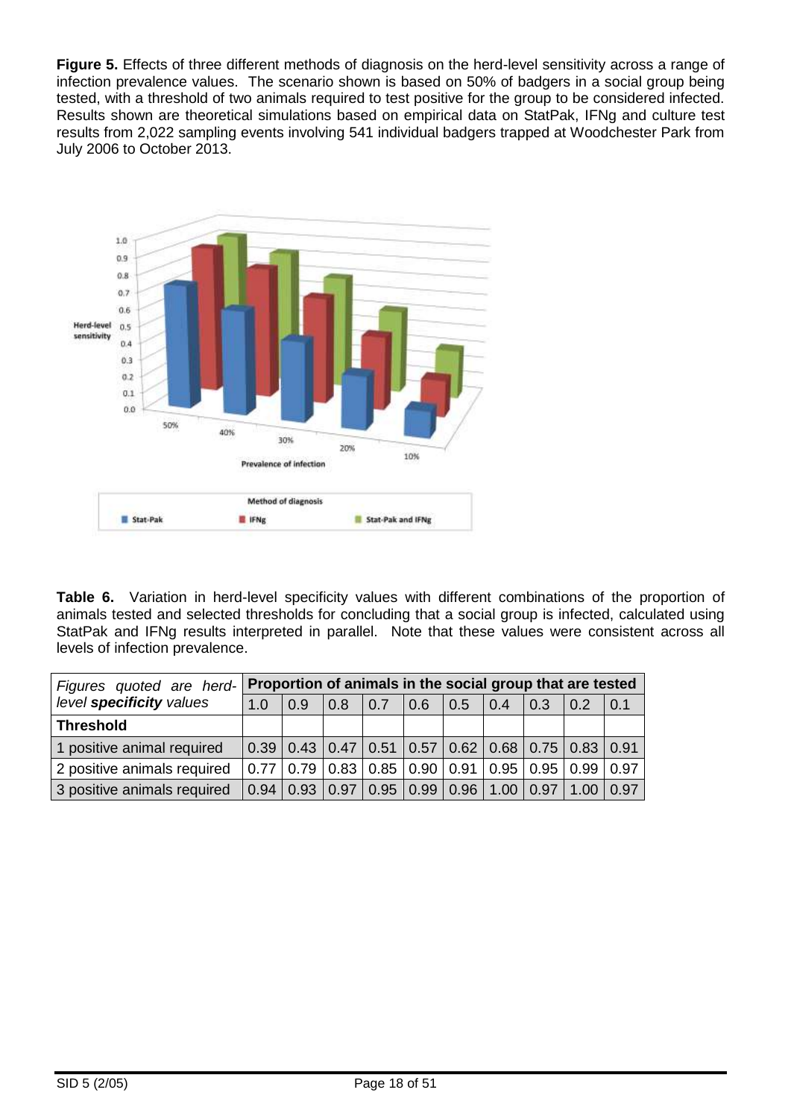**Figure 5.** Effects of three different methods of diagnosis on the herd-level sensitivity across a range of infection prevalence values. The scenario shown is based on 50% of badgers in a social group being tested, with a threshold of two animals required to test positive for the group to be considered infected. Results shown are theoretical simulations based on empirical data on StatPak, IFNg and culture test results from 2,022 sampling events involving 541 individual badgers trapped at Woodchester Park from July 2006 to October 2013.



**Table 6.** Variation in herd-level specificity values with different combinations of the proportion of animals tested and selected thresholds for concluding that a social group is infected, calculated using StatPak and IFNg results interpreted in parallel. Note that these values were consistent across all levels of infection prevalence.

| Figures quoted are herd-    | Proportion of animals in the social group that are tested |     |                                                                       |     |     |     |                  |                  |                  |     |
|-----------------------------|-----------------------------------------------------------|-----|-----------------------------------------------------------------------|-----|-----|-----|------------------|------------------|------------------|-----|
| level specificity values    | 1.0                                                       | 0.9 | 0.8                                                                   | 0.7 | 0.6 | 0.5 | $\overline{0.4}$ | $\overline{0.3}$ | $\overline{0.2}$ | 0.1 |
| <b>Threshold</b>            |                                                           |     |                                                                       |     |     |     |                  |                  |                  |     |
| 1 positive animal required  |                                                           |     | $0.39$   0.43   0.47   0.51   0.57   0.62   0.68   0.75   0.83   0.91 |     |     |     |                  |                  |                  |     |
| 2 positive animals required |                                                           |     | $0.77$   0.79   0.83   0.85   0.90   0.91   0.95   0.95   0.99   0.97 |     |     |     |                  |                  |                  |     |
| 3 positive animals required |                                                           |     | $0.94$   0.93   0.97   0.95   0.99   0.96   1.00   0.97   1.00   0.97 |     |     |     |                  |                  |                  |     |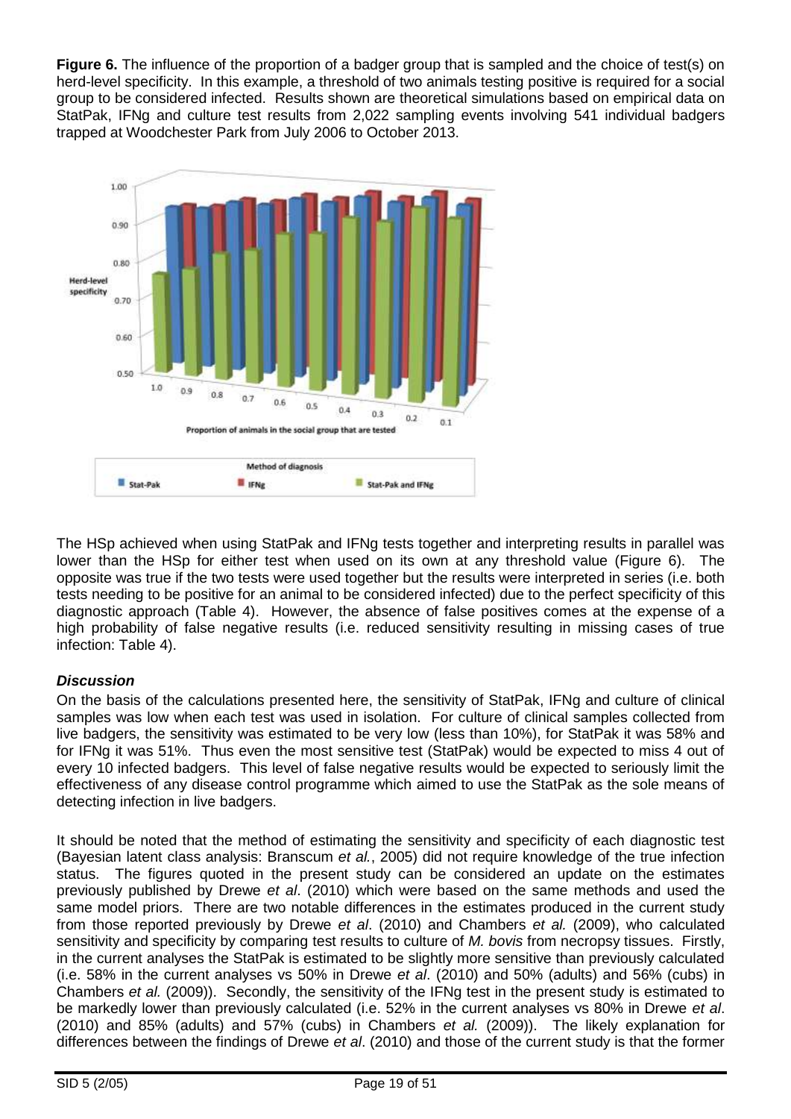**Figure 6.** The influence of the proportion of a badger group that is sampled and the choice of test(s) on herd-level specificity. In this example, a threshold of two animals testing positive is required for a social group to be considered infected. Results shown are theoretical simulations based on empirical data on StatPak, IFNg and culture test results from 2,022 sampling events involving 541 individual badgers trapped at Woodchester Park from July 2006 to October 2013.



The HSp achieved when using StatPak and IFNg tests together and interpreting results in parallel was lower than the HSp for either test when used on its own at any threshold value (Figure 6). The opposite was true if the two tests were used together but the results were interpreted in series (i.e. both tests needing to be positive for an animal to be considered infected) due to the perfect specificity of this diagnostic approach (Table 4). However, the absence of false positives comes at the expense of a high probability of false negative results (i.e. reduced sensitivity resulting in missing cases of true infection: Table 4).

### *Discussion*

On the basis of the calculations presented here, the sensitivity of StatPak, IFNg and culture of clinical samples was low when each test was used in isolation. For culture of clinical samples collected from live badgers, the sensitivity was estimated to be very low (less than 10%), for StatPak it was 58% and for IFNg it was 51%. Thus even the most sensitive test (StatPak) would be expected to miss 4 out of every 10 infected badgers. This level of false negative results would be expected to seriously limit the effectiveness of any disease control programme which aimed to use the StatPak as the sole means of detecting infection in live badgers.

It should be noted that the method of estimating the sensitivity and specificity of each diagnostic test (Bayesian latent class analysis: Branscum *et al.*, 2005) did not require knowledge of the true infection status. The figures quoted in the present study can be considered an update on the estimates previously published by Drewe *et al*. (2010) which were based on the same methods and used the same model priors. There are two notable differences in the estimates produced in the current study from those reported previously by Drewe *et al*. (2010) and Chambers *et al.* (2009), who calculated sensitivity and specificity by comparing test results to culture of *M. bovis* from necropsy tissues. Firstly, in the current analyses the StatPak is estimated to be slightly more sensitive than previously calculated (i.e. 58% in the current analyses vs 50% in Drewe *et al*. (2010) and 50% (adults) and 56% (cubs) in Chambers *et al.* (2009)). Secondly, the sensitivity of the IFNg test in the present study is estimated to be markedly lower than previously calculated (i.e. 52% in the current analyses vs 80% in Drewe *et al*. (2010) and 85% (adults) and 57% (cubs) in Chambers *et al.* (2009)). The likely explanation for differences between the findings of Drewe *et al*. (2010) and those of the current study is that the former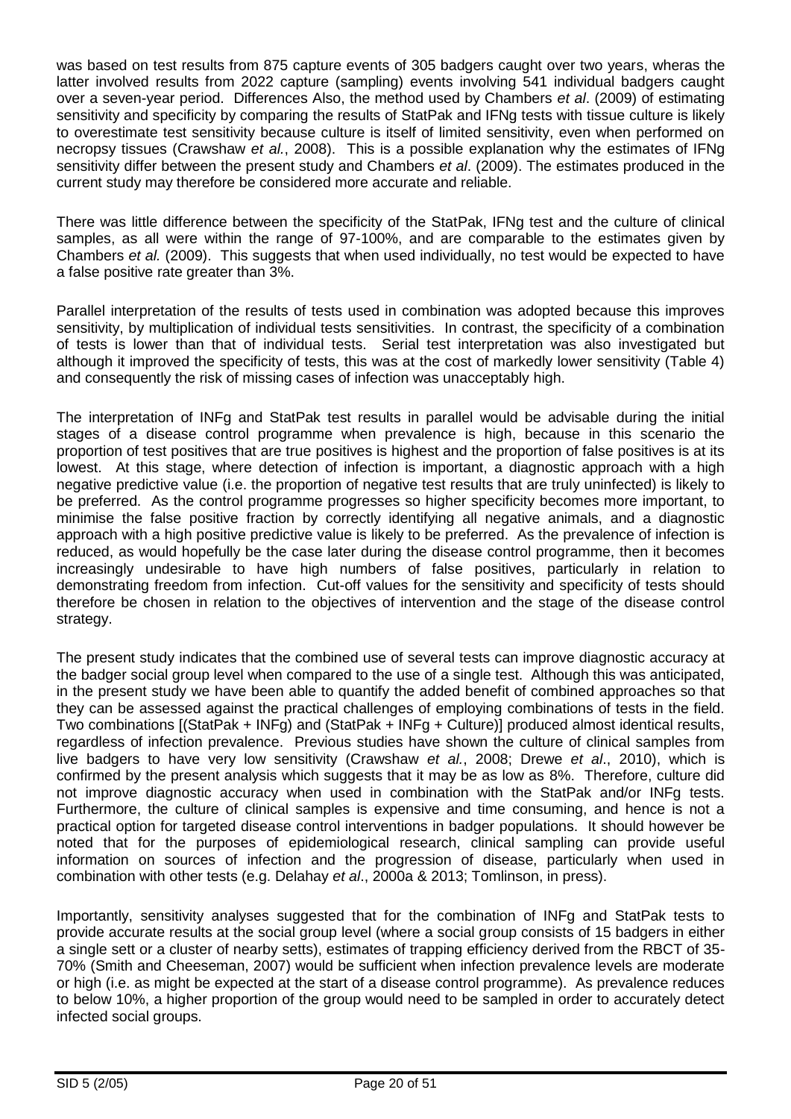was based on test results from 875 capture events of 305 badgers caught over two years, wheras the latter involved results from 2022 capture (sampling) events involving 541 individual badgers caught over a seven-year period. Differences Also, the method used by Chambers *et al*. (2009) of estimating sensitivity and specificity by comparing the results of StatPak and IFNg tests with tissue culture is likely to overestimate test sensitivity because culture is itself of limited sensitivity, even when performed on necropsy tissues (Crawshaw *et al.*, 2008). This is a possible explanation why the estimates of IFNg sensitivity differ between the present study and Chambers *et al*. (2009). The estimates produced in the current study may therefore be considered more accurate and reliable.

There was little difference between the specificity of the StatPak, IFNg test and the culture of clinical samples, as all were within the range of 97-100%, and are comparable to the estimates given by Chambers *et al.* (2009). This suggests that when used individually, no test would be expected to have a false positive rate greater than 3%.

Parallel interpretation of the results of tests used in combination was adopted because this improves sensitivity, by multiplication of individual tests sensitivities. In contrast, the specificity of a combination of tests is lower than that of individual tests. Serial test interpretation was also investigated but although it improved the specificity of tests, this was at the cost of markedly lower sensitivity (Table 4) and consequently the risk of missing cases of infection was unacceptably high.

The interpretation of INFg and StatPak test results in parallel would be advisable during the initial stages of a disease control programme when prevalence is high, because in this scenario the proportion of test positives that are true positives is highest and the proportion of false positives is at its lowest. At this stage, where detection of infection is important, a diagnostic approach with a high negative predictive value (i.e. the proportion of negative test results that are truly uninfected) is likely to be preferred. As the control programme progresses so higher specificity becomes more important, to minimise the false positive fraction by correctly identifying all negative animals, and a diagnostic approach with a high positive predictive value is likely to be preferred. As the prevalence of infection is reduced, as would hopefully be the case later during the disease control programme, then it becomes increasingly undesirable to have high numbers of false positives, particularly in relation to demonstrating freedom from infection. Cut-off values for the sensitivity and specificity of tests should therefore be chosen in relation to the objectives of intervention and the stage of the disease control strategy.

The present study indicates that the combined use of several tests can improve diagnostic accuracy at the badger social group level when compared to the use of a single test. Although this was anticipated, in the present study we have been able to quantify the added benefit of combined approaches so that they can be assessed against the practical challenges of employing combinations of tests in the field. Two combinations [(StatPak + INFg) and (StatPak + INFg + Culture)] produced almost identical results, regardless of infection prevalence. Previous studies have shown the culture of clinical samples from live badgers to have very low sensitivity (Crawshaw *et al.*, 2008; Drewe *et al*., 2010), which is confirmed by the present analysis which suggests that it may be as low as 8%. Therefore, culture did not improve diagnostic accuracy when used in combination with the StatPak and/or INFg tests. Furthermore, the culture of clinical samples is expensive and time consuming, and hence is not a practical option for targeted disease control interventions in badger populations. It should however be noted that for the purposes of epidemiological research, clinical sampling can provide useful information on sources of infection and the progression of disease, particularly when used in combination with other tests (e.g. Delahay *et al*., 2000a & 2013; Tomlinson, in press).

Importantly, sensitivity analyses suggested that for the combination of INFg and StatPak tests to provide accurate results at the social group level (where a social group consists of 15 badgers in either a single sett or a cluster of nearby setts), estimates of trapping efficiency derived from the RBCT of 35- 70% (Smith and Cheeseman, 2007) would be sufficient when infection prevalence levels are moderate or high (i.e. as might be expected at the start of a disease control programme). As prevalence reduces to below 10%, a higher proportion of the group would need to be sampled in order to accurately detect infected social groups.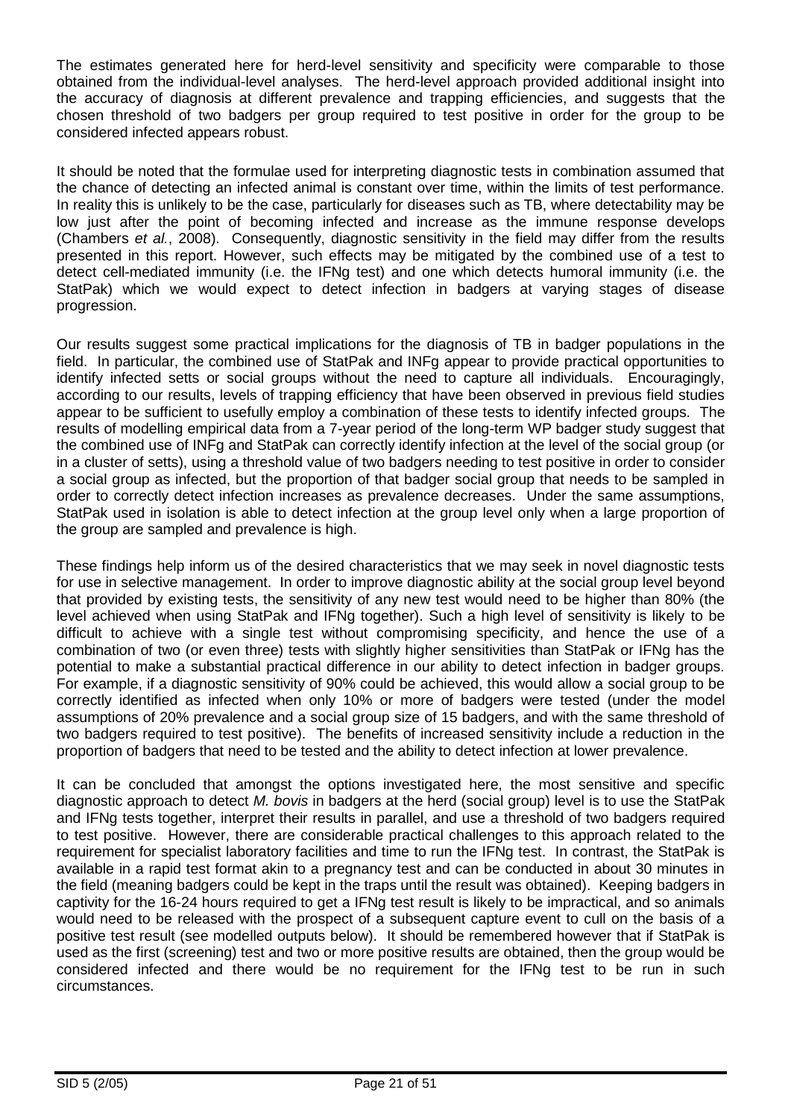The estimates generated here for herd-level sensitivity and specificity were comparable to those obtained from the individual-level analyses. The herd-level approach provided additional insight into the accuracy of diagnosis at different prevalence and trapping efficiencies, and suggests that the chosen threshold of two badgers per group required to test positive in order for the group to be considered infected appears robust.

It should be noted that the formulae used for interpreting diagnostic tests in combination assumed that the chance of detecting an infected animal is constant over time, within the limits of test performance. In reality this is unlikely to be the case, particularly for diseases such as TB, where detectability may be low just after the point of becoming infected and increase as the immune response develops (Chambers *et al.*, 2008). Consequently, diagnostic sensitivity in the field may differ from the results presented in this report. However, such effects may be mitigated by the combined use of a test to detect cell-mediated immunity (i.e. the IFNg test) and one which detects humoral immunity (i.e. the StatPak) which we would expect to detect infection in badgers at varying stages of disease progression.

Our results suggest some practical implications for the diagnosis of TB in badger populations in the field. In particular, the combined use of StatPak and INFg appear to provide practical opportunities to identify infected setts or social groups without the need to capture all individuals. Encouragingly, according to our results, levels of trapping efficiency that have been observed in previous field studies appear to be sufficient to usefully employ a combination of these tests to identify infected groups. The results of modelling empirical data from a 7-year period of the long-term WP badger study suggest that the combined use of INFg and StatPak can correctly identify infection at the level of the social group (or in a cluster of setts), using a threshold value of two badgers needing to test positive in order to consider a social group as infected, but the proportion of that badger social group that needs to be sampled in order to correctly detect infection increases as prevalence decreases. Under the same assumptions, StatPak used in isolation is able to detect infection at the group level only when a large proportion of the group are sampled and prevalence is high.

These findings help inform us of the desired characteristics that we may seek in novel diagnostic tests for use in selective management. In order to improve diagnostic ability at the social group level beyond that provided by existing tests, the sensitivity of any new test would need to be higher than 80% (the level achieved when using StatPak and IFNg together). Such a high level of sensitivity is likely to be difficult to achieve with a single test without compromising specificity, and hence the use of a combination of two (or even three) tests with slightly higher sensitivities than StatPak or IFNg has the potential to make a substantial practical difference in our ability to detect infection in badger groups. For example, if a diagnostic sensitivity of 90% could be achieved, this would allow a social group to be correctly identified as infected when only 10% or more of badgers were tested (under the model assumptions of 20% prevalence and a social group size of 15 badgers, and with the same threshold of two badgers required to test positive). The benefits of increased sensitivity include a reduction in the proportion of badgers that need to be tested and the ability to detect infection at lower prevalence.

It can be concluded that amongst the options investigated here, the most sensitive and specific diagnostic approach to detect *M. bovis* in badgers at the herd (social group) level is to use the StatPak and IFNg tests together, interpret their results in parallel, and use a threshold of two badgers required to test positive. However, there are considerable practical challenges to this approach related to the requirement for specialist laboratory facilities and time to run the IFNg test. In contrast, the StatPak is available in a rapid test format akin to a pregnancy test and can be conducted in about 30 minutes in the field (meaning badgers could be kept in the traps until the result was obtained). Keeping badgers in captivity for the 16-24 hours required to get a IFNg test result is likely to be impractical, and so animals would need to be released with the prospect of a subsequent capture event to cull on the basis of a positive test result (see modelled outputs below). It should be remembered however that if StatPak is used as the first (screening) test and two or more positive results are obtained, then the group would be considered infected and there would be no requirement for the IFNg test to be run in such circumstances.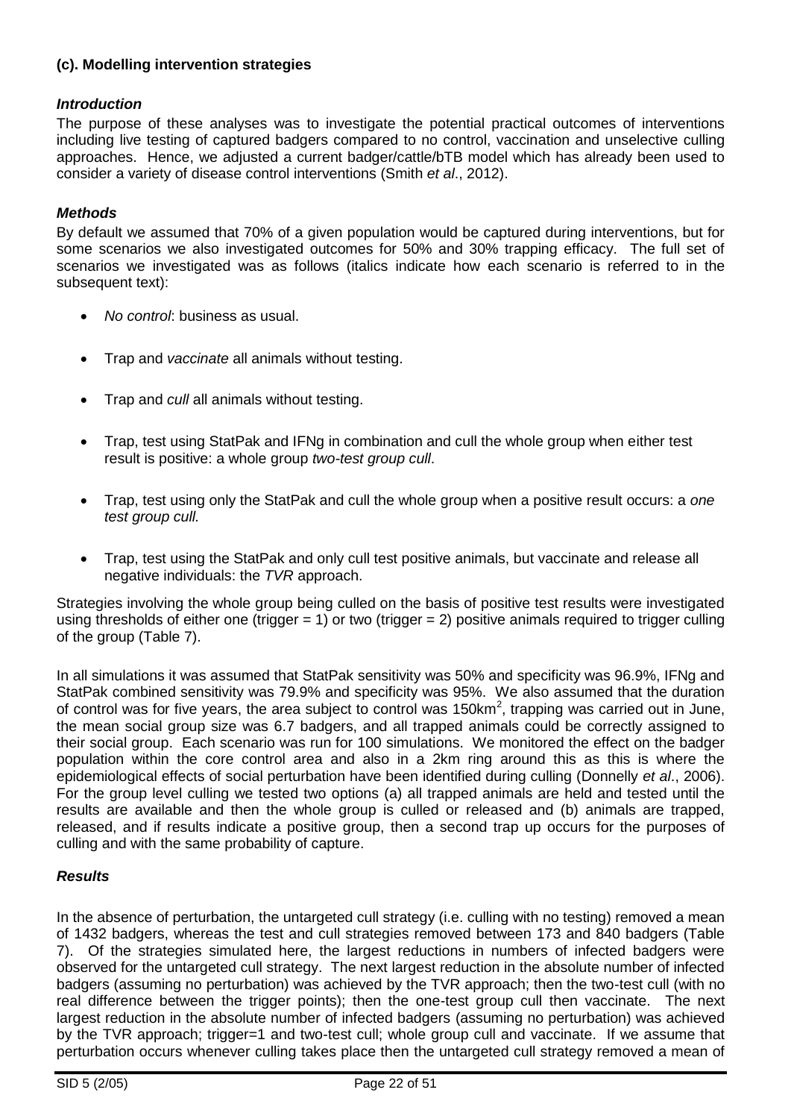## **(c). Modelling intervention strategies**

### *Introduction*

The purpose of these analyses was to investigate the potential practical outcomes of interventions including live testing of captured badgers compared to no control, vaccination and unselective culling approaches. Hence, we adjusted a current badger/cattle/bTB model which has already been used to consider a variety of disease control interventions (Smith *et al*[., 2012\)](#page-44-0).

#### *Methods*

By default we assumed that 70% of a given population would be captured during interventions, but for some scenarios we also investigated outcomes for 50% and 30% trapping efficacy. The full set of scenarios we investigated was as follows (italics indicate how each scenario is referred to in the subsequent text):

- *No control*: business as usual.
- Trap and *vaccinate* all animals without testing.
- Trap and *cull* all animals without testing.
- Trap, test using StatPak and IFNg in combination and cull the whole group when either test result is positive: a whole group *two-test group cull*.
- Trap, test using only the StatPak and cull the whole group when a positive result occurs: a *one test group cull.*
- Trap, test using the StatPak and only cull test positive animals, but vaccinate and release all negative individuals: the *TVR* approach.

Strategies involving the whole group being culled on the basis of positive test results were investigated using thresholds of either one (trigger  $= 1$ ) or two (trigger  $= 2$ ) positive animals required to trigger culling of the group (Table 7).

In all simulations it was assumed that StatPak sensitivity was 50% and specificity was 96.9%, IFNg and StatPak combined sensitivity was 79.9% and specificity was 95%. We also assumed that the duration of control was for five years, the area subject to control was 150km<sup>2</sup>, trapping was carried out in June, the mean social group size was 6.7 badgers, and all trapped animals could be correctly assigned to their social group. Each scenario was run for 100 simulations. We monitored the effect on the badger population within the core control area and also in a 2km ring around this as this is where the epidemiological effects of social perturbation have been identified during culling (Donnelly *et al*., 2006). For the group level culling we tested two options (a) all trapped animals are held and tested until the results are available and then the whole group is culled or released and (b) animals are trapped, released, and if results indicate a positive group, then a second trap up occurs for the purposes of culling and with the same probability of capture.

#### *Results*

In the absence of perturbation, the untargeted cull strategy (i.e. culling with no testing) removed a mean of 1432 badgers, whereas the test and cull strategies removed between 173 and 840 badgers (Table 7). Of the strategies simulated here, the largest reductions in numbers of infected badgers were observed for the untargeted cull strategy. The next largest reduction in the absolute number of infected badgers (assuming no perturbation) was achieved by the TVR approach; then the two-test cull (with no real difference between the trigger points); then the one-test group cull then vaccinate. The next largest reduction in the absolute number of infected badgers (assuming no perturbation) was achieved by the TVR approach; trigger=1 and two-test cull; whole group cull and vaccinate. If we assume that perturbation occurs whenever culling takes place then the untargeted cull strategy removed a mean of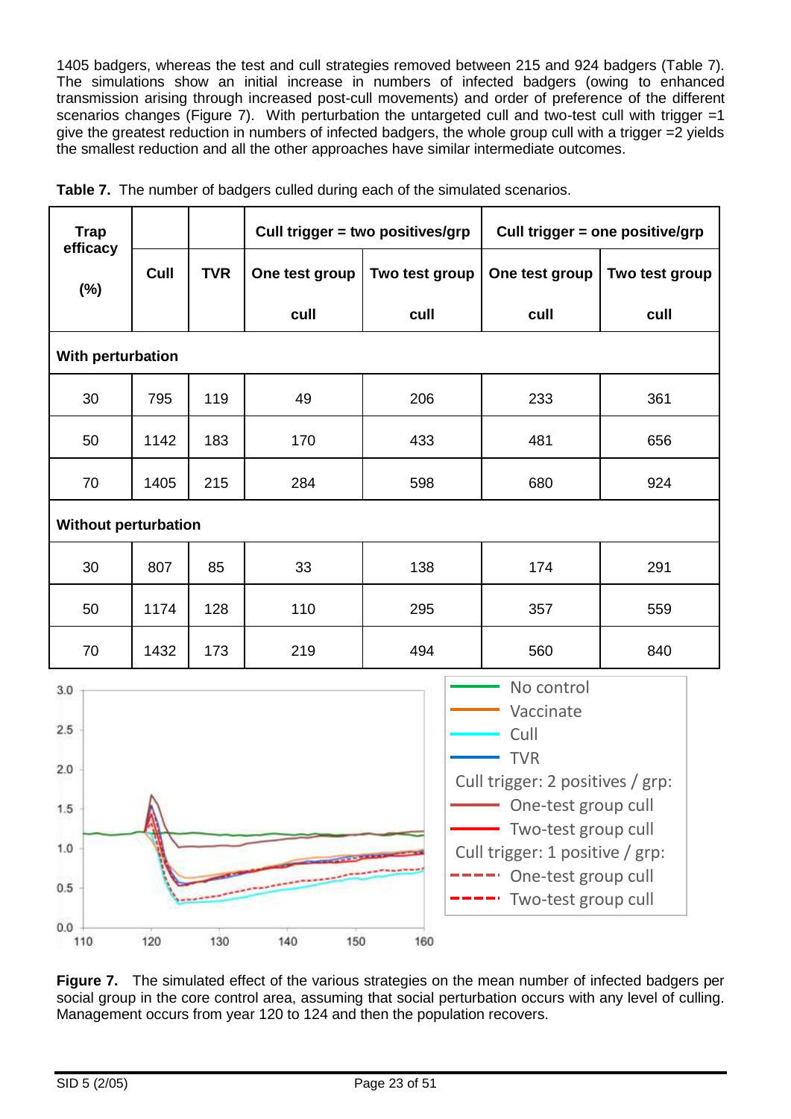1405 badgers, whereas the test and cull strategies removed between 215 and 924 badgers (Table 7). The simulations show an initial increase in numbers of infected badgers (owing to enhanced transmission arising through increased post-cull movements) and order of preference of the different scenarios changes (Figure 7). With perturbation the untargeted cull and two-test cull with trigger =1 give the greatest reduction in numbers of infected badgers, the whole group cull with a trigger =2 yields the smallest reduction and all the other approaches have similar intermediate outcomes.

| <b>Trap</b>                                                                                                                                                                                                                                                                |                    |     |                | Cull trigger = two positives/grp | Cull trigger = one positive/grp |                |  |  |  |  |
|----------------------------------------------------------------------------------------------------------------------------------------------------------------------------------------------------------------------------------------------------------------------------|--------------------|-----|----------------|----------------------------------|---------------------------------|----------------|--|--|--|--|
| efficacy                                                                                                                                                                                                                                                                   | <b>TVR</b><br>Cull |     | One test group | Two test group                   | One test group                  | Two test group |  |  |  |  |
| $(\%)$                                                                                                                                                                                                                                                                     |                    |     | cull           | cull                             | cull                            | cull           |  |  |  |  |
|                                                                                                                                                                                                                                                                            | With perturbation  |     |                |                                  |                                 |                |  |  |  |  |
| 30                                                                                                                                                                                                                                                                         | 795                | 119 | 49             | 206                              | 233                             | 361            |  |  |  |  |
| 50                                                                                                                                                                                                                                                                         | 1142               | 183 | 170            | 433                              | 481                             | 656            |  |  |  |  |
| 70                                                                                                                                                                                                                                                                         | 1405               | 215 | 284            | 598                              | 680                             | 924            |  |  |  |  |
| <b>Without perturbation</b>                                                                                                                                                                                                                                                |                    |     |                |                                  |                                 |                |  |  |  |  |
| 30                                                                                                                                                                                                                                                                         | 807                | 85  | 33             | 138                              | 174                             | 291            |  |  |  |  |
| 50                                                                                                                                                                                                                                                                         | 1174               | 128 | 110            | 295                              | 357                             | 559            |  |  |  |  |
| 70                                                                                                                                                                                                                                                                         | 1432               | 173 | 219            | 494                              | 560                             | 840            |  |  |  |  |
| No control<br>3.0<br>Vaccinate<br>2.5<br>Cull<br><b>TVR</b><br>2.0<br>Cull trigger: 2 positives / grp:<br>$\mathbf{A}$<br>One-test group cull<br>1.5<br>Two-test group cull<br>1.0<br>Cull trigger: 1 positive / grp:<br>One-test group cull<br>0.5<br>Two-test group cull |                    |     |                |                                  |                                 |                |  |  |  |  |
| 0.0<br>110                                                                                                                                                                                                                                                                 | 120                | 130 | 140<br>150     | 160                              |                                 |                |  |  |  |  |

**Table 7.** The number of badgers culled during each of the simulated scenarios.

**Figure 7.** The simulated effect of the various strategies on the mean number of infected badgers per social group in the core control area, assuming that social perturbation occurs with any level of culling. Management occurs from year 120 to 124 and then the population recovers.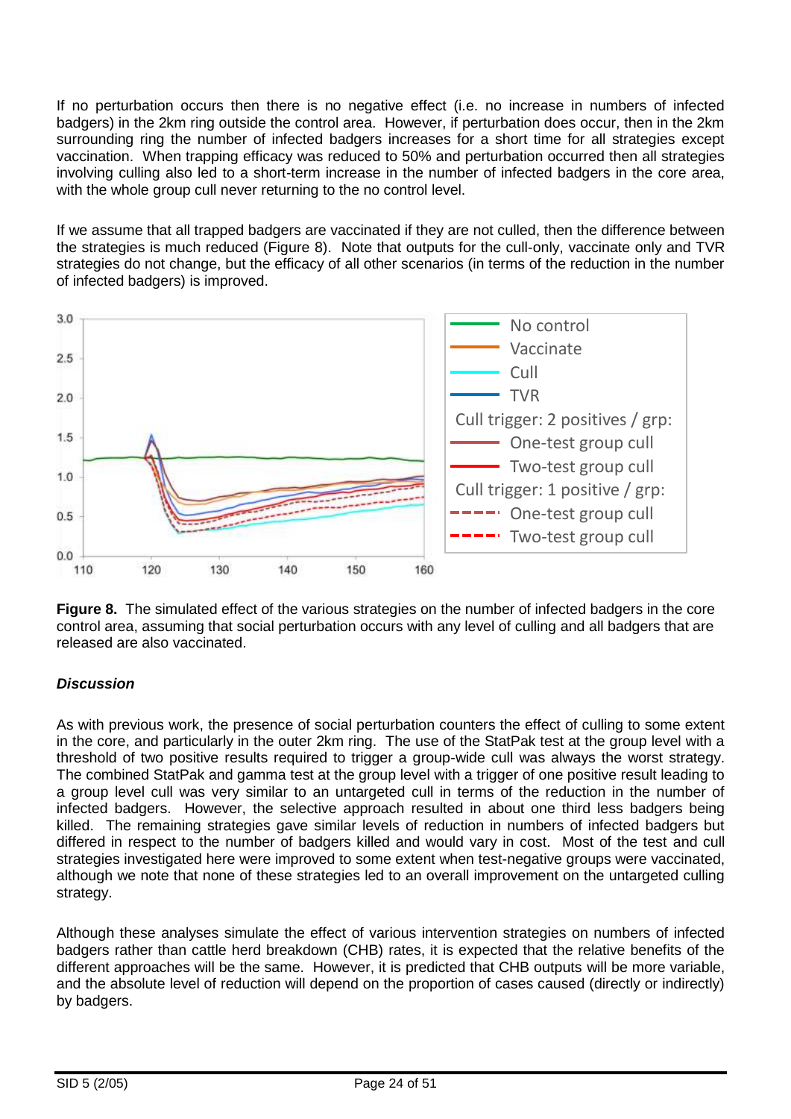If no perturbation occurs then there is no negative effect (i.e. no increase in numbers of infected badgers) in the 2km ring outside the control area. However, if perturbation does occur, then in the 2km surrounding ring the number of infected badgers increases for a short time for all strategies except vaccination. When trapping efficacy was reduced to 50% and perturbation occurred then all strategies involving culling also led to a short-term increase in the number of infected badgers in the core area, with the whole group cull never returning to the no control level.

If we assume that all trapped badgers are vaccinated if they are not culled, then the difference between the strategies is much reduced (Figure 8). Note that outputs for the cull-only, vaccinate only and TVR strategies do not change, but the efficacy of all other scenarios (in terms of the reduction in the number of infected badgers) is improved.



**Figure 8.** The simulated effect of the various strategies on the number of infected badgers in the core control area, assuming that social perturbation occurs with any level of culling and all badgers that are released are also vaccinated.

### *Discussion*

As with previous work, the presence of social perturbation counters the effect of culling to some extent in the core, and particularly in the outer 2km ring. The use of the StatPak test at the group level with a threshold of two positive results required to trigger a group-wide cull was always the worst strategy. The combined StatPak and gamma test at the group level with a trigger of one positive result leading to a group level cull was very similar to an untargeted cull in terms of the reduction in the number of infected badgers. However, the selective approach resulted in about one third less badgers being killed. The remaining strategies gave similar levels of reduction in numbers of infected badgers but differed in respect to the number of badgers killed and would vary in cost. Most of the test and cull strategies investigated here were improved to some extent when test-negative groups were vaccinated, although we note that none of these strategies led to an overall improvement on the untargeted culling strategy.

Although these analyses simulate the effect of various intervention strategies on numbers of infected badgers rather than cattle herd breakdown (CHB) rates, it is expected that the relative benefits of the different approaches will be the same. However, it is predicted that CHB outputs will be more variable, and the absolute level of reduction will depend on the proportion of cases caused (directly or indirectly) by badgers.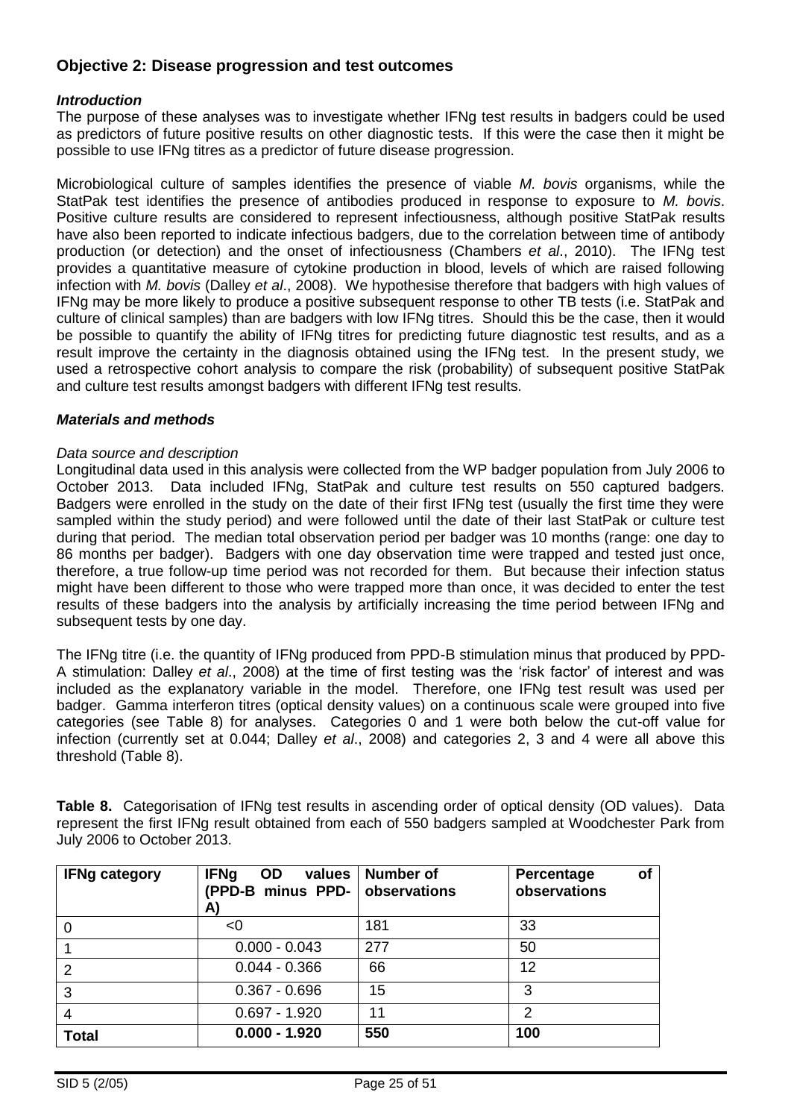### **Objective 2: Disease progression and test outcomes**

#### *Introduction*

The purpose of these analyses was to investigate whether IFNg test results in badgers could be used as predictors of future positive results on other diagnostic tests. If this were the case then it might be possible to use IFNg titres as a predictor of future disease progression.

Microbiological culture of samples identifies the presence of viable *M. bovis* organisms, while the StatPak test identifies the presence of antibodies produced in response to exposure to *M. bovis*. Positive culture results are considered to represent infectiousness, although positive StatPak results have also been reported to indicate infectious badgers, due to the correlation between time of antibody production (or detection) and the onset of infectiousness [\(Chambers](#page-45-0) *et al*., 2010). The IFNg test provides a quantitative measure of cytokine production in blood, levels of which are raised following infection with *M. bovis* (Dalley *et al*., 2008). We hypothesise therefore that badgers with high values of IFNg may be more likely to produce a positive subsequent response to other TB tests (i.e. StatPak and culture of clinical samples) than are badgers with low IFNg titres. Should this be the case, then it would be possible to quantify the ability of IFNg titres for predicting future diagnostic test results, and as a result improve the certainty in the diagnosis obtained using the IFNg test. In the present study, we used a retrospective cohort analysis to compare the risk (probability) of subsequent positive StatPak and culture test results amongst badgers with different IFNg test results.

#### *Materials and methods*

#### *Data source and description*

Longitudinal data used in this analysis were collected from the WP badger population from July 2006 to October 2013. Data included IFNg, StatPak and culture test results on 550 captured badgers. Badgers were enrolled in the study on the date of their first IFNg test (usually the first time they were sampled within the study period) and were followed until the date of their last StatPak or culture test during that period. The median total observation period per badger was 10 months (range: one day to 86 months per badger). Badgers with one day observation time were trapped and tested just once, therefore, a true follow-up time period was not recorded for them. But because their infection status might have been different to those who were trapped more than once, it was decided to enter the test results of these badgers into the analysis by artificially increasing the time period between IFNg and subsequent tests by one day.

The IFNg titre (i.e. the quantity of IFNg produced from PPD-B stimulation minus that produced by PPD-A stimulation: Dalley *et al*., 2008) at the time of first testing was the 'risk factor' of interest and was included as the explanatory variable in the model. Therefore, one IFNg test result was used per badger. Gamma interferon titres (optical density values) on a continuous scale were grouped into five categories (see Table 8) for analyses. Categories 0 and 1 were both below the cut-off value for infection (currently set at 0.044; Dalley *et al*., 2008) and categories 2, 3 and 4 were all above this threshold (Table 8).

**Table 8.** Categorisation of IFNg test results in ascending order of optical density (OD values). Data represent the first IFNg result obtained from each of 550 badgers sampled at Woodchester Park from July 2006 to October 2013.

| <b>IFNg category</b> | <b>IFNg</b><br><b>OD</b><br>values<br>(PPD-B minus PPD-  <br>A) | <b>Number of</b><br>observations | of<br>Percentage<br>observations |
|----------------------|-----------------------------------------------------------------|----------------------------------|----------------------------------|
| 0                    | <0                                                              | 181                              | 33                               |
|                      | $0.000 - 0.043$                                                 | 277                              | 50                               |
| 2                    | $0.044 - 0.366$                                                 | 66                               | 12                               |
| 3                    | $0.367 - 0.696$                                                 | 15                               | 3                                |
| 4                    | $0.697 - 1.920$                                                 | 11                               | 2                                |
| <b>Total</b>         | $0.000 - 1.920$                                                 | 550                              | 100                              |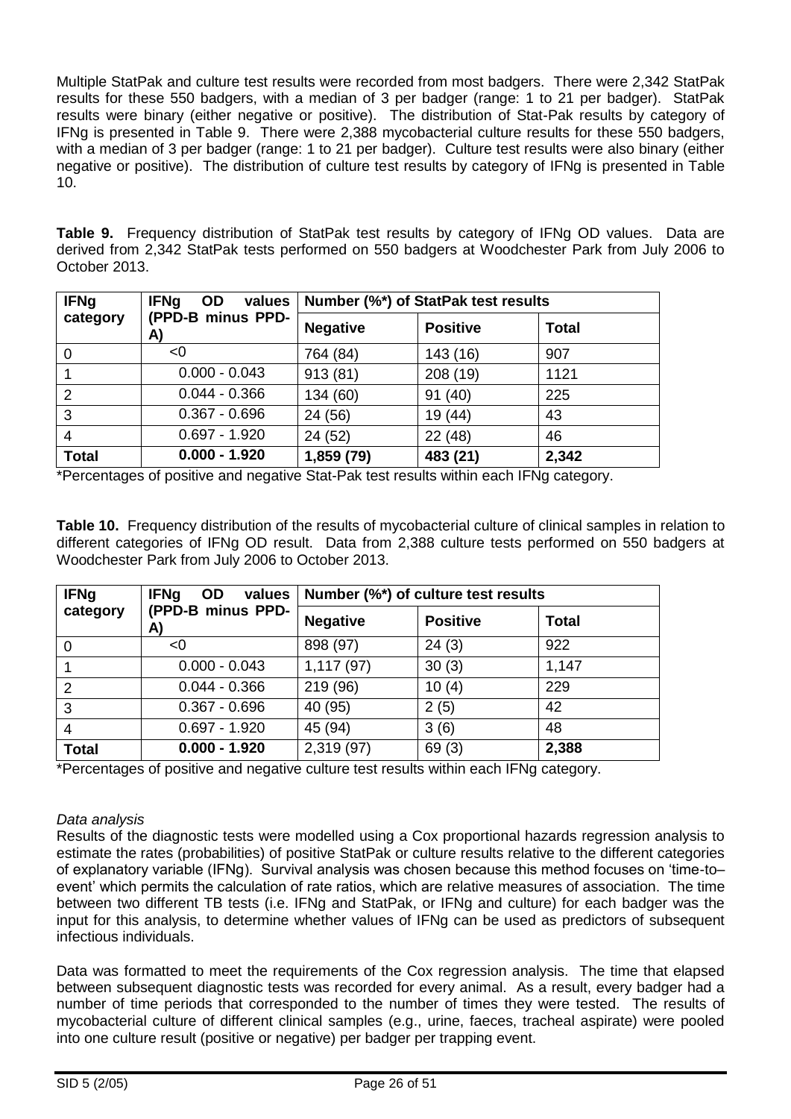Multiple StatPak and culture test results were recorded from most badgers. There were 2,342 StatPak results for these 550 badgers, with a median of 3 per badger (range: 1 to 21 per badger). StatPak results were binary (either negative or positive). The distribution of Stat-Pak results by category of IFNg is presented in Table 9. There were 2,388 mycobacterial culture results for these 550 badgers, with a median of 3 per badger (range: 1 to 21 per badger). Culture test results were also binary (either negative or positive). The distribution of culture test results by category of IFNg is presented in Table 10.

**Table 9.** Frequency distribution of StatPak test results by category of IFNg OD values. Data are derived from 2,342 StatPak tests performed on 550 badgers at Woodchester Park from July 2006 to October 2013.

| <b>IFNg</b>    | <b>IFNg</b><br>values<br><b>OD</b> | Number (%*) of StatPak test results |                 |              |  |  |
|----------------|------------------------------------|-------------------------------------|-----------------|--------------|--|--|
| category       | (PPD-B minus PPD-<br>A)            | <b>Negative</b>                     | <b>Positive</b> | <b>Total</b> |  |  |
| 0              | < 0                                | 764 (84)                            | 143 (16)        | 907          |  |  |
|                | $0.000 - 0.043$                    | 913(81)                             | 208 (19)        | 1121         |  |  |
| $\overline{2}$ | $0.044 - 0.366$                    | 134 (60)                            | 91(40)          | 225          |  |  |
| 3              | $0.367 - 0.696$                    | 24 (56)                             | 19 (44)         | 43           |  |  |
| 4              | $0.697 - 1.920$                    | 24 (52)                             | 22 (48)         | 46           |  |  |
| <b>Total</b>   | $0.000 - 1.920$                    | 1,859 (79)                          | 483 (21)        | 2,342        |  |  |

\*Percentages of positive and negative Stat-Pak test results within each IFNg category.

**Table 10.** Frequency distribution of the results of mycobacterial culture of clinical samples in relation to different categories of IFNg OD result. Data from 2,388 culture tests performed on 550 badgers at Woodchester Park from July 2006 to October 2013.

| <b>IFNg</b>  | <b>IFNg</b><br>OD<br>values | Number (%*) of culture test results |                 |              |  |  |
|--------------|-----------------------------|-------------------------------------|-----------------|--------------|--|--|
| category     | (PPD-B minus PPD-<br>A)     | <b>Negative</b>                     | <b>Positive</b> | <b>Total</b> |  |  |
| 0            | <0                          | 898 (97)                            | 24(3)           | 922          |  |  |
|              | $0.000 - 0.043$             | 1,117(97)                           | 30(3)           | 1,147        |  |  |
| 2            | $0.044 - 0.366$             | 219 (96)                            | 10(4)           | 229          |  |  |
| 3            | $0.367 - 0.696$             | 40 (95)                             | 2(5)            | 42           |  |  |
| 4            | $0.697 - 1.920$             | 45 (94)                             | 3(6)            | 48           |  |  |
| <b>Total</b> | $0.000 - 1.920$             | 2,319 (97)                          | 69(3)           | 2,388        |  |  |

\*Percentages of positive and negative culture test results within each IFNg category.

#### *Data analysis*

Results of the diagnostic tests were modelled using a Cox proportional hazards regression analysis to estimate the rates (probabilities) of positive StatPak or culture results relative to the different categories of explanatory variable (IFNg). Survival analysis was chosen because this method focuses on 'time-to– event' which permits the calculation of rate ratios, which are relative measures of association. The time between two different TB tests (i.e. IFNg and StatPak, or IFNg and culture) for each badger was the input for this analysis, to determine whether values of IFNg can be used as predictors of subsequent infectious individuals.

Data was formatted to meet the requirements of the Cox regression analysis. The time that elapsed between subsequent diagnostic tests was recorded for every animal. As a result, every badger had a number of time periods that corresponded to the number of times they were tested. The results of mycobacterial culture of different clinical samples (e.g., urine, faeces, tracheal aspirate) were pooled into one culture result (positive or negative) per badger per trapping event.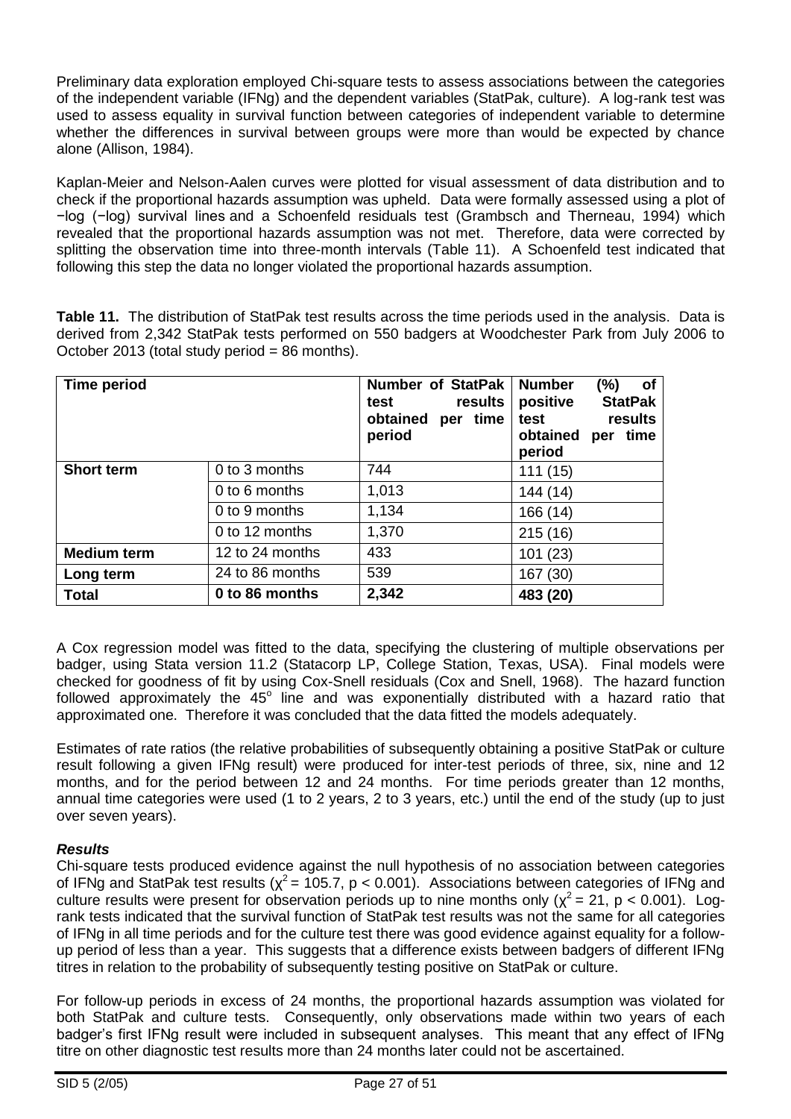Preliminary data exploration employed Chi-square tests to assess associations between the categories of the independent variable (IFNg) and the dependent variables (StatPak, culture). A log-rank test was used to assess equality in survival function between categories of independent variable to determine whether the differences in survival between groups were more than would be expected by chance alone [\(Allison, 1984\)](#page-44-0).

Kaplan-Meier and Nelson-Aalen curves were plotted for visual assessment of data distribution and to check if the proportional hazards assumption was upheld. Data were formally assessed using a plot of −log (−log) survival lines and a Schoenfeld residuals test [\(Grambsch and Therneau, 1994\)](#page-46-0) which revealed that the proportional hazards assumption was not met. Therefore, data were corrected by splitting the observation time into three-month intervals (Table 11). A Schoenfeld test indicated that following this step the data no longer violated the proportional hazards assumption.

**Table 11.** The distribution of StatPak test results across the time periods used in the analysis. Data is derived from 2,342 StatPak tests performed on 550 badgers at Woodchester Park from July 2006 to October 2013 (total study period = 86 months).

| <b>Time period</b> |                 | <b>Number of StatPak</b><br>results<br>test<br>obtained<br>per time<br>period | <b>Number</b><br>of<br>(%)<br><b>StatPak</b><br>positive<br>results<br>test<br>obtained<br>per time<br>period |
|--------------------|-----------------|-------------------------------------------------------------------------------|---------------------------------------------------------------------------------------------------------------|
| <b>Short term</b>  | 0 to 3 months   | 744                                                                           | 111(15)                                                                                                       |
|                    | 0 to 6 months   | 1,013                                                                         | 144 (14)                                                                                                      |
|                    | 0 to 9 months   | 1,134                                                                         | 166 (14)                                                                                                      |
|                    | 0 to 12 months  | 1,370                                                                         | 215(16)                                                                                                       |
| <b>Medium term</b> | 12 to 24 months | 433                                                                           | 101 (23)                                                                                                      |
| Long term          | 24 to 86 months | 539                                                                           | 167 (30)                                                                                                      |
| <b>Total</b>       | 0 to 86 months  | 2,342                                                                         | 483 (20)                                                                                                      |

A Cox regression model was fitted to the data, specifying the clustering of multiple observations per badger, using Stata version 11.2 (Statacorp LP, College Station, Texas, USA). Final models were checked for goodness of fit by using Cox-Snell residuals [\(Cox and Snell, 1968\)](#page-45-1). The hazard function followed approximately the  $45^{\circ}$  line and was exponentially distributed with a hazard ratio that approximated one. Therefore it was concluded that the data fitted the models adequately.

Estimates of rate ratios (the relative probabilities of subsequently obtaining a positive StatPak or culture result following a given IFNg result) were produced for inter-test periods of three, six, nine and 12 months, and for the period between 12 and 24 months. For time periods greater than 12 months, annual time categories were used (1 to 2 years, 2 to 3 years, etc.) until the end of the study (up to just over seven years).

### *Results*

Chi-square tests produced evidence against the null hypothesis of no association between categories of IFNg and StatPak test results ( $\chi^2$  = 105.7, p < 0.001). Associations between categories of IFNg and culture results were present for observation periods up to nine months only ( $\chi^2$  = 21, p < 0.001). Logrank tests indicated that the survival function of StatPak test results was not the same for all categories of IFNg in all time periods and for the culture test there was good evidence against equality for a followup period of less than a year. This suggests that a difference exists between badgers of different IFNg titres in relation to the probability of subsequently testing positive on StatPak or culture.

For follow-up periods in excess of 24 months, the proportional hazards assumption was violated for both StatPak and culture tests. Consequently, only observations made within two years of each badger's first IFNg result were included in subsequent analyses. This meant that any effect of IFNg titre on other diagnostic test results more than 24 months later could not be ascertained.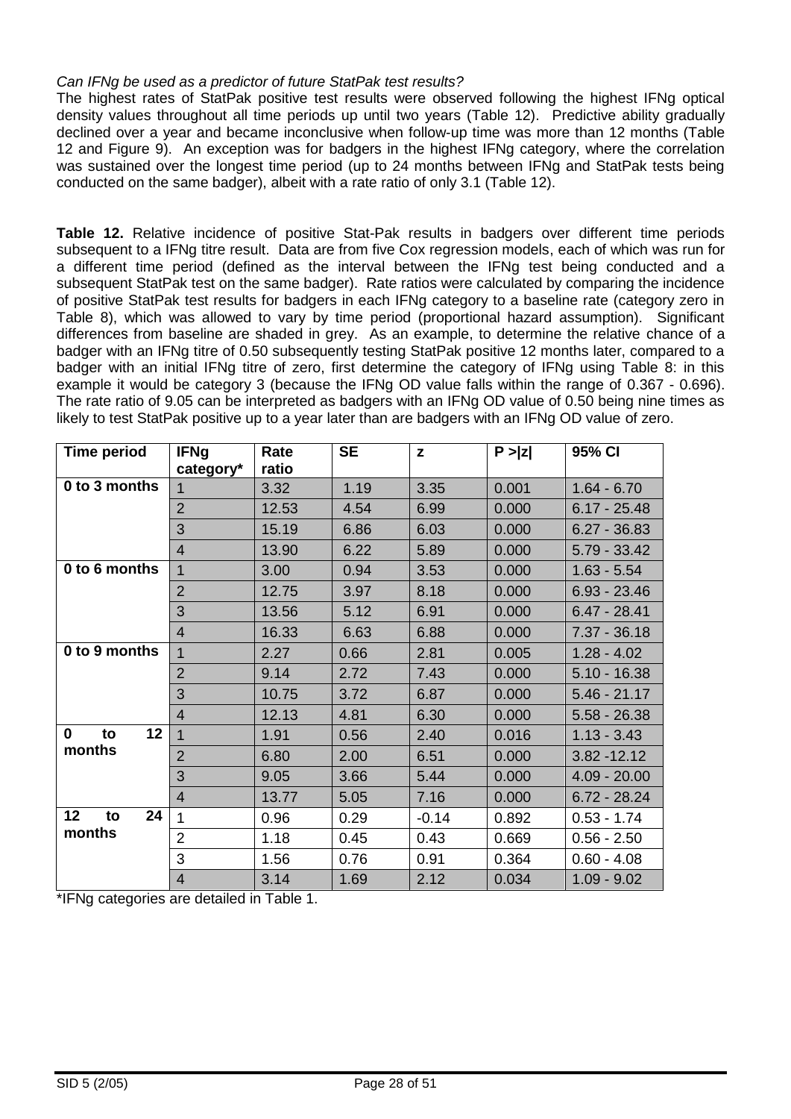#### *Can IFNg be used as a predictor of future StatPak test results?*

The highest rates of StatPak positive test results were observed following the highest IFNg optical density values throughout all time periods up until two years (Table 12). Predictive ability gradually declined over a year and became inconclusive when follow-up time was more than 12 months (Table 12 and Figure 9). An exception was for badgers in the highest IFNg category, where the correlation was sustained over the longest time period (up to 24 months between IFNg and StatPak tests being conducted on the same badger), albeit with a rate ratio of only 3.1 (Table 12).

**Table 12.** Relative incidence of positive Stat-Pak results in badgers over different time periods subsequent to a IFNg titre result. Data are from five Cox regression models, each of which was run for a different time period (defined as the interval between the IFNg test being conducted and a subsequent StatPak test on the same badger). Rate ratios were calculated by comparing the incidence of positive StatPak test results for badgers in each IFNg category to a baseline rate (category zero in Table 8), which was allowed to vary by time period (proportional hazard assumption). Significant differences from baseline are shaded in grey. As an example, to determine the relative chance of a badger with an IFNg titre of 0.50 subsequently testing StatPak positive 12 months later, compared to a badger with an initial IFNg titre of zero, first determine the category of IFNg using Table 8: in this example it would be category 3 (because the IFNg OD value falls within the range of 0.367 - 0.696). The rate ratio of 9.05 can be interpreted as badgers with an IFNg OD value of 0.50 being nine times as likely to test StatPak positive up to a year later than are badgers with an IFNg OD value of zero.

| <b>Time period</b>      | <b>IFNg</b><br>category* | Rate<br>ratio | <b>SE</b> | $\mathbf{z}$ | P >  z | 95% CI         |
|-------------------------|--------------------------|---------------|-----------|--------------|--------|----------------|
| 0 to 3 months           |                          | 3.32          | 1.19      | 3.35         | 0.001  | $1.64 - 6.70$  |
|                         | $\overline{2}$           | 12.53         | 4.54      | 6.99         | 0.000  | $6.17 - 25.48$ |
|                         | 3                        | 15.19         | 6.86      | 6.03         | 0.000  | $6.27 - 36.83$ |
|                         | $\overline{4}$           | 13.90         | 6.22      | 5.89         | 0.000  | $5.79 - 33.42$ |
| 0 to 6 months           | 1                        | 3.00          | 0.94      | 3.53         | 0.000  | $1.63 - 5.54$  |
|                         | $\overline{2}$           | 12.75         | 3.97      | 8.18         | 0.000  | $6.93 - 23.46$ |
|                         | 3                        | 13.56         | 5.12      | 6.91         | 0.000  | $6.47 - 28.41$ |
|                         | $\overline{4}$           | 16.33         | 6.63      | 6.88         | 0.000  | $7.37 - 36.18$ |
| 0 to 9 months           | 1                        | 2.27          | 0.66      | 2.81         | 0.005  | $1.28 - 4.02$  |
|                         | $\overline{2}$           | 9.14          | 2.72      | 7.43         | 0.000  | $5.10 - 16.38$ |
|                         | 3                        | 10.75         | 3.72      | 6.87         | 0.000  | $5.46 - 21.17$ |
|                         | $\overline{4}$           | 12.13         | 4.81      | 6.30         | 0.000  | $5.58 - 26.38$ |
| 12<br>$\mathbf 0$<br>to | $\mathbf{1}$             | 1.91          | 0.56      | 2.40         | 0.016  | $1.13 - 3.43$  |
| months                  | $\overline{2}$           | 6.80          | 2.00      | 6.51         | 0.000  | $3.82 - 12.12$ |
|                         | 3                        | 9.05          | 3.66      | 5.44         | 0.000  | $4.09 - 20.00$ |
|                         | $\overline{4}$           | 13.77         | 5.05      | 7.16         | 0.000  | $6.72 - 28.24$ |
| 24<br>12<br>to          | 1                        | 0.96          | 0.29      | $-0.14$      | 0.892  | $0.53 - 1.74$  |
| months                  | $\overline{2}$           | 1.18          | 0.45      | 0.43         | 0.669  | $0.56 - 2.50$  |
|                         | 3                        | 1.56          | 0.76      | 0.91         | 0.364  | $0.60 - 4.08$  |
|                         | $\overline{4}$           | 3.14          | 1.69      | 2.12         | 0.034  | $1.09 - 9.02$  |

\*IFNg categories are detailed in Table 1.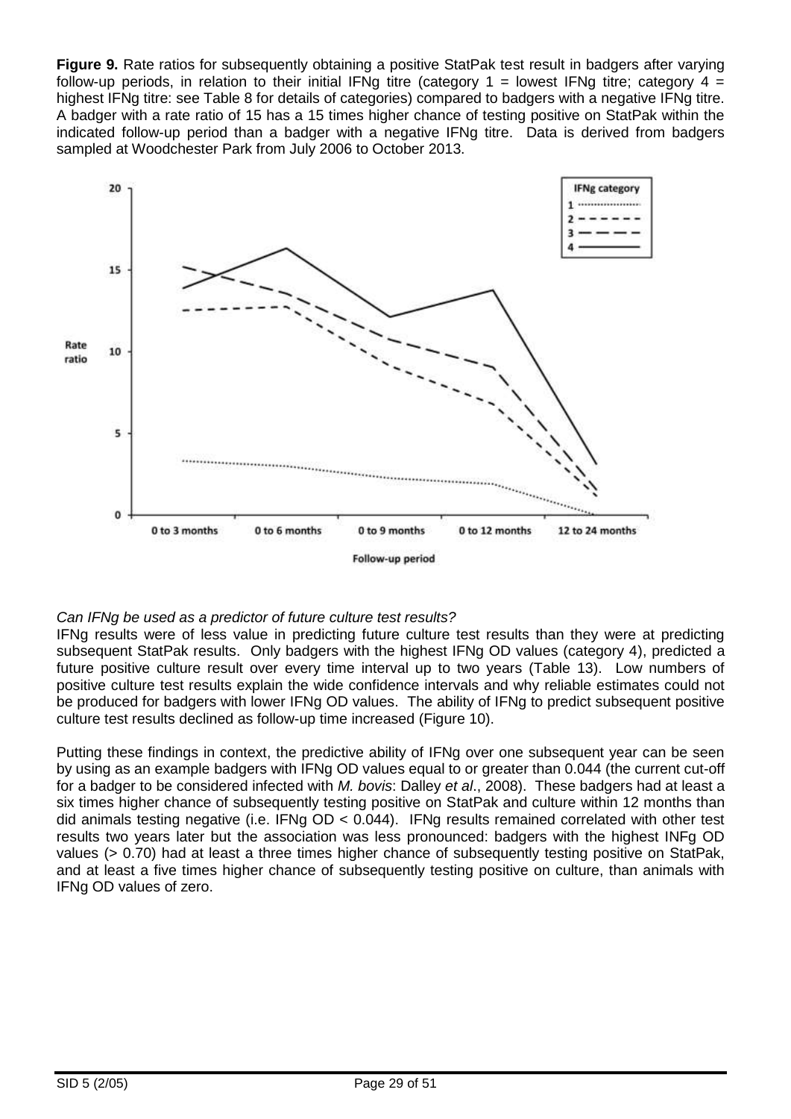**Figure 9.** Rate ratios for subsequently obtaining a positive StatPak test result in badgers after varying follow-up periods, in relation to their initial IFNg titre (category 1 = lowest IFNg titre; category 4 = highest IFNg titre: see Table 8 for details of categories) compared to badgers with a negative IFNg titre. A badger with a rate ratio of 15 has a 15 times higher chance of testing positive on StatPak within the indicated follow-up period than a badger with a negative IFNg titre. Data is derived from badgers sampled at Woodchester Park from July 2006 to October 2013.



### *Can IFNg be used as a predictor of future culture test results?*

IFNg results were of less value in predicting future culture test results than they were at predicting subsequent StatPak results. Only badgers with the highest IFNg OD values (category 4), predicted a future positive culture result over every time interval up to two years (Table 13). Low numbers of positive culture test results explain the wide confidence intervals and why reliable estimates could not be produced for badgers with lower IFNg OD values. The ability of IFNg to predict subsequent positive culture test results declined as follow-up time increased (Figure 10).

Putting these findings in context, the predictive ability of IFNg over one subsequent year can be seen by using as an example badgers with IFNg OD values equal to or greater than 0.044 (the current cut-off for a badger to be considered infected with *M. bovis*: Dalley *et al*., 2008). These badgers had at least a six times higher chance of subsequently testing positive on StatPak and culture within 12 months than did animals testing negative (i.e. IFNg OD < 0.044). IFNg results remained correlated with other test results two years later but the association was less pronounced: badgers with the highest INFg OD values (> 0.70) had at least a three times higher chance of subsequently testing positive on StatPak. and at least a five times higher chance of subsequently testing positive on culture, than animals with IFNg OD values of zero.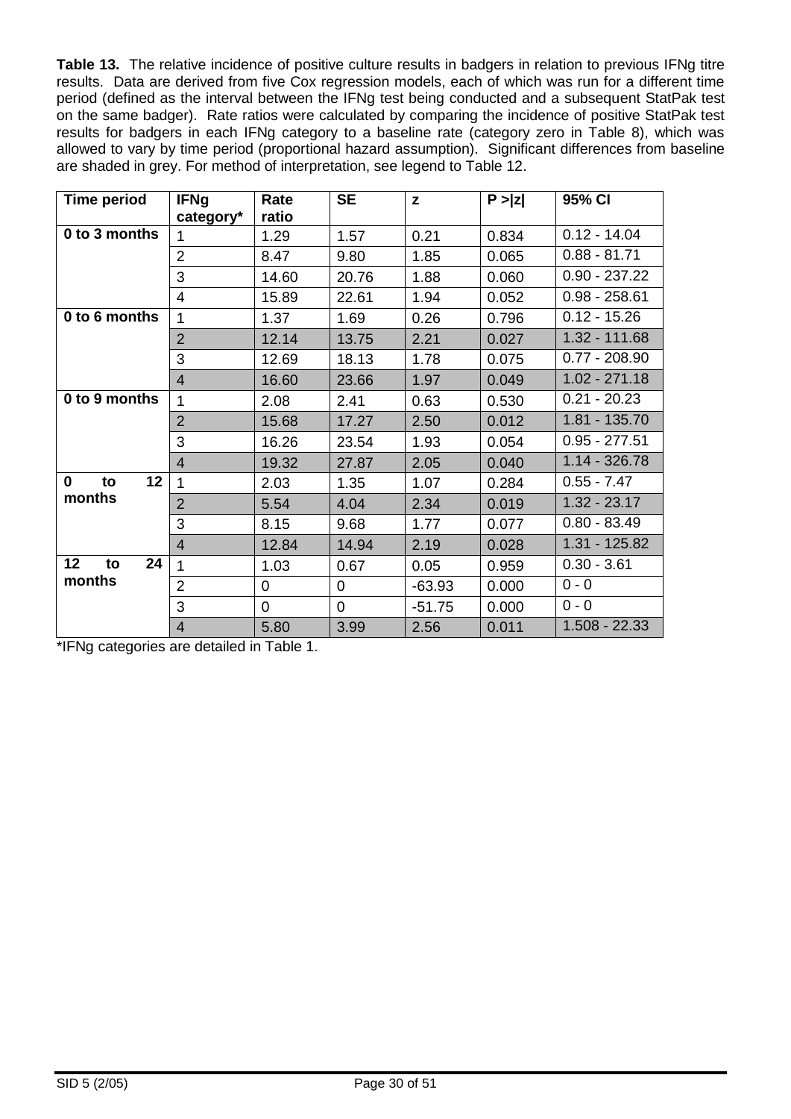**Table 13.** The relative incidence of positive culture results in badgers in relation to previous IFNg titre results. Data are derived from five Cox regression models, each of which was run for a different time period (defined as the interval between the IFNg test being conducted and a subsequent StatPak test on the same badger). Rate ratios were calculated by comparing the incidence of positive StatPak test results for badgers in each IFNg category to a baseline rate (category zero in Table 8), which was allowed to vary by time period (proportional hazard assumption). Significant differences from baseline are shaded in grey. For method of interpretation, see legend to Table 12.

| <b>Time period</b> | <b>IFNg</b><br>category* | Rate<br>ratio  | <b>SE</b>      | z        | P >  z | 95% CI          |
|--------------------|--------------------------|----------------|----------------|----------|--------|-----------------|
| 0 to 3 months      | 1                        | 1.29           | 1.57           | 0.21     | 0.834  | $0.12 - 14.04$  |
|                    | $\overline{2}$           | 8.47           | 9.80           | 1.85     | 0.065  | $0.88 - 81.71$  |
|                    | 3                        | 14.60          | 20.76          | 1.88     | 0.060  | $0.90 - 237.22$ |
|                    | $\overline{4}$           | 15.89          | 22.61          | 1.94     | 0.052  | $0.98 - 258.61$ |
| 0 to 6 months      | 1                        | 1.37           | 1.69           | 0.26     | 0.796  | $0.12 - 15.26$  |
|                    | $\overline{2}$           | 12.14          | 13.75          | 2.21     | 0.027  | 1.32 - 111.68   |
|                    | 3                        | 12.69          | 18.13          | 1.78     | 0.075  | $0.77 - 208.90$ |
|                    | $\overline{4}$           | 16.60          | 23.66          | 1.97     | 0.049  | $1.02 - 271.18$ |
| 0 to 9 months      | 1                        | 2.08           | 2.41           | 0.63     | 0.530  | $0.21 - 20.23$  |
|                    | $\overline{2}$           | 15.68          | 17.27          | 2.50     | 0.012  | 1.81 - 135.70   |
|                    | 3                        | 16.26          | 23.54          | 1.93     | 0.054  | $0.95 - 277.51$ |
|                    | $\overline{4}$           | 19.32          | 27.87          | 2.05     | 0.040  | $1.14 - 326.78$ |
| 0<br>12<br>to      | 1                        | 2.03           | 1.35           | 1.07     | 0.284  | $0.55 - 7.47$   |
| months             | $\overline{2}$           | 5.54           | 4.04           | 2.34     | 0.019  | $1.32 - 23.17$  |
|                    | 3                        | 8.15           | 9.68           | 1.77     | 0.077  | $0.80 - 83.49$  |
|                    | $\overline{4}$           | 12.84          | 14.94          | 2.19     | 0.028  | 1.31 - 125.82   |
| 12<br>24<br>to     | 1                        | 1.03           | 0.67           | 0.05     | 0.959  | $0.30 - 3.61$   |
| months             | $\overline{2}$           | $\overline{0}$ | $\overline{0}$ | $-63.93$ | 0.000  | $0 - 0$         |
|                    | 3                        | $\mathbf 0$    | 0              | $-51.75$ | 0.000  | $0 - 0$         |
|                    | $\overline{4}$           | 5.80           | 3.99           | 2.56     | 0.011  | $1.508 - 22.33$ |

\*IFNg categories are detailed in Table 1.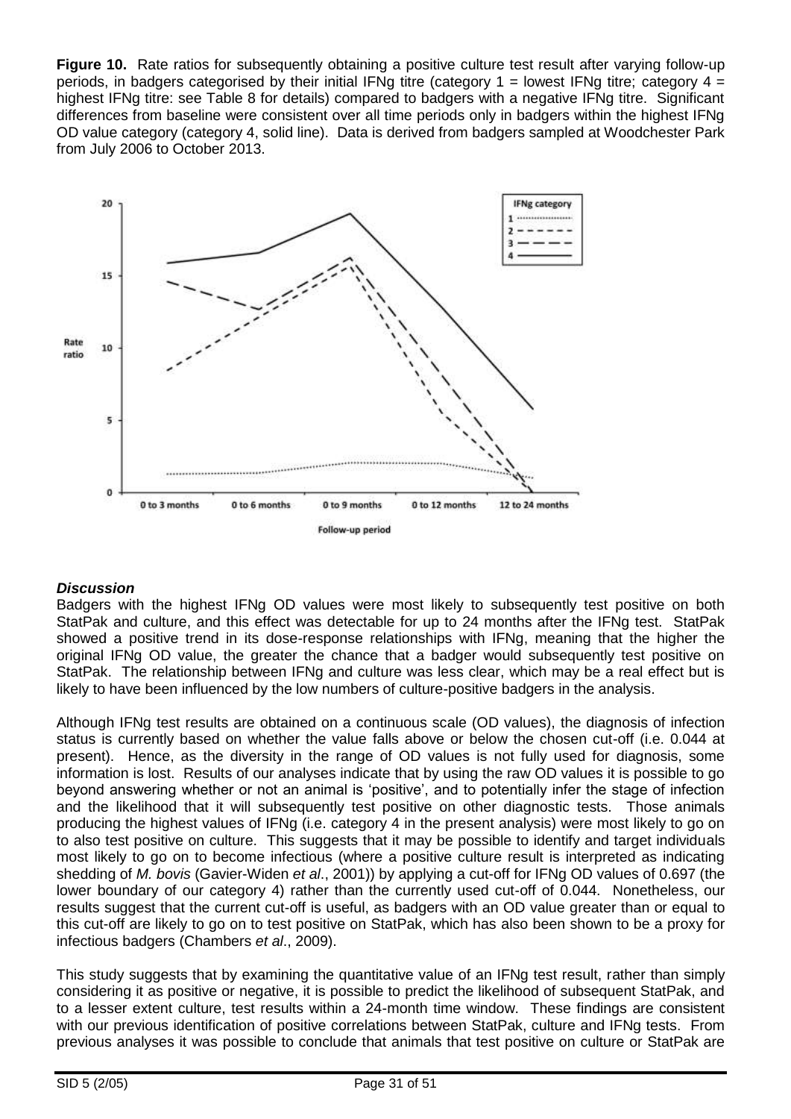**Figure 10.** Rate ratios for subsequently obtaining a positive culture test result after varying follow-up periods, in badgers categorised by their initial IFNg titre (category  $1 =$  lowest IFNg titre; category  $4 =$ highest IFNg titre: see Table 8 for details) compared to badgers with a negative IFNg titre. Significant differences from baseline were consistent over all time periods only in badgers within the highest IFNg OD value category (category 4, solid line). Data is derived from badgers sampled at Woodchester Park from July 2006 to October 2013.



### *Discussion*

Badgers with the highest IFNg OD values were most likely to subsequently test positive on both StatPak and culture, and this effect was detectable for up to 24 months after the IFNg test. StatPak showed a positive trend in its dose-response relationships with IFNg, meaning that the higher the original IFNg OD value, the greater the chance that a badger would subsequently test positive on StatPak. The relationship between IFNg and culture was less clear, which may be a real effect but is likely to have been influenced by the low numbers of culture-positive badgers in the analysis.

Although IFNg test results are obtained on a continuous scale (OD values), the diagnosis of infection status is currently based on whether the value falls above or below the chosen cut-off (i.e. 0.044 at present). Hence, as the diversity in the range of OD values is not fully used for diagnosis, some information is lost. Results of our analyses indicate that by using the raw OD values it is possible to go beyond answering whether or not an animal is 'positive', and to potentially infer the stage of infection and the likelihood that it will subsequently test positive on other diagnostic tests. Those animals producing the highest values of IFNg (i.e. category 4 in the present analysis) were most likely to go on to also test positive on culture. This suggests that it may be possible to identify and target individuals most likely to go on to become infectious (where a positive culture result is interpreted as indicating shedding of *M. bovis* [\(Gavier-Widen](#page-46-1) *et al*., 2001)) by applying a cut-off for IFNg OD values of 0.697 (the lower boundary of our category 4) rather than the currently used cut-off of 0.044. Nonetheless, our results suggest that the current cut-off is useful, as badgers with an OD value greater than or equal to this cut-off are likely to go on to test positive on StatPak, which has also been shown to be a proxy for infectious badgers [\(Chambers](#page-45-2) *et al*., 2009).

This study suggests that by examining the quantitative value of an IFNg test result, rather than simply considering it as positive or negative, it is possible to predict the likelihood of subsequent StatPak, and to a lesser extent culture, test results within a 24-month time window. These findings are consistent with our previous identification of positive correlations between StatPak, culture and IFNg tests. From previous analyses it was possible to conclude that animals that test positive on culture or StatPak are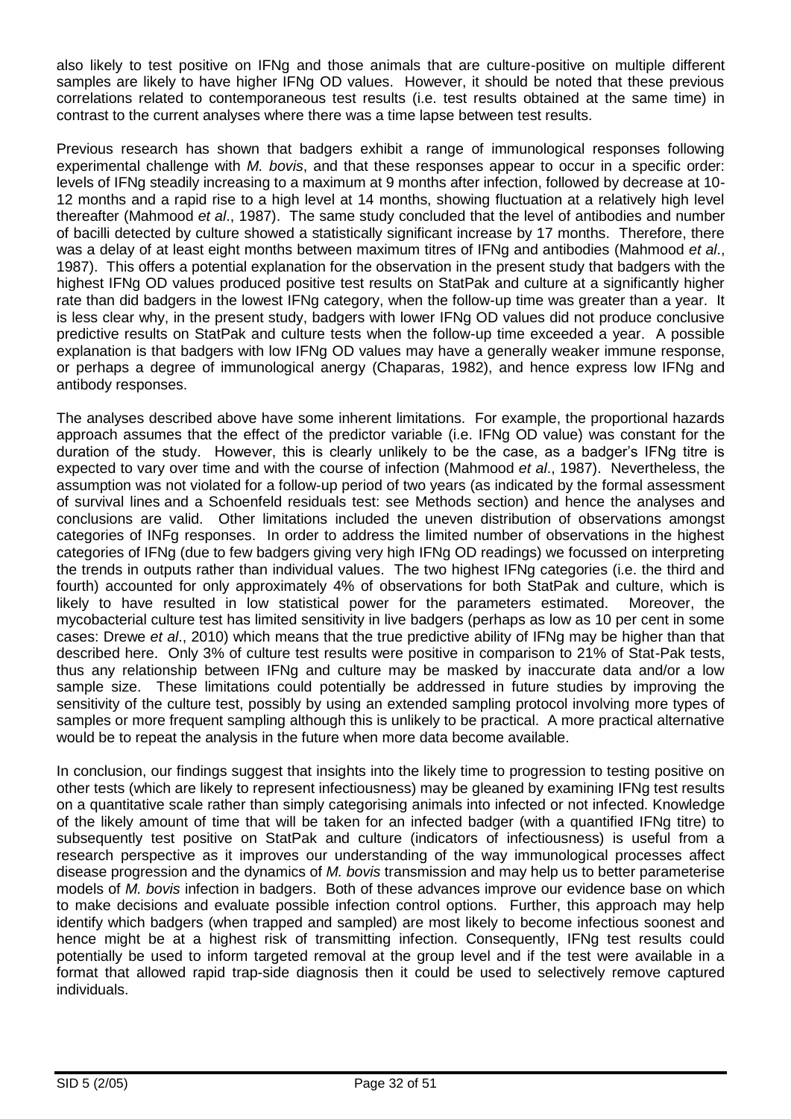also likely to test positive on IFNg and those animals that are culture-positive on multiple different samples are likely to have higher IFNg OD values. However, it should be noted that these previous correlations related to contemporaneous test results (i.e. test results obtained at the same time) in contrast to the current analyses where there was a time lapse between test results.

Previous research has shown that badgers exhibit a range of immunological responses following experimental challenge with *M. bovis*, and that these responses appear to occur in a specific order: levels of IFNg steadily increasing to a maximum at 9 months after infection, followed by decrease at 10- 12 months and a rapid rise to a high level at 14 months, showing fluctuation at a relatively high level thereafter [\(Mahmood](#page-46-2) *et al*., 1987). The same study concluded that the level of antibodies and number of bacilli detected by culture showed a statistically significant increase by 17 months. Therefore, there was a delay of at least eight months between maximum titres of IFNg and antibodies [\(Mahmood](#page-46-2) *et al*., [1987\)](#page-46-2). This offers a potential explanation for the observation in the present study that badgers with the highest IFNg OD values produced positive test results on StatPak and culture at a significantly higher rate than did badgers in the lowest IFNg category, when the follow-up time was greater than a year. It is less clear why, in the present study, badgers with lower IFNg OD values did not produce conclusive predictive results on StatPak and culture tests when the follow-up time exceeded a year. A possible explanation is that badgers with low IFNg OD values may have a generally weaker immune response, or perhaps a degree of immunological anergy (Chaparas, 1982), and hence express low IFNg and antibody responses.

The analyses described above have some inherent limitations. For example, the proportional hazards approach assumes that the effect of the predictor variable (i.e. IFNg OD value) was constant for the duration of the study. However, this is clearly unlikely to be the case, as a badger's IFNg titre is expected to vary over time and with the course of infection [\(Mahmood](#page-46-2) *et al*., 1987). Nevertheless, the assumption was not violated for a follow-up period of two years (as indicated by the formal assessment of survival lines and a Schoenfeld residuals test: see Methods section) and hence the analyses and conclusions are valid. Other limitations included the uneven distribution of observations amongst categories of INFg responses. In order to address the limited number of observations in the highest categories of IFNg (due to few badgers giving very high IFNg OD readings) we focussed on interpreting the trends in outputs rather than individual values. The two highest IFNg categories (i.e. the third and fourth) accounted for only approximately 4% of observations for both StatPak and culture, which is likely to have resulted in low statistical power for the parameters estimated. Moreover, the mycobacterial culture test has limited sensitivity in live badgers (perhaps as low as 10 per cent in some cases: Drewe *et al*., 2010) which means that the true predictive ability of IFNg may be higher than that described here. Only 3% of culture test results were positive in comparison to 21% of Stat-Pak tests, thus any relationship between IFNg and culture may be masked by inaccurate data and/or a low sample size. These limitations could potentially be addressed in future studies by improving the sensitivity of the culture test, possibly by using an extended sampling protocol involving more types of samples or more frequent sampling although this is unlikely to be practical. A more practical alternative would be to repeat the analysis in the future when more data become available.

In conclusion, our findings suggest that insights into the likely time to progression to testing positive on other tests (which are likely to represent infectiousness) may be gleaned by examining IFNg test results on a quantitative scale rather than simply categorising animals into infected or not infected. Knowledge of the likely amount of time that will be taken for an infected badger (with a quantified IFNg titre) to subsequently test positive on StatPak and culture (indicators of infectiousness) is useful from a research perspective as it improves our understanding of the way immunological processes affect disease progression and the dynamics of *M. bovis* transmission and may help us to better parameterise models of *M. bovis* infection in badgers. Both of these advances improve our evidence base on which to make decisions and evaluate possible infection control options. Further, this approach may help identify which badgers (when trapped and sampled) are most likely to become infectious soonest and hence might be at a highest risk of transmitting infection. Consequently, IFNg test results could potentially be used to inform targeted removal at the group level and if the test were available in a format that allowed rapid trap-side diagnosis then it could be used to selectively remove captured individuals.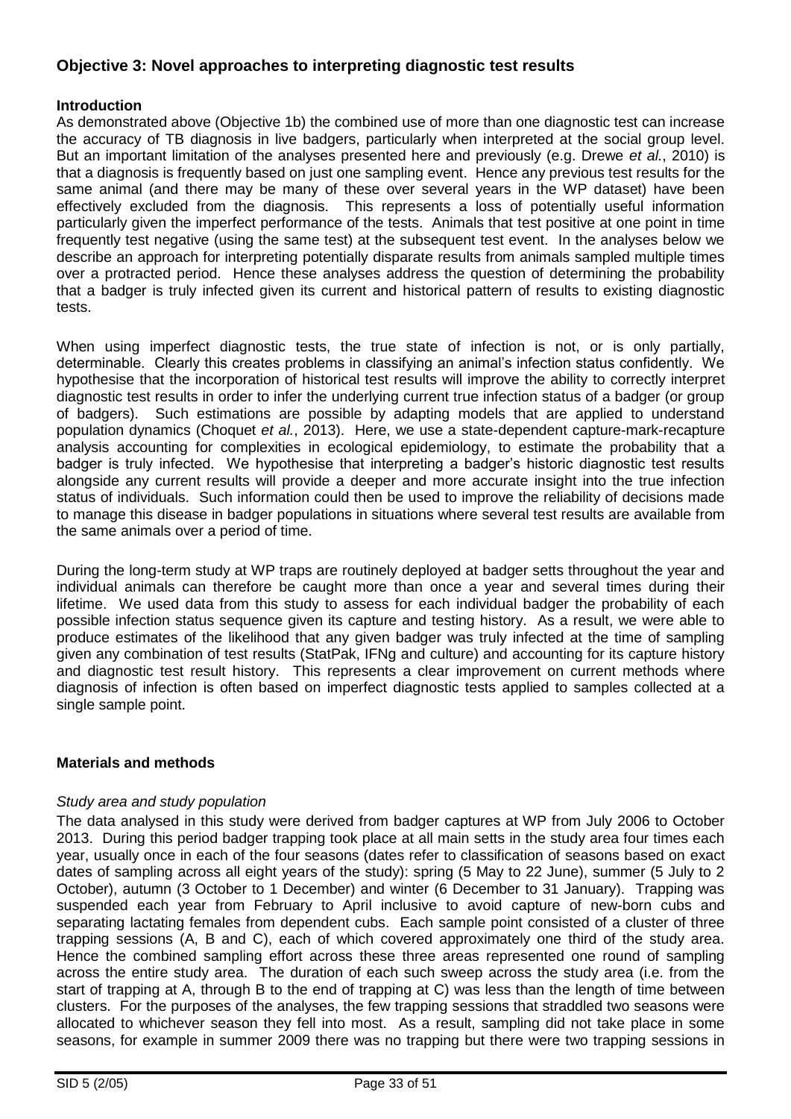## **Objective 3: Novel approaches to interpreting diagnostic test results**

#### **Introduction**

As demonstrated above (Objective 1b) the combined use of more than one diagnostic test can increase the accuracy of TB diagnosis in live badgers, particularly when interpreted at the social group level. But an important limitation of the analyses presented here and previously (e.g. Drewe *et al.*, 2010) is that a diagnosis is frequently based on just one sampling event. Hence any previous test results for the same animal (and there may be many of these over several years in the WP dataset) have been effectively excluded from the diagnosis. This represents a loss of potentially useful information particularly given the imperfect performance of the tests. Animals that test positive at one point in time frequently test negative (using the same test) at the subsequent test event. In the analyses below we describe an approach for interpreting potentially disparate results from animals sampled multiple times over a protracted period. Hence these analyses address the question of determining the probability that a badger is truly infected given its current and historical pattern of results to existing diagnostic tests.

When using imperfect diagnostic tests, the true state of infection is not, or is only partially, determinable. Clearly this creates problems in classifying an animal's infection status confidently. We hypothesise that the incorporation of historical test results will improve the ability to correctly interpret diagnostic test results in order to infer the underlying current true infection status of a badger (or group of badgers). Such estimations are possible by adapting models that are applied to understand population dynamics (Choquet *et al.*, 2013). Here, we use a state-dependent capture-mark-recapture analysis accounting for complexities in ecological epidemiology, to estimate the probability that a badger is truly infected. We hypothesise that interpreting a badger's historic diagnostic test results alongside any current results will provide a deeper and more accurate insight into the true infection status of individuals. Such information could then be used to improve the reliability of decisions made to manage this disease in badger populations in situations where several test results are available from the same animals over a period of time.

During the long-term study at WP traps are routinely deployed at badger setts throughout the year and individual animals can therefore be caught more than once a year and several times during their lifetime. We used data from this study to assess for each individual badger the probability of each possible infection status sequence given its capture and testing history. As a result, we were able to produce estimates of the likelihood that any given badger was truly infected at the time of sampling given any combination of test results (StatPak, IFNg and culture) and accounting for its capture history and diagnostic test result history. This represents a clear improvement on current methods where diagnosis of infection is often based on imperfect diagnostic tests applied to samples collected at a single sample point.

#### **Materials and methods**

#### *Study area and study population*

The data analysed in this study were derived from badger captures at WP from July 2006 to October 2013. During this period badger trapping took place at all main setts in the study area four times each year, usually once in each of the four seasons (dates refer to classification of seasons based on exact dates of sampling across all eight years of the study): spring (5 May to 22 June), summer (5 July to 2 October), autumn (3 October to 1 December) and winter (6 December to 31 January). Trapping was suspended each year from February to April inclusive to avoid capture of new-born cubs and separating lactating females from dependent cubs. Each sample point consisted of a cluster of three trapping sessions (A, B and C), each of which covered approximately one third of the study area. Hence the combined sampling effort across these three areas represented one round of sampling across the entire study area. The duration of each such sweep across the study area (i.e. from the start of trapping at A, through B to the end of trapping at C) was less than the length of time between clusters. For the purposes of the analyses, the few trapping sessions that straddled two seasons were allocated to whichever season they fell into most. As a result, sampling did not take place in some seasons, for example in summer 2009 there was no trapping but there were two trapping sessions in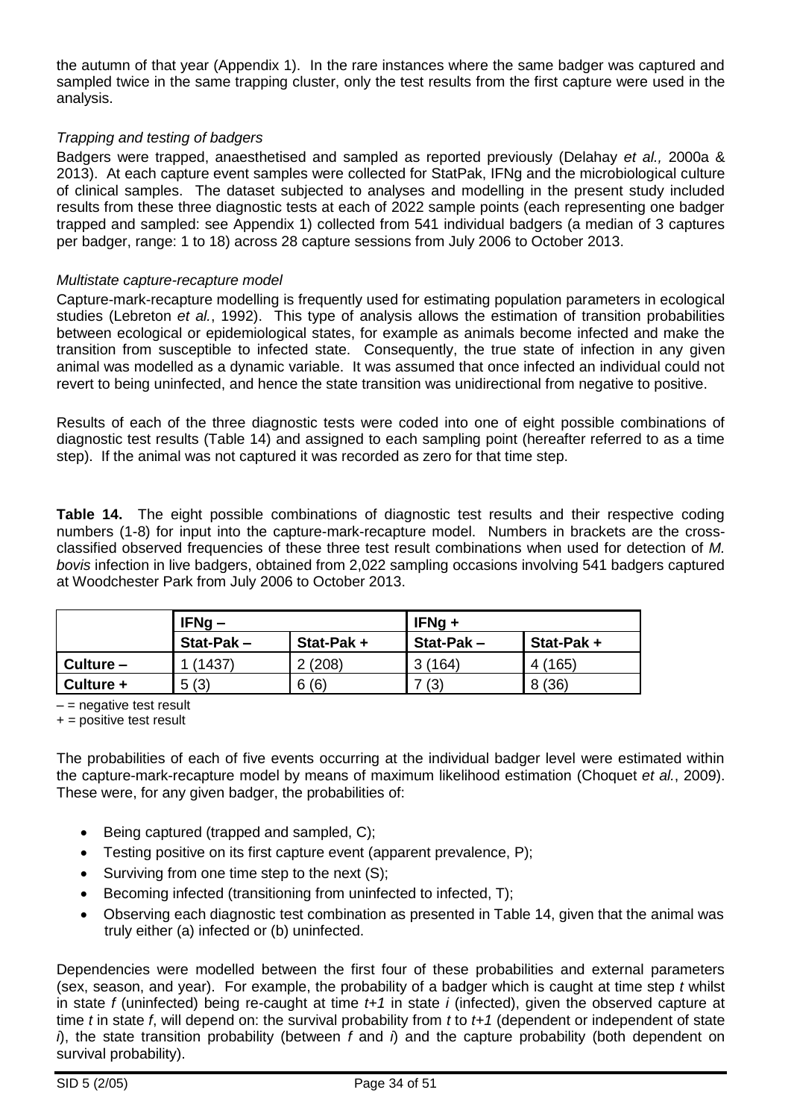the autumn of that year (Appendix 1). In the rare instances where the same badger was captured and sampled twice in the same trapping cluster, only the test results from the first capture were used in the analysis.

#### *Trapping and testing of badgers*

Badgers were trapped, anaesthetised and sampled as reported previously (Delahay *et al.,* 2000a & 2013). At each capture event samples were collected for StatPak, IFNg and the microbiological culture of clinical samples. The dataset subjected to analyses and modelling in the present study included results from these three diagnostic tests at each of 2022 sample points (each representing one badger trapped and sampled: see Appendix 1) collected from 541 individual badgers (a median of 3 captures per badger, range: 1 to 18) across 28 capture sessions from July 2006 to October 2013.

#### *Multistate capture-recapture model*

Capture-mark-recapture modelling is frequently used for estimating population parameters in ecological studies (Lebreton *et al.*, 1992). This type of analysis allows the estimation of transition probabilities between ecological or epidemiological states, for example as animals become infected and make the transition from susceptible to infected state. Consequently, the true state of infection in any given animal was modelled as a dynamic variable. It was assumed that once infected an individual could not revert to being uninfected, and hence the state transition was unidirectional from negative to positive.

Results of each of the three diagnostic tests were coded into one of eight possible combinations of diagnostic test results (Table 14) and assigned to each sampling point (hereafter referred to as a time step). If the animal was not captured it was recorded as zero for that time step.

**Table 14.** The eight possible combinations of diagnostic test results and their respective coding numbers (1-8) for input into the capture-mark-recapture model. Numbers in brackets are the crossclassified observed frequencies of these three test result combinations when used for detection of *M. bovis* infection in live badgers, obtained from 2,022 sampling occasions involving 541 badgers captured at Woodchester Park from July 2006 to October 2013.

|           | $IFNg -$     |           | $IFNq +$  |           |  |  |
|-----------|--------------|-----------|-----------|-----------|--|--|
|           | $Stat-Pak -$ | Stat-Pak+ | Stat-Pak- | Stat-Pak+ |  |  |
| Culture - | (1437)       | 2(208)    | 3(164)    | 4 (165)   |  |  |
| Culture + | 5(3)         | 6(6)      | (3)       | 8(36)     |  |  |

 $-$  = negative test result

+ = positive test result

The probabilities of each of five events occurring at the individual badger level were estimated within the capture-mark-recapture model by means of maximum likelihood estimation (Choquet *et al.*, 2009). These were, for any given badger, the probabilities of:

- $\bullet$  Being captured (trapped and sampled, C);
- Testing positive on its first capture event (apparent prevalence, P);
- $\bullet$  Surviving from one time step to the next (S);
- Becoming infected (transitioning from uninfected to infected, T);
- Observing each diagnostic test combination as presented in Table 14, given that the animal was truly either (a) infected or (b) uninfected.

Dependencies were modelled between the first four of these probabilities and external parameters (sex, season, and year). For example, the probability of a badger which is caught at time step *t* whilst in state *f* (uninfected) being re-caught at time *t+1* in state *i* (infected), given the observed capture at time *t* in state *f*, will depend on: the survival probability from *t* to *t+1* (dependent or independent of state *i*), the state transition probability (between *f* and *i*) and the capture probability (both dependent on survival probability).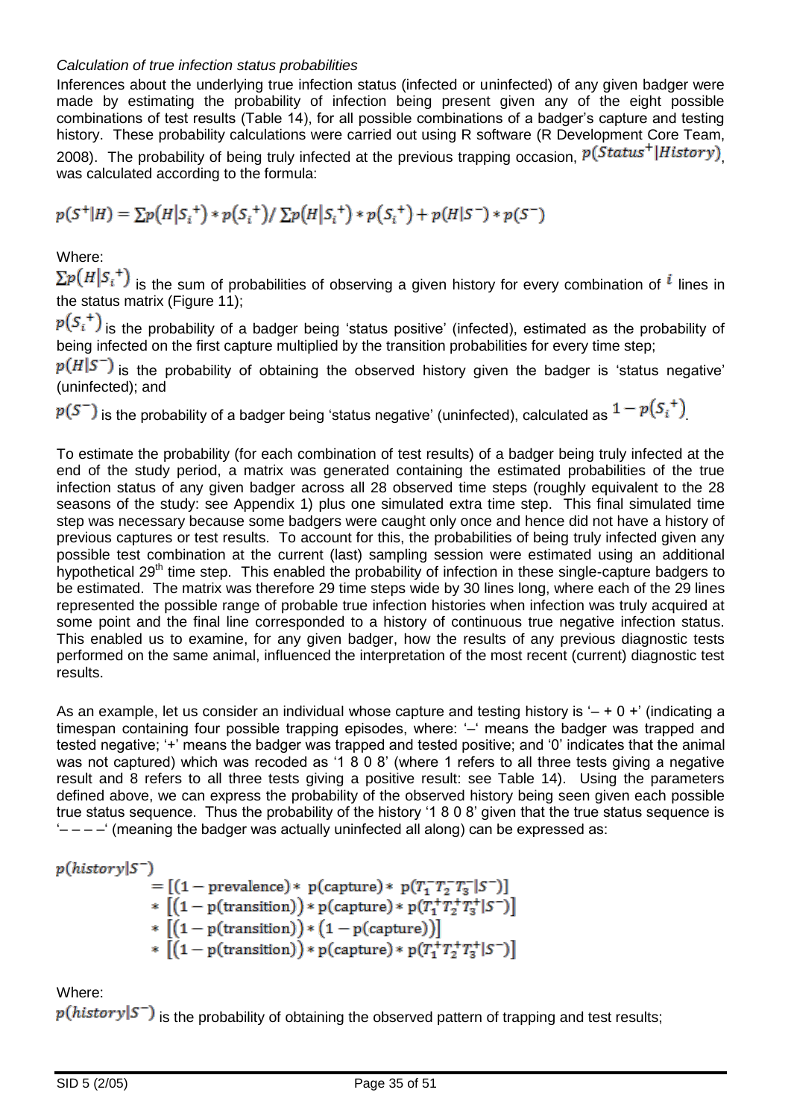#### *Calculation of true infection status probabilities*

Inferences about the underlying true infection status (infected or uninfected) of any given badger were made by estimating the probability of infection being present given any of the eight possible combinations of test results (Table 14), for all possible combinations of a badger's capture and testing history. These probability calculations were carried out using R software (R Development Core Team, 2008). The probability of being truly infected at the previous trapping occasion,  $p(Status^+|History)$ was calculated according to the formula:

$$
p(S^+|H) = \sum p(H|S_i^+) * p(S_i^+) / \sum p(H|S_i^+) * p(S_i^+) + p(H|S^-) * p(S^-)
$$

Where:

 $\sum p(H|S_i^+)$  is the sum of probabilities of observing a given history for every combination of  $^i$  lines in the status matrix (Figure 11);

 $p(S_i^+)$  is the probability of a badger being 'status positive' (infected), estimated as the probability of being infected on the first capture multiplied by the transition probabilities for every time step;

 $p(H|S^-)$  is the probability of obtaining the observed history given the badger is 'status negative' (uninfected); and

 $p(S^-)$  is the probability of a badger being 'status negative' (uninfected), calculated as  $1-p(S_i^+)$ 

To estimate the probability (for each combination of test results) of a badger being truly infected at the end of the study period, a matrix was generated containing the estimated probabilities of the true infection status of any given badger across all 28 observed time steps (roughly equivalent to the 28 seasons of the study: see Appendix 1) plus one simulated extra time step. This final simulated time step was necessary because some badgers were caught only once and hence did not have a history of previous captures or test results. To account for this, the probabilities of being truly infected given any possible test combination at the current (last) sampling session were estimated using an additional hypothetical 29<sup>th</sup> time step. This enabled the probability of infection in these single-capture badgers to be estimated. The matrix was therefore 29 time steps wide by 30 lines long, where each of the 29 lines represented the possible range of probable true infection histories when infection was truly acquired at some point and the final line corresponded to a history of continuous true negative infection status. This enabled us to examine, for any given badger, how the results of any previous diagnostic tests performed on the same animal, influenced the interpretation of the most recent (current) diagnostic test results.

As an example, let us consider an individual whose capture and testing history is  $- + 0 + 0$  (indicating a timespan containing four possible trapping episodes, where: '–' means the badger was trapped and tested negative; '+' means the badger was trapped and tested positive; and '0' indicates that the animal was not captured) which was recoded as '1 8 0 8' (where 1 refers to all three tests giving a negative result and 8 refers to all three tests giving a positive result: see Table 14). Using the parameters defined above, we can express the probability of the observed history being seen given each possible true status sequence. Thus the probability of the history '1 8 0 8' given that the true status sequence is  $\dot{z}$  – – –' (meaning the badger was actually uninfected all along) can be expressed as:

 $p(history|S^-)$ 

 $= [(1 - \text{prevalence}) * p(\text{capture}) * p(T_1^T T_2^T T_3^- | S^-)]$ \*  $[(1 - p(transition)) * p(capture) * p(T_1^+T_2^+T_3^+|S^-)]$ \*  $[(1 - p(\text{transition})) * (1 - p(\text{capture}))]$ <br>\*  $[(1 - p(\text{transition})) * p(\text{capture}) * p(T_1^T T_2^T T_3^T | S^-)]$ 

Where:

 $p(history|S^-)$  is the probability of obtaining the observed pattern of trapping and test results;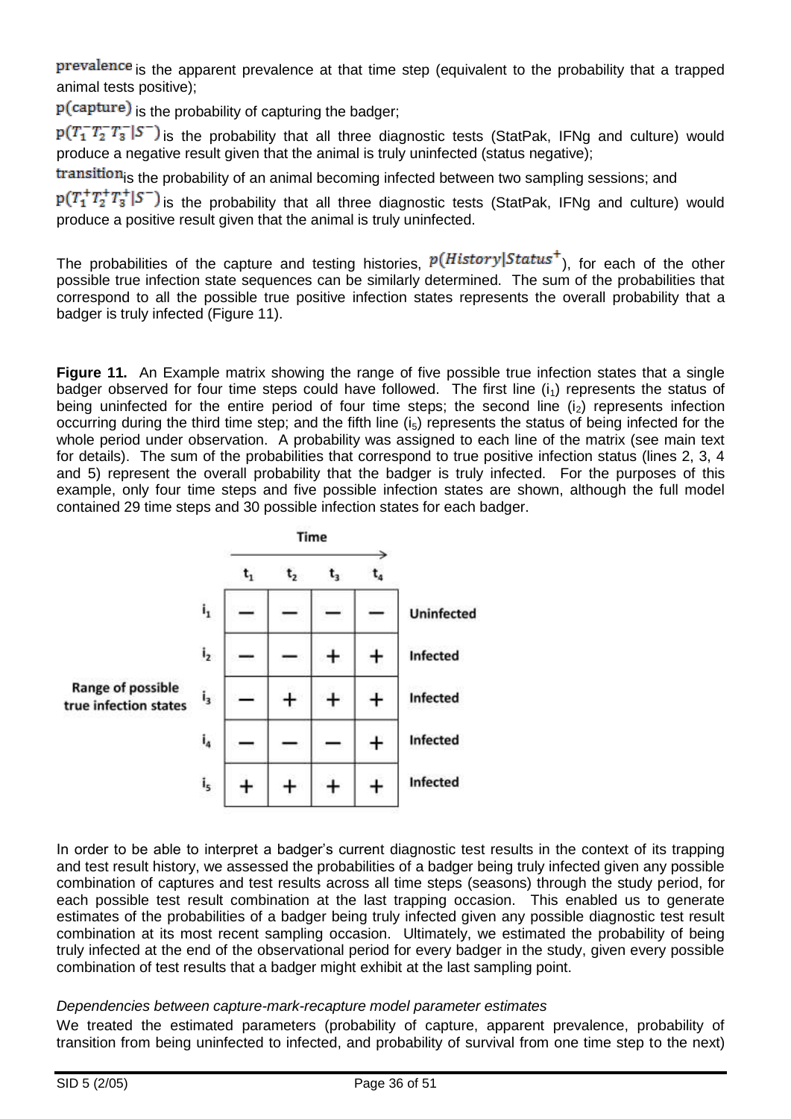prevalence is the apparent prevalence at that time step (equivalent to the probability that a trapped animal tests positive);

 $p(capture)$  is the probability of capturing the badger;

 $p(T_1^T T_2^T T_3^- | S^-)$  is the probability that all three diagnostic tests (StatPak, IFNg and culture) would produce a negative result given that the animal is truly uninfected (status negative);

transitionis the probability of an animal becoming infected between two sampling sessions; and

 $p(T_1^T T_2^T T_3^T | S^-)$  is the probability that all three diagnostic tests (StatPak, IFNg and culture) would produce a positive result given that the animal is truly uninfected.

The probabilities of the capture and testing histories,  $p(History|Status^+)$ , for each of the other possible true infection state sequences can be similarly determined. The sum of the probabilities that correspond to all the possible true positive infection states represents the overall probability that a badger is truly infected (Figure 11).

**Figure 11.** An Example matrix showing the range of five possible true infection states that a single badger observed for four time steps could have followed. The first line  $(i_1)$  represents the status of being uninfected for the entire period of four time steps; the second line  $(i<sub>2</sub>)$  represents infection occurring during the third time step; and the fifth line  $(i<sub>5</sub>)$  represents the status of being infected for the whole period under observation. A probability was assigned to each line of the matrix (see main text for details). The sum of the probabilities that correspond to true positive infection status (lines 2, 3, 4 and 5) represent the overall probability that the badger is truly infected. For the purposes of this example, only four time steps and five possible infection states are shown, although the full model contained 29 time steps and 30 possible infection states for each badger.



In order to be able to interpret a badger's current diagnostic test results in the context of its trapping and test result history, we assessed the probabilities of a badger being truly infected given any possible combination of captures and test results across all time steps (seasons) through the study period, for each possible test result combination at the last trapping occasion. This enabled us to generate estimates of the probabilities of a badger being truly infected given any possible diagnostic test result combination at its most recent sampling occasion. Ultimately, we estimated the probability of being truly infected at the end of the observational period for every badger in the study, given every possible combination of test results that a badger might exhibit at the last sampling point.

#### *Dependencies between capture-mark-recapture model parameter estimates*

We treated the estimated parameters (probability of capture, apparent prevalence, probability of transition from being uninfected to infected, and probability of survival from one time step to the next)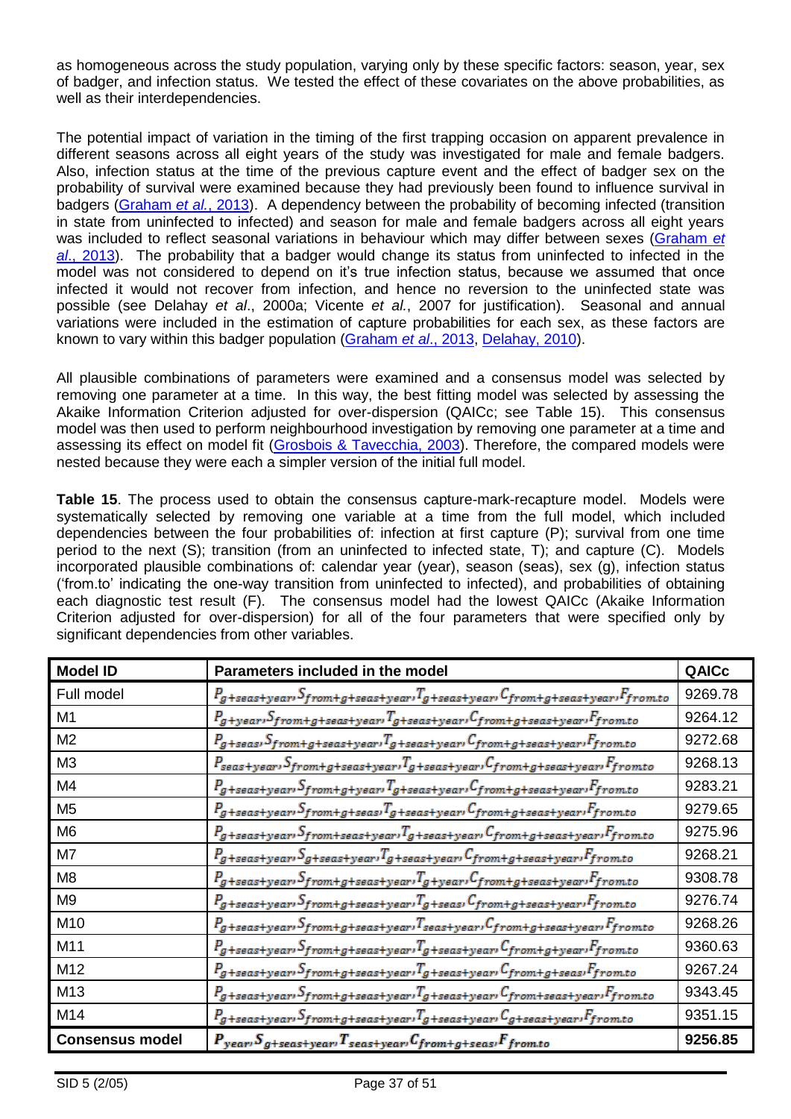as homogeneous across the study population, varying only by these specific factors: season, year, sex of badger, and infection status. We tested the effect of these covariates on the above probabilities, as well as their interdependencies.

The potential impact of variation in the timing of the first trapping occasion on apparent prevalence in different seasons across all eight years of the study was investigated for male and female badgers. Also, infection status at the time of the previous capture event and the effect of badger sex on the probability of survival were examined because they had previously been found to influence survival in badgers [\(Graham](#page-46-2) *et al.*, 2013). A dependency between the probability of becoming infected (transition in state from uninfected to infected) and season for male and female badgers across all eight years was included to reflect seasonal variations in behaviour which may differ between sexes [\(Graham](#page-46-2) *et al*[., 2013\)](#page-46-2). The probability that a badger would change its status from uninfected to infected in the model was not considered to depend on it's true infection status, because we assumed that once infected it would not recover from infection, and hence no reversion to the uninfected state was possible (see Delahay *et al*., 2000a; Vicente *et al.*, 2007 for justification). Seasonal and annual variations were included in the estimation of capture probabilities for each sex, as these factors are known to vary within this badger population [\(Graham](#page-46-2) *et al*., 2013, [Delahay, 2010\)](#page-46-1).

All plausible combinations of parameters were examined and a consensus model was selected by removing one parameter at a time. In this way, the best fitting model was selected by assessing the Akaike Information Criterion adjusted for over-dispersion (QAICc; see Table 15). This consensus model was then used to perform neighbourhood investigation by removing one parameter at a time and assessing its effect on model fit [\(Grosbois & Tavecchia, 2003\)](#page-46-3). Therefore, the compared models were nested because they were each a simpler version of the initial full model.

**Table 15**. The process used to obtain the consensus capture-mark-recapture model. Models were systematically selected by removing one variable at a time from the full model, which included dependencies between the four probabilities of: infection at first capture (P); survival from one time period to the next (S); transition (from an uninfected to infected state, T); and capture (C). Models incorporated plausible combinations of: calendar year (year), season (seas), sex (g), infection status ('from.to' indicating the one-way transition from uninfected to infected), and probabilities of obtaining each diagnostic test result (F). The consensus model had the lowest QAICc (Akaike Information Criterion adjusted for over-dispersion) for all of the four parameters that were specified only by significant dependencies from other variables.

| <b>Model ID</b>        | Parameters included in the model                                                                                                                                                                                      | QAICc   |
|------------------------|-----------------------------------------------------------------------------------------------------------------------------------------------------------------------------------------------------------------------|---------|
| Full model             | $P_g$ +seas+year <sup>, S</sup> from+g+seas+year <sup>, T</sup> g+seas+year <sup>, C</sup> from+g+seas+year <sup>, F</sup> from.to                                                                                    | 9269.78 |
| M1                     | $P_g$ +year $S_{from+g+seas+year}$ $T_{g+seas+year}$ C $_{from+g+seas+year}$ F $_{from\,to}$                                                                                                                          | 9264.12 |
| M <sub>2</sub>         | $P_g$ +seası $S_{from+g+seas+year}$ ı $T_g$ +seas+yearı $C_{from+g+seas+year}$ ı $F_{from+o}$                                                                                                                         | 9272.68 |
| M <sub>3</sub>         | Pseas+year1Sfrom+g+seas+year1Tg+seas+year1Cfrom+g+seas+year1Ffromto                                                                                                                                                   | 9268.13 |
| M4                     | $P_g$ +seas+yearı $S_f$ rom+g+yearı $T_g$ +seas+yearı $C_f$ rom+g+seas+yearı $F_f$ rom.to                                                                                                                             | 9283.21 |
| M <sub>5</sub>         | $P_g$ +seas+year <sup>, S</sup> from+g+seas <sup>, T</sup> g+seas+year <sup>, C</sup> from+g+seas+year <sup>, F</sup> from.to                                                                                         | 9279.65 |
| M <sub>6</sub>         | $P_g$ +seas+year <sup>, S</sup> from+seas+year <sup>, T</sup> g+seas+year <sup>, C</sup> from+g+seas+year <sup>, F</sup> from.to                                                                                      | 9275.96 |
| M7                     | $P_g$ +seas+year <sup>, S</sup> g+seas+year <sup>, T</sup> g+seas+year <sup>, C</sup> from+g+seas+year <sup>, F</sup> from.to                                                                                         | 9268.21 |
| M8                     | Pg+seas+year <sup>,</sup> Sfrom+g+seas+year <sup>,T</sup> g+year <sup>,C</sup> from+g+seas+year <sup>,F</sup> from.to                                                                                                 | 9308.78 |
| M9                     | Pg+seas+year1 Sfrom+g+seas+year1 g+seas1 Cfrom+g+seas+year1 Ffrom.to                                                                                                                                                  | 9276.74 |
| M <sub>10</sub>        | Pg+seas+year1>Sfrom+g+seas+year1Tseas+year1Cfrom+g+seas+year1Ffromto                                                                                                                                                  | 9268.26 |
| M11                    |                                                                                                                                                                                                                       | 9360.63 |
| M12                    | Pg+seas+year1>from+g+seas+year1 <sup>T</sup> g+seas+year1 <sup>C</sup> from+g+seas1 <sup>F</sup> from.to                                                                                                              | 9267.24 |
| M <sub>13</sub>        | $P_g$ +seas+yearı $S_f$ rom+g+seas+yearı $T_g$ +seas+yearı $C_f$ rom+seas+yearı $F_f$ rom.to                                                                                                                          | 9343.45 |
| M14                    | $P_g + \textit{seas} + \textit{year} \cdot S_f \textit{rom} + g + \textit{seas} + \textit{year} \cdot {}^Ig + \textit{seas} + \textit{year} \cdot {}^Lg + \textit{seas} + \textit{year} \cdot {}^If \textit{rom.} to$ | 9351.15 |
| <b>Consensus model</b> | $P_{year}$ , $S_{g+seas+year}$ , $T_{seas+year}$ , $C_{from+g+seas}$ , $F_{from to}$                                                                                                                                  | 9256.85 |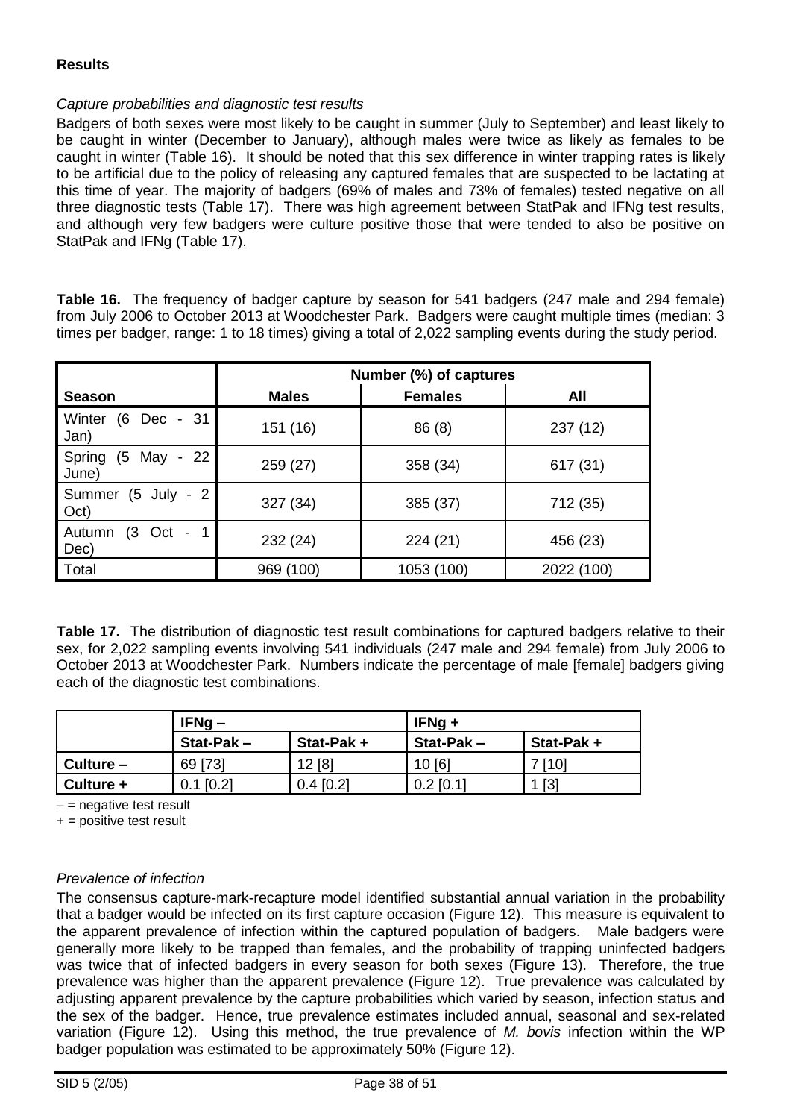### **Results**

#### *Capture probabilities and diagnostic test results*

Badgers of both sexes were most likely to be caught in summer (July to September) and least likely to be caught in winter (December to January), although males were twice as likely as females to be caught in winter (Table 16). It should be noted that this sex difference in winter trapping rates is likely to be artificial due to the policy of releasing any captured females that are suspected to be lactating at this time of year. The majority of badgers (69% of males and 73% of females) tested negative on all three diagnostic tests (Table 17). There was high agreement between StatPak and IFNg test results, and although very few badgers were culture positive those that were tended to also be positive on StatPak and IFNg (Table 17).

**Table 16.** The frequency of badger capture by season for 541 badgers (247 male and 294 female) from July 2006 to October 2013 at Woodchester Park. Badgers were caught multiple times (median: 3 times per badger, range: 1 to 18 times) giving a total of 2,022 sampling events during the study period.

|                                                        | Number (%) of captures |                |            |  |  |  |  |  |
|--------------------------------------------------------|------------------------|----------------|------------|--|--|--|--|--|
| <b>Season</b>                                          | <b>Males</b>           | <b>Females</b> | All        |  |  |  |  |  |
| (6 Dec - 31<br>Winter<br>Jan)                          | 151 (16)               | 86(8)          | 237 (12)   |  |  |  |  |  |
| May - 22<br>(5)<br>Spring<br>June)                     | 259 (27)               | 358 (34)       | 617 (31)   |  |  |  |  |  |
| $(5$ July - 2<br>Summer<br>Oct)                        | 327 (34)               | 385 (37)       | 712 (35)   |  |  |  |  |  |
| $(3$ Oct<br>Autumn<br>$\overline{\phantom{a}}$<br>Dec) | 232 (24)               | 224(21)        | 456 (23)   |  |  |  |  |  |
| Total                                                  | 969 (100)              | 1053 (100)     | 2022 (100) |  |  |  |  |  |

Table 17. The distribution of diagnostic test result combinations for captured badgers relative to their sex, for 2,022 sampling events involving 541 individuals (247 male and 294 female) from July 2006 to October 2013 at Woodchester Park. Numbers indicate the percentage of male [female] badgers giving each of the diagnostic test combinations.

|             | $IFNg -$     |             | $IFNg +$    |                   |  |
|-------------|--------------|-------------|-------------|-------------------|--|
|             | $Stat-Pak -$ | Stat-Pak+   | Stat-Pak-   | Stat-Pak+         |  |
| $Culture -$ | 69 [73]      | 12[8]       | 10[6]       | [10]              |  |
| Culture +   | [0.2]<br>0.1 | $0.4$ [0.2] | $0.2$ [0.1] | $\lceil 3 \rceil$ |  |

 $-$  = negative test result

 $+$  = positive test result

#### *Prevalence of infection*

The consensus capture-mark-recapture model identified substantial annual variation in the probability that a badger would be infected on its first capture occasion (Figure 12). This measure is equivalent to the apparent prevalence of infection within the captured population of badgers. Male badgers were generally more likely to be trapped than females, and the probability of trapping uninfected badgers was twice that of infected badgers in every season for both sexes (Figure 13). Therefore, the true prevalence was higher than the apparent prevalence (Figure 12). True prevalence was calculated by adjusting apparent prevalence by the capture probabilities which varied by season, infection status and the sex of the badger. Hence, true prevalence estimates included annual, seasonal and sex-related variation (Figure 12). Using this method, the true prevalence of *M. bovis* infection within the WP badger population was estimated to be approximately 50% (Figure 12).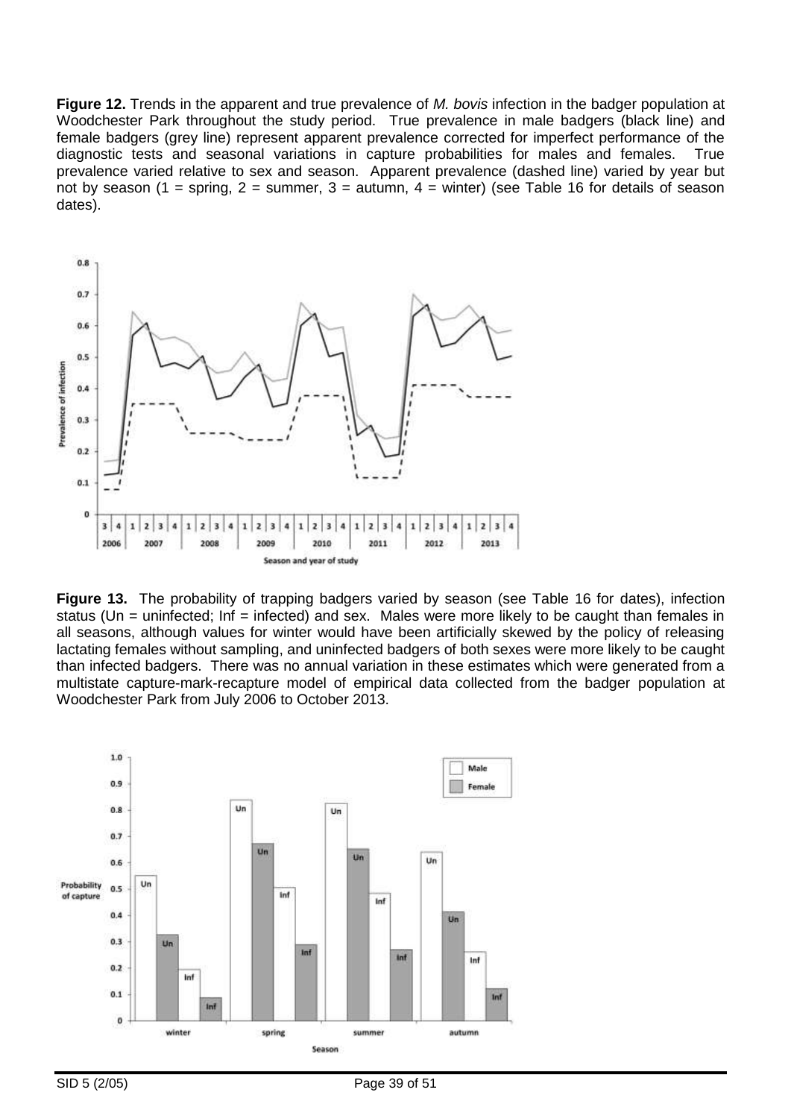**Figure 12.** Trends in the apparent and true prevalence of *M. bovis* infection in the badger population at Woodchester Park throughout the study period. True prevalence in male badgers (black line) and female badgers (grey line) represent apparent prevalence corrected for imperfect performance of the diagnostic tests and seasonal variations in capture probabilities for males and females. True diagnostic tests and seasonal variations in capture probabilities for males and females. prevalence varied relative to sex and season. Apparent prevalence (dashed line) varied by year but not by season (1 = spring, 2 = summer, 3 = autumn, 4 = winter) (see Table 16 for details of season dates).



**Figure 13.** The probability of trapping badgers varied by season (see Table 16 for dates), infection status (Un = uninfected; Inf = infected) and sex. Males were more likely to be caught than females in all seasons, although values for winter would have been artificially skewed by the policy of releasing lactating females without sampling, and uninfected badgers of both sexes were more likely to be caught than infected badgers. There was no annual variation in these estimates which were generated from a multistate capture-mark-recapture model of empirical data collected from the badger population at Woodchester Park from July 2006 to October 2013.

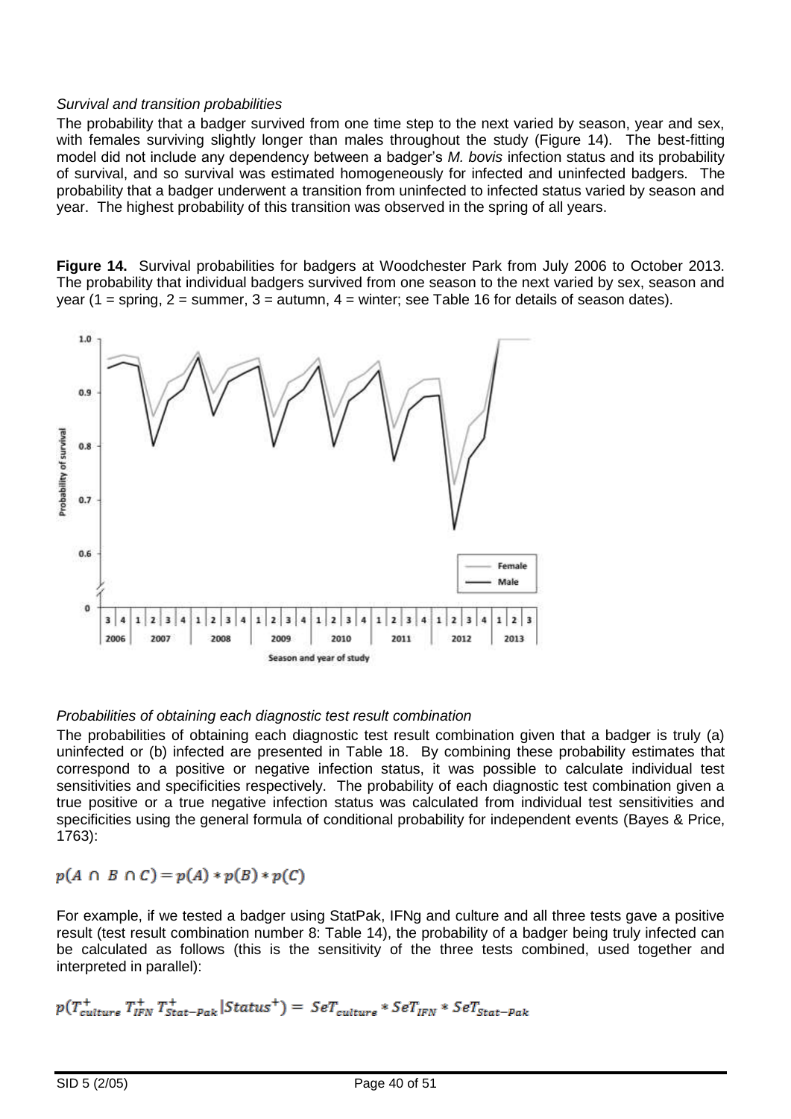#### *Survival and transition probabilities*

The probability that a badger survived from one time step to the next varied by season, year and sex, with females surviving slightly longer than males throughout the study (Figure 14). The best-fitting model did not include any dependency between a badger's *M. bovis* infection status and its probability of survival, and so survival was estimated homogeneously for infected and uninfected badgers. The probability that a badger underwent a transition from uninfected to infected status varied by season and year. The highest probability of this transition was observed in the spring of all years.

**Figure 14.** Survival probabilities for badgers at Woodchester Park from July 2006 to October 2013. The probability that individual badgers survived from one season to the next varied by sex, season and year (1 = spring,  $2$  = summer,  $3$  = autumn,  $4$  = winter; see Table 16 for details of season dates).



### *Probabilities of obtaining each diagnostic test result combination*

The probabilities of obtaining each diagnostic test result combination given that a badger is truly (a) uninfected or (b) infected are presented in Table 18. By combining these probability estimates that correspond to a positive or negative infection status, it was possible to calculate individual test sensitivities and specificities respectively. The probability of each diagnostic test combination given a true positive or a true negative infection status was calculated from individual test sensitivities and specificities using the general formula of conditional probability for independent events (Bayes & Price, 1763):

$$
p(A \cap B \cap C) = p(A) * p(B) * p(C)
$$

For example, if we tested a badger using StatPak, IFNg and culture and all three tests gave a positive result (test result combination number 8: Table 14), the probability of a badger being truly infected can be calculated as follows (this is the sensitivity of the three tests combined, used together and interpreted in parallel):

$$
p(T_{cutture}^{+} T_{IFN}^{+} T_{Stat-peak}^{+} | Status^{+}) = \mathit{Ser}_{cutture} * \mathit{Ser}_{IFN} * \mathit{Ser}_{Stat-peak}
$$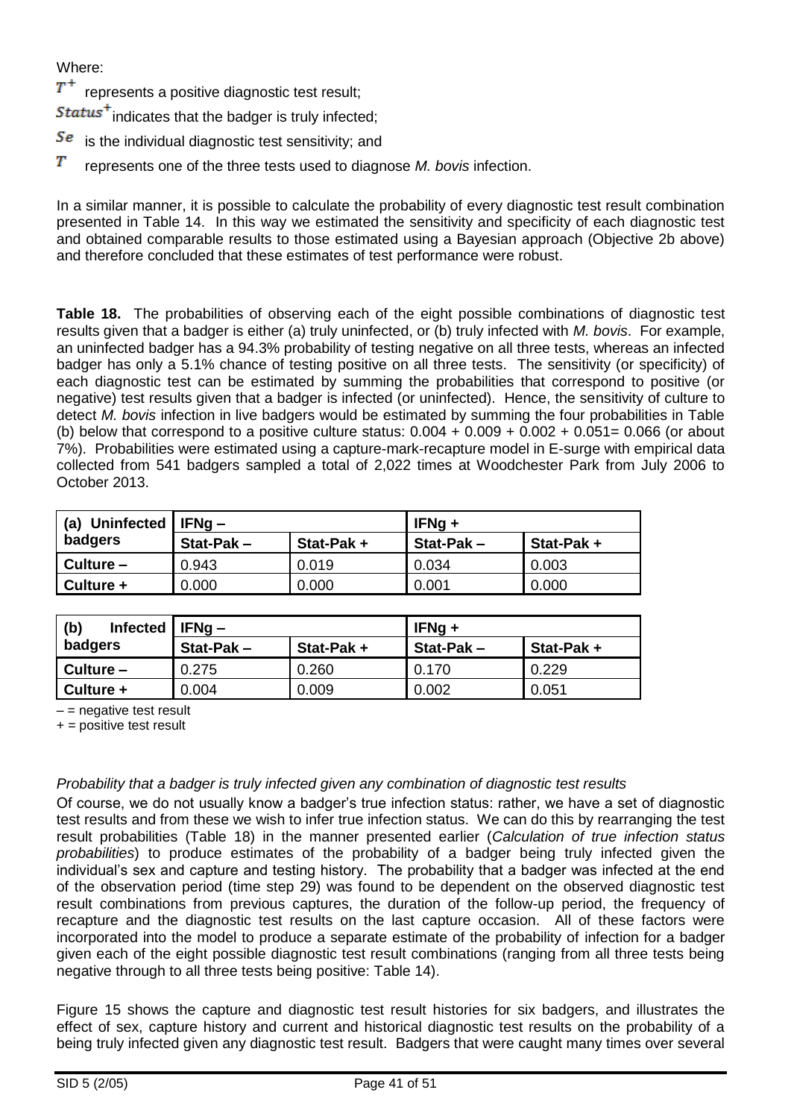Where:

 $T^+$  represents a positive diagnostic test result;

 $\mathcal{S} \mathit{tatus}^+$  indicates that the badger is truly infected;

- $\overline{Se}$  is the individual diagnostic test sensitivity; and
- Т represents one of the three tests used to diagnose *M. bovis* infection.

In a similar manner, it is possible to calculate the probability of every diagnostic test result combination presented in Table 14. In this way we estimated the sensitivity and specificity of each diagnostic test and obtained comparable results to those estimated using a Bayesian approach (Objective 2b above) and therefore concluded that these estimates of test performance were robust.

**Table 18.** The probabilities of observing each of the eight possible combinations of diagnostic test results given that a badger is either (a) truly uninfected, or (b) truly infected with *M. bovis*. For example, an uninfected badger has a 94.3% probability of testing negative on all three tests, whereas an infected badger has only a 5.1% chance of testing positive on all three tests. The sensitivity (or specificity) of each diagnostic test can be estimated by summing the probabilities that correspond to positive (or negative) test results given that a badger is infected (or uninfected). Hence, the sensitivity of culture to detect *M. bovis* infection in live badgers would be estimated by summing the four probabilities in Table (b) below that correspond to a positive culture status:  $0.004 + 0.009 + 0.002 + 0.051 = 0.066$  (or about 7%). Probabilities were estimated using a capture-mark-recapture model in E-surge with empirical data collected from 541 badgers sampled a total of 2,022 times at Woodchester Park from July 2006 to October 2013.

| <b>Uninfected</b><br>(a) | $\vert$ IFNg $-$ |           | $IFNg +$  |           |  |
|--------------------------|------------------|-----------|-----------|-----------|--|
| badgers                  | $Stat-Pak -$     | Stat-Pak+ | Stat-Pak- | Stat-Pak+ |  |
| Culture -                | 0.943            | 0.019     | 0.034     | 0.003     |  |
| Culture +                | 0.000            | 0.000     | 0.001     | 0.000     |  |

| (b)<br><b>Infected</b> | $IIFNq -$    |           | $IFNg +$  |           |  |
|------------------------|--------------|-----------|-----------|-----------|--|
| badgers                | $Stat-Pak -$ | Stat-Pak+ | Stat-Pak- | Stat-Pak+ |  |
| $Culture -$            | 0.275        | 0.260     | 0.170     | 0.229     |  |
| Culture +              | 0.004        | 0.009     | 0.002     | 0.051     |  |

 $-$  = negative test result

 $+$  = positive test result

#### *Probability that a badger is truly infected given any combination of diagnostic test results*

Of course, we do not usually know a badger's true infection status: rather, we have a set of diagnostic test results and from these we wish to infer true infection status. We can do this by rearranging the test result probabilities (Table 18) in the manner presented earlier (*Calculation of true infection status probabilities*) to produce estimates of the probability of a badger being truly infected given the individual's sex and capture and testing history. The probability that a badger was infected at the end of the observation period (time step 29) was found to be dependent on the observed diagnostic test result combinations from previous captures, the duration of the follow-up period, the frequency of recapture and the diagnostic test results on the last capture occasion. All of these factors were incorporated into the model to produce a separate estimate of the probability of infection for a badger given each of the eight possible diagnostic test result combinations (ranging from all three tests being negative through to all three tests being positive: Table 14).

Figure 15 shows the capture and diagnostic test result histories for six badgers, and illustrates the effect of sex, capture history and current and historical diagnostic test results on the probability of a being truly infected given any diagnostic test result. Badgers that were caught many times over several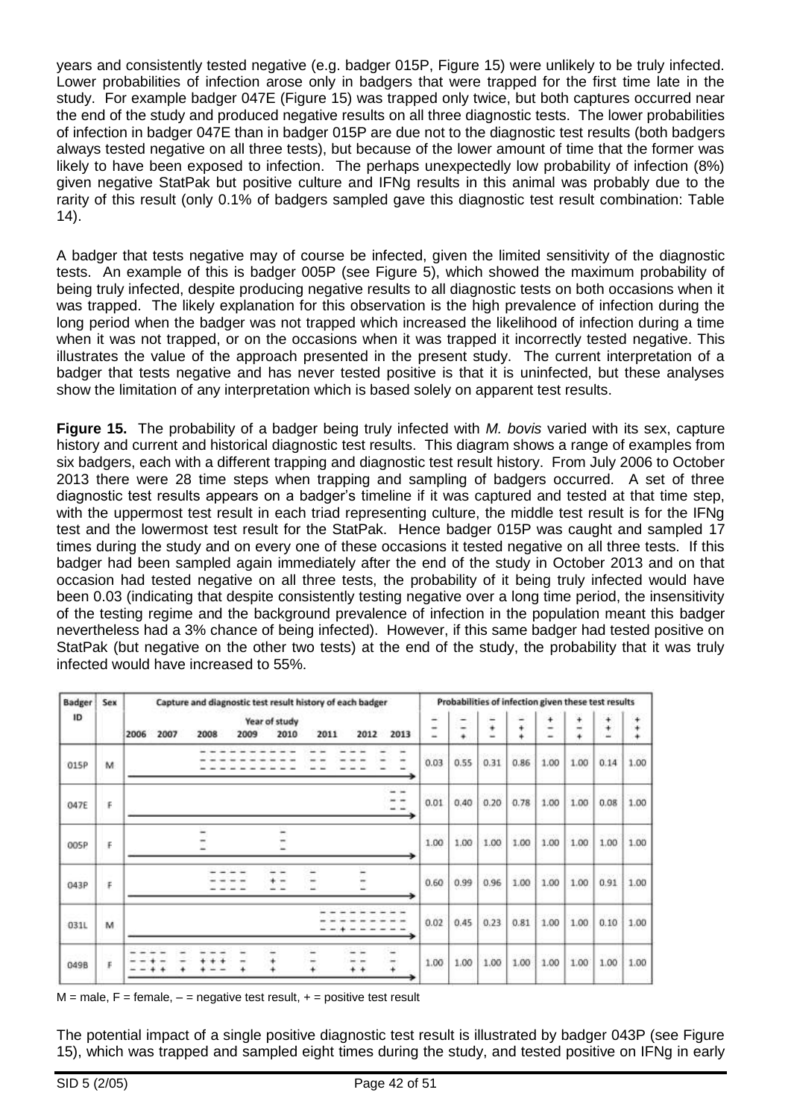years and consistently tested negative (e.g. badger 015P, Figure 15) were unlikely to be truly infected. Lower probabilities of infection arose only in badgers that were trapped for the first time late in the study. For example badger 047E (Figure 15) was trapped only twice, but both captures occurred near the end of the study and produced negative results on all three diagnostic tests. The lower probabilities of infection in badger 047E than in badger 015P are due not to the diagnostic test results (both badgers always tested negative on all three tests), but because of the lower amount of time that the former was likely to have been exposed to infection. The perhaps unexpectedly low probability of infection (8%) given negative StatPak but positive culture and IFNg results in this animal was probably due to the rarity of this result (only 0.1% of badgers sampled gave this diagnostic test result combination: Table 14).

A badger that tests negative may of course be infected, given the limited sensitivity of the diagnostic tests. An example of this is badger 005P (see Figure 5), which showed the maximum probability of being truly infected, despite producing negative results to all diagnostic tests on both occasions when it was trapped. The likely explanation for this observation is the high prevalence of infection during the long period when the badger was not trapped which increased the likelihood of infection during a time when it was not trapped, or on the occasions when it was trapped it incorrectly tested negative. This illustrates the value of the approach presented in the present study. The current interpretation of a badger that tests negative and has never tested positive is that it is uninfected, but these analyses show the limitation of any interpretation which is based solely on apparent test results.

**Figure 15.** The probability of a badger being truly infected with *M. bovis* varied with its sex, capture history and current and historical diagnostic test results. This diagram shows a range of examples from six badgers, each with a different trapping and diagnostic test result history. From July 2006 to October 2013 there were 28 time steps when trapping and sampling of badgers occurred. A set of three diagnostic test results appears on a badger's timeline if it was captured and tested at that time step, with the uppermost test result in each triad representing culture, the middle test result is for the IFNg test and the lowermost test result for the StatPak. Hence badger 015P was caught and sampled 17 times during the study and on every one of these occasions it tested negative on all three tests. If this badger had been sampled again immediately after the end of the study in October 2013 and on that occasion had tested negative on all three tests, the probability of it being truly infected would have been 0.03 (indicating that despite consistently testing negative over a long time period, the insensitivity of the testing regime and the background prevalence of infection in the population meant this badger nevertheless had a 3% chance of being infected). However, if this same badger had tested positive on StatPak (but negative on the other two tests) at the end of the study, the probability that it was truly infected would have increased to 55%.

| <b>Badger</b> | Sex | Capture and diagnostic test result history of each badger                     |             |                     |        |                | Probabilities of infection given these test results |             |             |      |
|---------------|-----|-------------------------------------------------------------------------------|-------------|---------------------|--------|----------------|-----------------------------------------------------|-------------|-------------|------|
| ID            |     | Year of study<br>2006<br>2007<br>2010<br>2011<br>2012<br>2013<br>2008<br>2009 | -<br>-<br>÷ | -                   | ¥<br>÷ | $\ddot{}$<br>٠ | 4<br><br>÷                                          | ÷<br>⊷<br>4 | ¥<br>¥<br>÷ |      |
| 015P          | M   |                                                                               | 0.03        | 0.55                | 0.31   | 0.86           | 1.00                                                | 1.00        | 0.14        | 1.00 |
| 047E          | F   |                                                                               | 0.01        | 0.40                | 0.20   | 0.78           | 1.00                                                | 1.00        | 0.08        | 1.00 |
| 005P          | F   |                                                                               | 1.00        | $\times 10$<br>1.00 | 1.00   | 1.00           | 1.00                                                | 1.00        | 1.00        | 1.00 |
| 043P          | F   | $\rightarrow$                                                                 | 0.60        | 0.99                | 0.96   | 1.00           | 1.00                                                | 1.00        | 0.91        | 1.00 |
| 031L          | M   |                                                                               | 0.02        | 0.45                | 0.23   | 0.81           | 1.00                                                | 1.00        | 0.10        | 1.00 |
| 049B          | F   | ¥<br>۰<br>٠.                                                                  | 1.00        | 1.00                | 1.00   | 1.00           | 1.00                                                | 1.00        | 1.00        | 1.00 |

 $M$  = male, F = female,  $-$  = negative test result,  $+$  = positive test result

The potential impact of a single positive diagnostic test result is illustrated by badger 043P (see Figure 15), which was trapped and sampled eight times during the study, and tested positive on IFNg in early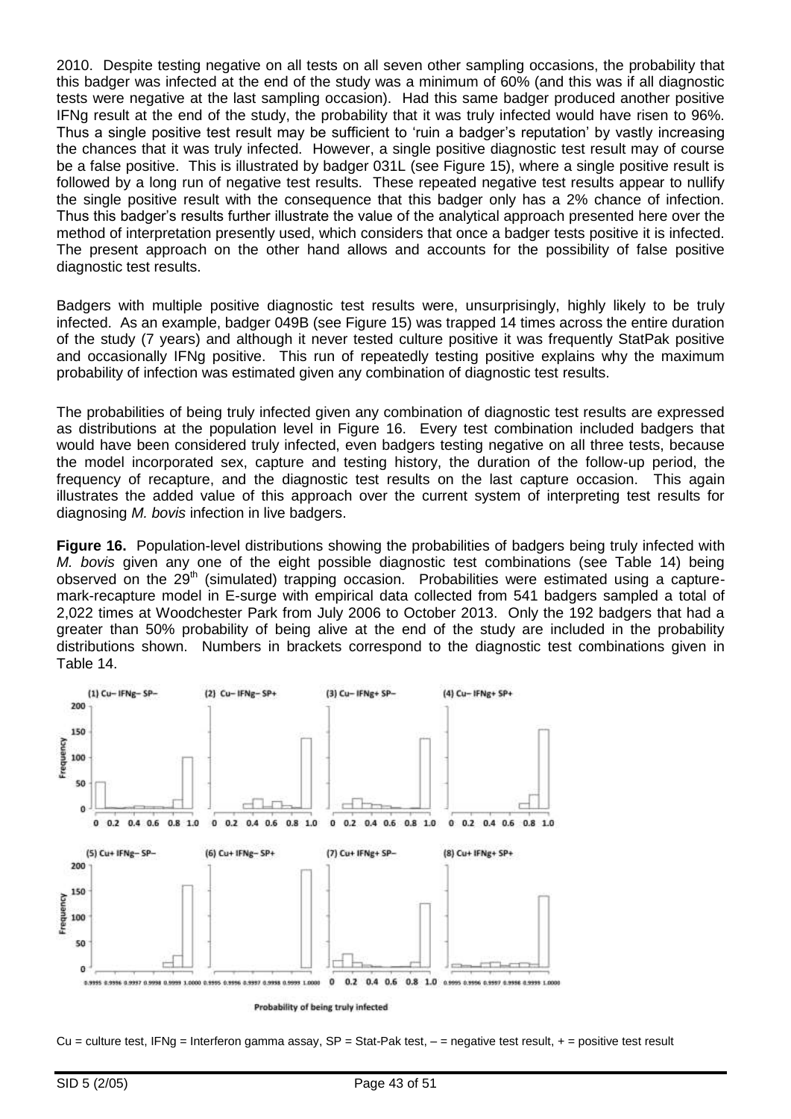2010. Despite testing negative on all tests on all seven other sampling occasions, the probability that this badger was infected at the end of the study was a minimum of 60% (and this was if all diagnostic tests were negative at the last sampling occasion). Had this same badger produced another positive IFNg result at the end of the study, the probability that it was truly infected would have risen to 96%. Thus a single positive test result may be sufficient to 'ruin a badger's reputation' by vastly increasing the chances that it was truly infected. However, a single positive diagnostic test result may of course be a false positive. This is illustrated by badger 031L (see Figure 15), where a single positive result is followed by a long run of negative test results. These repeated negative test results appear to nullify the single positive result with the consequence that this badger only has a 2% chance of infection. Thus this badger's results further illustrate the value of the analytical approach presented here over the method of interpretation presently used, which considers that once a badger tests positive it is infected. The present approach on the other hand allows and accounts for the possibility of false positive diagnostic test results.

Badgers with multiple positive diagnostic test results were, unsurprisingly, highly likely to be truly infected. As an example, badger 049B (see Figure 15) was trapped 14 times across the entire duration of the study (7 years) and although it never tested culture positive it was frequently StatPak positive and occasionally IFNg positive. This run of repeatedly testing positive explains why the maximum probability of infection was estimated given any combination of diagnostic test results.

The probabilities of being truly infected given any combination of diagnostic test results are expressed as distributions at the population level in Figure 16. Every test combination included badgers that would have been considered truly infected, even badgers testing negative on all three tests, because the model incorporated sex, capture and testing history, the duration of the follow-up period, the frequency of recapture, and the diagnostic test results on the last capture occasion. This again illustrates the added value of this approach over the current system of interpreting test results for diagnosing *M. bovis* infection in live badgers.

**Figure 16.** Population-level distributions showing the probabilities of badgers being truly infected with *M. bovis* given any one of the eight possible diagnostic test combinations (see Table 14) being observed on the 29<sup>th</sup> (simulated) trapping occasion. Probabilities were estimated using a capturemark-recapture model in E-surge with empirical data collected from 541 badgers sampled a total of 2,022 times at Woodchester Park from July 2006 to October 2013. Only the 192 badgers that had a greater than 50% probability of being alive at the end of the study are included in the probability distributions shown. Numbers in brackets correspond to the diagnostic test combinations given in Table 14.



Cu = culture test, IFNg = Interferon gamma assay, SP = Stat-Pak test,  $-$  = negative test result,  $+$  = positive test result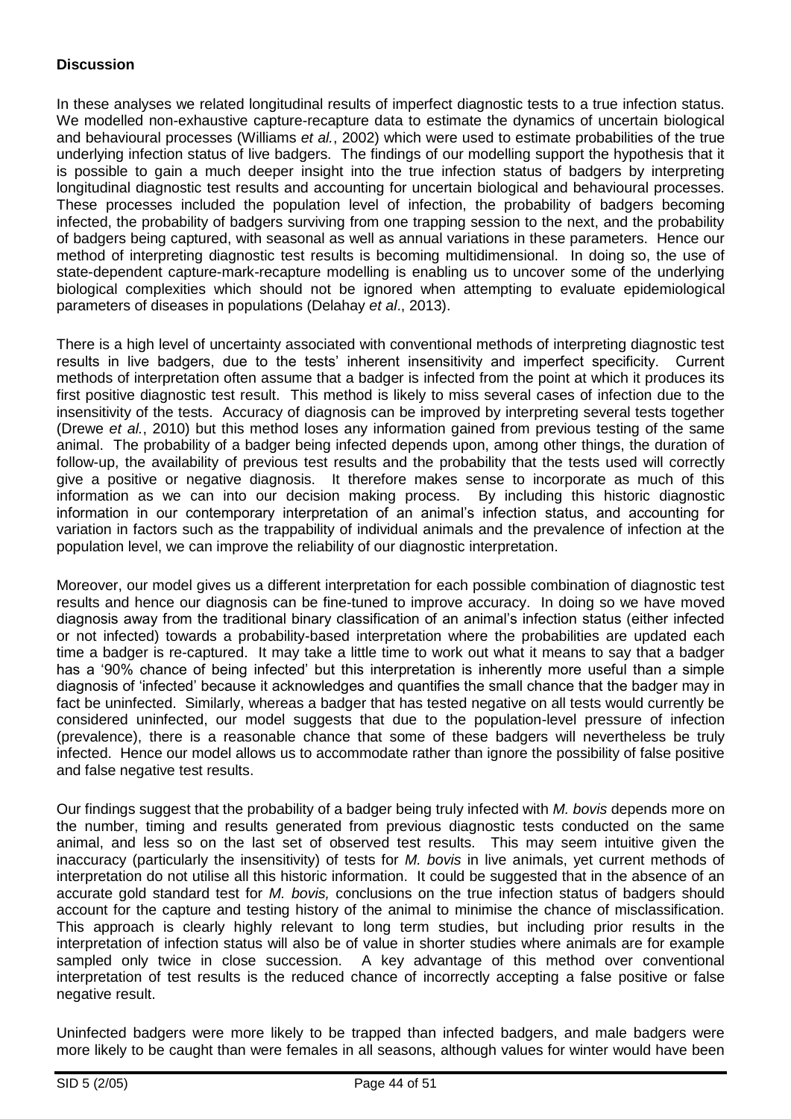### **Discussion**

In these analyses we related longitudinal results of imperfect diagnostic tests to a true infection status. We modelled non-exhaustive capture-recapture data to estimate the dynamics of uncertain biological and behavioural processes (Williams *et al.*, 2002) which were used to estimate probabilities of the true underlying infection status of live badgers. The findings of our modelling support the hypothesis that it is possible to gain a much deeper insight into the true infection status of badgers by interpreting longitudinal diagnostic test results and accounting for uncertain biological and behavioural processes. These processes included the population level of infection, the probability of badgers becoming infected, the probability of badgers surviving from one trapping session to the next, and the probability of badgers being captured, with seasonal as well as annual variations in these parameters. Hence our method of interpreting diagnostic test results is becoming multidimensional. In doing so, the use of state-dependent capture-mark-recapture modelling is enabling us to uncover some of the underlying biological complexities which should not be ignored when attempting to evaluate epidemiological parameters of diseases in populations (Delahay *et al*., 2013).

There is a high level of uncertainty associated with conventional methods of interpreting diagnostic test results in live badgers, due to the tests' inherent insensitivity and imperfect specificity. Current methods of interpretation often assume that a badger is infected from the point at which it produces its first positive diagnostic test result. This method is likely to miss several cases of infection due to the insensitivity of the tests. Accuracy of diagnosis can be improved by interpreting several tests together (Drewe *et al.*, 2010) but this method loses any information gained from previous testing of the same animal. The probability of a badger being infected depends upon, among other things, the duration of follow-up, the availability of previous test results and the probability that the tests used will correctly give a positive or negative diagnosis. It therefore makes sense to incorporate as much of this information as we can into our decision making process. By including this historic diagnostic information in our contemporary interpretation of an animal's infection status, and accounting for variation in factors such as the trappability of individual animals and the prevalence of infection at the population level, we can improve the reliability of our diagnostic interpretation.

Moreover, our model gives us a different interpretation for each possible combination of diagnostic test results and hence our diagnosis can be fine-tuned to improve accuracy. In doing so we have moved diagnosis away from the traditional binary classification of an animal's infection status (either infected or not infected) towards a probability-based interpretation where the probabilities are updated each time a badger is re-captured. It may take a little time to work out what it means to say that a badger has a '90% chance of being infected' but this interpretation is inherently more useful than a simple diagnosis of 'infected' because it acknowledges and quantifies the small chance that the badger may in fact be uninfected. Similarly, whereas a badger that has tested negative on all tests would currently be considered uninfected, our model suggests that due to the population-level pressure of infection (prevalence), there is a reasonable chance that some of these badgers will nevertheless be truly infected. Hence our model allows us to accommodate rather than ignore the possibility of false positive and false negative test results.

Our findings suggest that the probability of a badger being truly infected with *M. bovis* depends more on the number, timing and results generated from previous diagnostic tests conducted on the same animal, and less so on the last set of observed test results. This may seem intuitive given the inaccuracy (particularly the insensitivity) of tests for *M. bovis* in live animals, yet current methods of interpretation do not utilise all this historic information. It could be suggested that in the absence of an accurate gold standard test for *M. bovis,* conclusions on the true infection status of badgers should account for the capture and testing history of the animal to minimise the chance of misclassification. This approach is clearly highly relevant to long term studies, but including prior results in the interpretation of infection status will also be of value in shorter studies where animals are for example sampled only twice in close succession. A key advantage of this method over conventional interpretation of test results is the reduced chance of incorrectly accepting a false positive or false negative result.

Uninfected badgers were more likely to be trapped than infected badgers, and male badgers were more likely to be caught than were females in all seasons, although values for winter would have been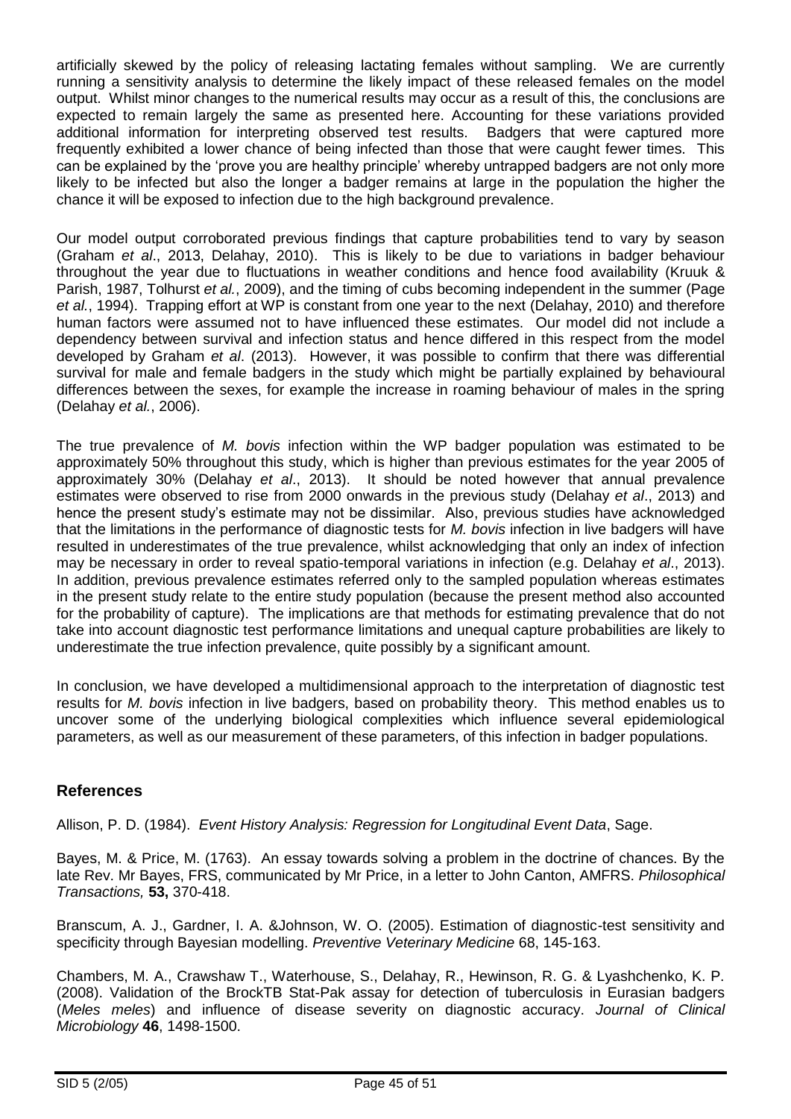artificially skewed by the policy of releasing lactating females without sampling. We are currently running a sensitivity analysis to determine the likely impact of these released females on the model output. Whilst minor changes to the numerical results may occur as a result of this, the conclusions are expected to remain largely the same as presented here. Accounting for these variations provided additional information for interpreting observed test results. Badgers that were captured more frequently exhibited a lower chance of being infected than those that were caught fewer times. This can be explained by the 'prove you are healthy principle' whereby untrapped badgers are not only more likely to be infected but also the longer a badger remains at large in the population the higher the chance it will be exposed to infection due to the high background prevalence.

Our model output corroborated previous findings that capture probabilities tend to vary by season (Graham *et al*., 2013, Delahay, 2010). This is likely to be due to variations in badger behaviour throughout the year due to fluctuations in weather conditions and hence food availability (Kruuk & Parish, 1987, Tolhurst *et al.*, 2009), and the timing of cubs becoming independent in the summer (Page *et al.*, 1994). Trapping effort at WP is constant from one year to the next (Delahay, 2010) and therefore human factors were assumed not to have influenced these estimates. Our model did not include a dependency between survival and infection status and hence differed in this respect from the model developed by Graham *et al*. (2013). However, it was possible to confirm that there was differential survival for male and female badgers in the study which might be partially explained by behavioural differences between the sexes, for example the increase in roaming behaviour of males in the spring (Delahay *et al.*, 2006).

The true prevalence of *M. bovis* infection within the WP badger population was estimated to be approximately 50% throughout this study, which is higher than previous estimates for the year 2005 of approximately 30% (Delahay *et al*., 2013). It should be noted however that annual prevalence estimates were observed to rise from 2000 onwards in the previous study (Delahay *et al*., 2013) and hence the present study's estimate may not be dissimilar. Also, previous studies have acknowledged that the limitations in the performance of diagnostic tests for *M. bovis* infection in live badgers will have resulted in underestimates of the true prevalence, whilst acknowledging that only an index of infection may be necessary in order to reveal spatio-temporal variations in infection (e.g. Delahay *et al*., 2013). In addition, previous prevalence estimates referred only to the sampled population whereas estimates in the present study relate to the entire study population (because the present method also accounted for the probability of capture). The implications are that methods for estimating prevalence that do not take into account diagnostic test performance limitations and unequal capture probabilities are likely to underestimate the true infection prevalence, quite possibly by a significant amount.

In conclusion, we have developed a multidimensional approach to the interpretation of diagnostic test results for *M. bovis* infection in live badgers, based on probability theory. This method enables us to uncover some of the underlying biological complexities which influence several epidemiological parameters, as well as our measurement of these parameters, of this infection in badger populations.

### **References**

<span id="page-44-0"></span>Allison, P. D. (1984). *Event History Analysis: Regression for Longitudinal Event Data*, Sage.

Bayes, M. & Price, M. (1763). An essay towards solving a problem in the doctrine of chances. By the late Rev. Mr Bayes, FRS, communicated by Mr Price, in a letter to John Canton, AMFRS. *Philosophical Transactions,* **53,** 370-418.

Branscum, A. J., Gardner, I. A. &Johnson, W. O. (2005). Estimation of diagnostic-test sensitivity and specificity through Bayesian modelling. *Preventive Veterinary Medicine* 68, 145-163.

Chambers, M. A., Crawshaw T., Waterhouse, S., Delahay, R., Hewinson, R. G. & Lyashchenko, K. P. (2008). Validation of the BrockTB Stat-Pak assay for detection of tuberculosis in Eurasian badgers (*Meles meles*) and influence of disease severity on diagnostic accuracy. *Journal of Clinical Microbiology* **46**, 1498-1500.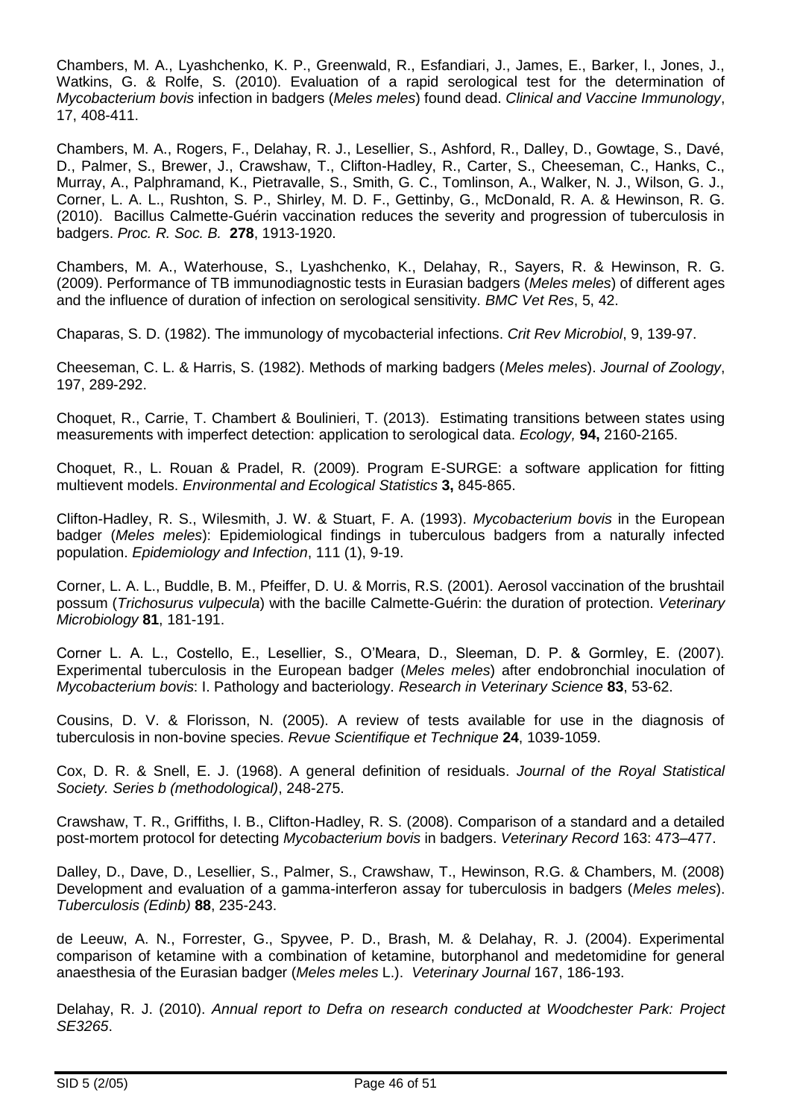Chambers, M. A., Lyashchenko, K. P., Greenwald, R., Esfandiari, J., James, E., Barker, l., Jones, J., Watkins, G. & Rolfe, S. (2010). Evaluation of a rapid serological test for the determination of *Mycobacterium bovis* infection in badgers (*Meles meles*) found dead. *Clinical and Vaccine Immunology*, 17, 408-411.

Chambers, M. A., Rogers, F., Delahay, R. J., Lesellier, S., Ashford, R., Dalley, D., Gowtage, S., Davé, D., Palmer, S., Brewer, J., Crawshaw, T., Clifton-Hadley, R., Carter, S., Cheeseman, C., Hanks, C., Murray, A., Palphramand, K., Pietravalle, S., Smith, G. C., Tomlinson, A., Walker, N. J., Wilson, G. J., Corner, L. A. L., Rushton, S. P., Shirley, M. D. F., Gettinby, G., McDonald, R. A. & Hewinson, R. G. (2010). Bacillus Calmette-Guérin vaccination reduces the severity and progression of tuberculosis in badgers. *Proc. R. Soc. B.* **278**, 1913-1920.

Chambers, M. A., Waterhouse, S., Lyashchenko, K., Delahay, R., Sayers, R. & Hewinson, R. G. (2009). Performance of TB immunodiagnostic tests in Eurasian badgers (*Meles meles*) of different ages and the influence of duration of infection on serological sensitivity. *BMC Vet Res*, 5, 42.

Chaparas, S. D. (1982). The immunology of mycobacterial infections. *Crit Rev Microbiol*, 9, 139-97.

<span id="page-45-0"></span>Cheeseman, C. L. & Harris, S. (1982). Methods of marking badgers (*Meles meles*). *Journal of Zoology*, 197, 289-292.

Choquet, R., Carrie, T. Chambert & Boulinieri, T. (2013). Estimating transitions between states using measurements with imperfect detection: application to serological data. *Ecology,* **94,** 2160-2165.

<span id="page-45-2"></span>Choquet, R., L. Rouan & Pradel, R. (2009). Program E-SURGE: a software application for fitting multievent models. *Environmental and Ecological Statistics* **3,** 845-865.

Clifton-Hadley, R. S., Wilesmith, J. W. & Stuart, F. A. (1993). *Mycobacterium bovis* in the European badger (*Meles meles*): Epidemiological findings in tuberculous badgers from a naturally infected population. *Epidemiology and Infection*, 111 (1), 9-19.

Corner, L. A. L., Buddle, B. M., Pfeiffer, D. U. & Morris, R.S. (2001). Aerosol vaccination of the brushtail possum (*Trichosurus vulpecula*) with the bacille Calmette-Guérin: the duration of protection. *Veterinary Microbiology* **81**, 181-191.

Corner L. A. L., Costello, E., Lesellier, S., O'Meara, D., Sleeman, D. P. & Gormley, E. (2007). Experimental tuberculosis in the European badger (*Meles meles*) after endobronchial inoculation of *Mycobacterium bovis*: I. Pathology and bacteriology. *Research in Veterinary Science* **83**, 53-62.

Cousins, D. V. & Florisson, N. (2005). A review of tests available for use in the diagnosis of tuberculosis in non-bovine species. *Revue Scientifique et Technique* **24**, 1039-1059.

Cox, D. R. & Snell, E. J. (1968). A general definition of residuals. *Journal of the Royal Statistical Society. Series b (methodological)*, 248-275.

Crawshaw, T. R., Griffiths, I. B., Clifton-Hadley, R. S. (2008). Comparison of a standard and a detailed post-mortem protocol for detecting *Mycobacterium bovis* in badgers. *Veterinary Record* 163: 473–477.

Dalley, D., Dave, D., Lesellier, S., Palmer, S., Crawshaw, T., Hewinson, R.G. & Chambers, M. (2008) Development and evaluation of a gamma-interferon assay for tuberculosis in badgers (*Meles meles*). *Tuberculosis (Edinb)* **88**, 235-243.

de Leeuw, A. N., Forrester, G., Spyvee, P. D., Brash, M. & Delahay, R. J. (2004). Experimental comparison of ketamine with a combination of ketamine, butorphanol and medetomidine for general anaesthesia of the Eurasian badger (*Meles meles* L.). *Veterinary Journal* 167, 186-193.

<span id="page-45-1"></span>Delahay, R. J. (2010). *Annual report to Defra on research conducted at Woodchester Park: Project SE3265*.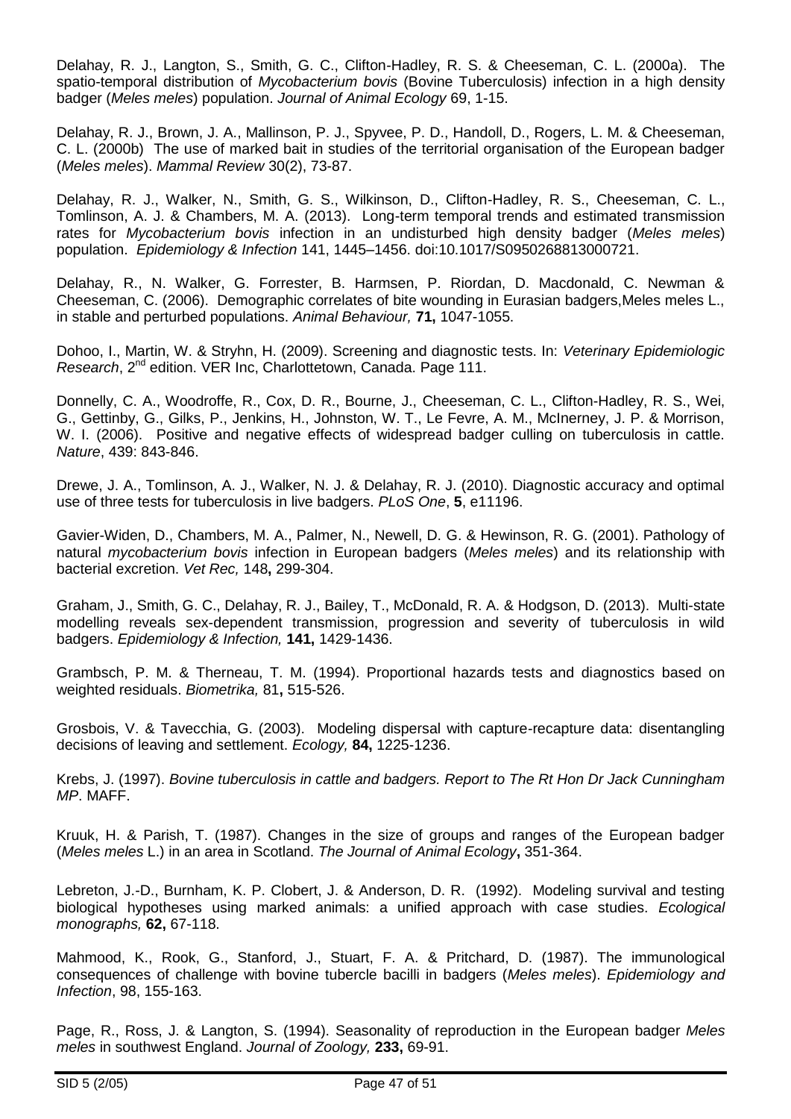Delahay, R. J., Langton, S., Smith, G. C., Clifton-Hadley, R. S. & Cheeseman, C. L. (2000a). The spatio-temporal distribution of *Mycobacterium bovis* (Bovine Tuberculosis) infection in a high density badger (*Meles meles*) population. *Journal of Animal Ecology* 69, 1-15.

Delahay, R. J., Brown, J. A., Mallinson, P. J., Spyvee, P. D., Handoll, D., Rogers, L. M. & Cheeseman, C. L. (2000b) The use of marked bait in studies of the territorial organisation of the European badger (*Meles meles*). *Mammal Review* 30(2), 73-87.

Delahay, R. J., Walker, N., Smith, G. S., Wilkinson, D., Clifton-Hadley, R. S., Cheeseman, C. L., Tomlinson, A. J. & Chambers, M. A. (2013). Long-term temporal trends and estimated transmission rates for *Mycobacterium bovis* infection in an undisturbed high density badger (*Meles meles*) population. *Epidemiology & Infection* 141, 1445–1456. doi:10.1017/S0950268813000721.

Delahay, R., N. Walker, G. Forrester, B. Harmsen, P. Riordan, D. Macdonald, C. Newman & Cheeseman, C. (2006). Demographic correlates of bite wounding in Eurasian badgers,Meles meles L., in stable and perturbed populations. *Animal Behaviour,* **71,** 1047-1055.

Dohoo, I., Martin, W. & Stryhn, H. (2009). Screening and diagnostic tests. In: *Veterinary Epidemiologic Research*, 2<sup>nd</sup> edition. VER Inc, Charlottetown, Canada. Page 111.

Donnelly, C. A., Woodroffe, R., Cox, D. R., Bourne, J., Cheeseman, C. L., Clifton-Hadley, R. S., Wei, G., Gettinby, G., Gilks, P., Jenkins, H., Johnston, W. T., Le Fevre, A. M., McInerney, J. P. & Morrison, W. I. (2006). Positive and negative effects of widespread badger culling on tuberculosis in cattle. *Nature*, 439: 843-846.

Drewe, J. A., Tomlinson, A. J., Walker, N. J. & Delahay, R. J. (2010). Diagnostic accuracy and optimal use of three tests for tuberculosis in live badgers. *PLoS One*, **5**, e11196.

<span id="page-46-1"></span>Gavier-Widen, D., Chambers, M. A., Palmer, N., Newell, D. G. & Hewinson, R. G. (2001). Pathology of natural *mycobacterium bovis* infection in European badgers (*Meles meles*) and its relationship with bacterial excretion. *Vet Rec,* 148**,** 299-304.

<span id="page-46-2"></span>Graham, J., Smith, G. C., Delahay, R. J., Bailey, T., McDonald, R. A. & Hodgson, D. (2013). Multi-state modelling reveals sex-dependent transmission, progression and severity of tuberculosis in wild badgers. *Epidemiology & Infection,* **141,** 1429-1436.

<span id="page-46-0"></span>Grambsch, P. M. & Therneau, T. M. (1994). Proportional hazards tests and diagnostics based on weighted residuals. *Biometrika,* 81**,** 515-526.

<span id="page-46-3"></span>Grosbois, V. & Tavecchia, G. (2003). Modeling dispersal with capture-recapture data: disentangling decisions of leaving and settlement. *Ecology,* **84,** 1225-1236.

Krebs, J. (1997). *Bovine tuberculosis in cattle and badgers. Report to The Rt Hon Dr Jack Cunningham MP*. MAFF.

Kruuk, H. & Parish, T. (1987). Changes in the size of groups and ranges of the European badger (*Meles meles* L.) in an area in Scotland. *The Journal of Animal Ecology***,** 351-364.

Lebreton, J.-D., Burnham, K. P. Clobert, J. & Anderson, D. R. (1992). Modeling survival and testing biological hypotheses using marked animals: a unified approach with case studies. *Ecological monographs,* **62,** 67-118.

Mahmood, K., Rook, G., Stanford, J., Stuart, F. A. & Pritchard, D. (1987). The immunological consequences of challenge with bovine tubercle bacilli in badgers (*Meles meles*). *Epidemiology and Infection*, 98, 155-163.

Page, R., Ross, J. & Langton, S. (1994). Seasonality of reproduction in the European badger *Meles meles* in southwest England. *Journal of Zoology,* **233,** 69-91.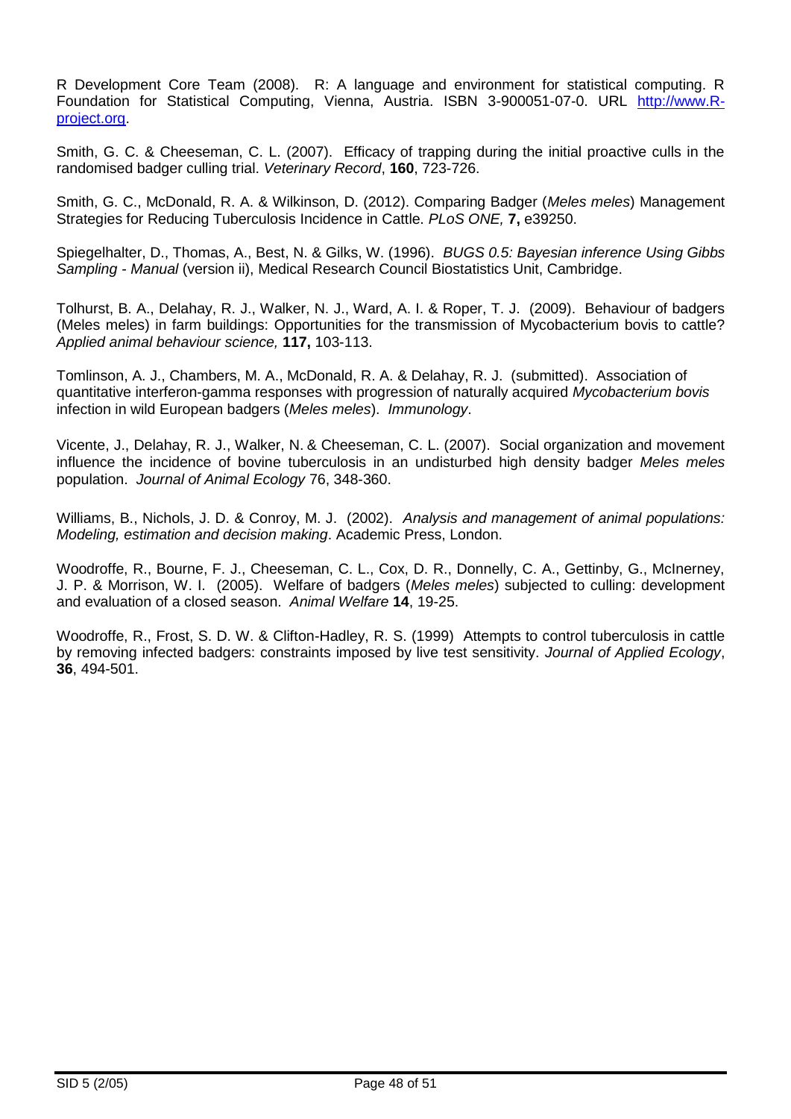R Development Core Team (2008). R: A language and environment for statistical computing. R Foundation for Statistical Computing, Vienna, Austria. ISBN 3-900051-07-0. URL [http://www.R](http://www.r-project.org/)[project.org.](http://www.r-project.org/)

Smith, G. C. & Cheeseman, C. L. (2007). Efficacy of trapping during the initial proactive culls in the randomised badger culling trial. *Veterinary Record*, **160**, 723-726.

Smith, G. C., McDonald, R. A. & Wilkinson, D. (2012). Comparing Badger (*Meles meles*) Management Strategies for Reducing Tuberculosis Incidence in Cattle. *PLoS ONE,* **7,** e39250.

Spiegelhalter, D., Thomas, A., Best, N. & Gilks, W. (1996). *BUGS 0.5: Bayesian inference Using Gibbs Sampling - Manual* (version ii), Medical Research Council Biostatistics Unit, Cambridge.

Tolhurst, B. A., Delahay, R. J., Walker, N. J., Ward, A. I. & Roper, T. J. (2009). Behaviour of badgers (Meles meles) in farm buildings: Opportunities for the transmission of Mycobacterium bovis to cattle? *Applied animal behaviour science,* **117,** 103-113.

Tomlinson, A. J., Chambers, M. A., McDonald, R. A. & Delahay, R. J. (submitted). Association of quantitative interferon-gamma responses with progression of naturally acquired *Mycobacterium bovis* infection in wild European badgers (*Meles meles*). *Immunology*.

Vicente, J., Delahay, R. J., Walker, N. & Cheeseman, C. L. (2007). Social organization and movement influence the incidence of bovine tuberculosis in an undisturbed high density badger *Meles meles* population. *Journal of Animal Ecology* 76, 348-360.

Williams, B., Nichols, J. D. & Conroy, M. J. (2002). *Analysis and management of animal populations: Modeling, estimation and decision making*. Academic Press, London.

Woodroffe, R., Bourne, F. J., Cheeseman, C. L., Cox, D. R., Donnelly, C. A., Gettinby, G., McInerney, J. P. & Morrison, W. I. (2005). Welfare of badgers (*Meles meles*) subjected to culling: development and evaluation of a closed season. *Animal Welfare* **14**, 19-25.

Woodroffe, R., Frost, S. D. W. & Clifton-Hadley, R. S. (1999) Attempts to control tuberculosis in cattle by removing infected badgers: constraints imposed by live test sensitivity. *Journal of Applied Ecology*, **36**, 494-501.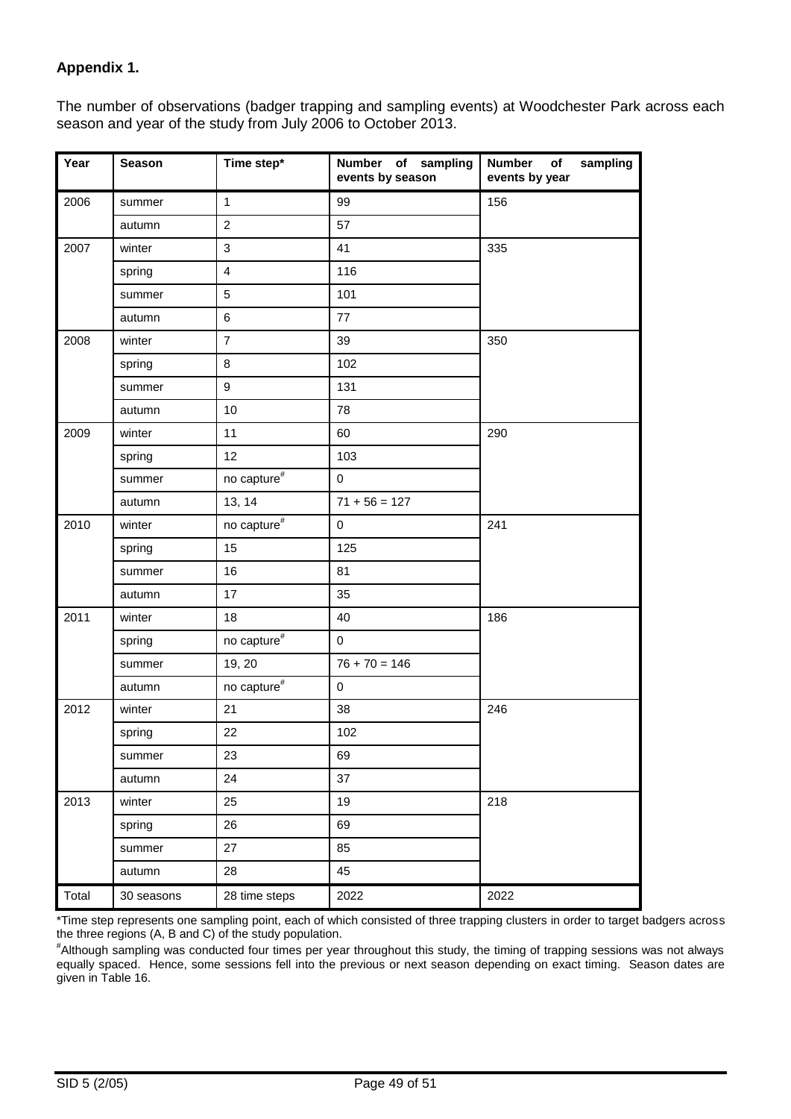## **Appendix 1.**

The number of observations (badger trapping and sampling events) at Woodchester Park across each season and year of the study from July 2006 to October 2013.

| Year  | <b>Season</b> | Time step*                | Number of sampling<br>events by season | <b>Number</b><br>sampling<br>of<br>events by year |
|-------|---------------|---------------------------|----------------------------------------|---------------------------------------------------|
| 2006  | summer        | $\mathbf{1}$              | 99                                     | 156                                               |
|       | autumn        | $\overline{2}$            | 57                                     |                                                   |
| 2007  | winter        | 3                         | 41                                     | 335                                               |
|       | spring        | $\overline{4}$            | 116                                    |                                                   |
|       | summer        | 5                         | 101                                    |                                                   |
|       | autumn        | 6                         | 77                                     |                                                   |
| 2008  | winter        | $\overline{7}$            | 39                                     | 350                                               |
|       | spring        | 8                         | 102                                    |                                                   |
|       | summer        | 9                         | 131                                    |                                                   |
|       | autumn        | 10                        | 78                                     |                                                   |
| 2009  | winter        | 11                        | 60                                     | 290                                               |
|       | spring        | 12                        | 103                                    |                                                   |
|       | summer        | no capture ${}^{\#}$      | $\mathbf 0$                            |                                                   |
|       | autumn        | 13, 14                    | $71 + 56 = 127$                        |                                                   |
| 2010  | winter        | no capture $\overline{f}$ | 0                                      | 241                                               |
|       | spring        | 15                        | 125                                    |                                                   |
|       | summer        | 16                        | 81                                     |                                                   |
|       | autumn        | 17                        | 35                                     |                                                   |
| 2011  | winter        | 18                        | 40                                     | 186                                               |
|       | spring        | no capture#               | 0                                      |                                                   |
|       | summer        | 19, 20                    | $76 + 70 = 146$                        |                                                   |
|       | autumn        | no capture $\overline{f}$ | 0                                      |                                                   |
| 2012  | winter        | 21                        | 38                                     | 246                                               |
|       | spring        | 22                        | 102                                    |                                                   |
|       | summer        | 23                        | 69                                     |                                                   |
|       | autumn        | 24                        | 37                                     |                                                   |
| 2013  | winter        | 25                        | 19                                     | 218                                               |
|       | spring        | 26                        | 69                                     |                                                   |
|       | summer        | 27                        | 85                                     |                                                   |
|       | autumn        | 28                        | 45                                     |                                                   |
| Total | 30 seasons    | 28 time steps             | 2022                                   | 2022                                              |

\*Time step represents one sampling point, each of which consisted of three trapping clusters in order to target badgers across the three regions (A, B and C) of the study population.

# Although sampling was conducted four times per year throughout this study, the timing of trapping sessions was not always equally spaced. Hence, some sessions fell into the previous or next season depending on exact timing. Season dates are given in Table 16.